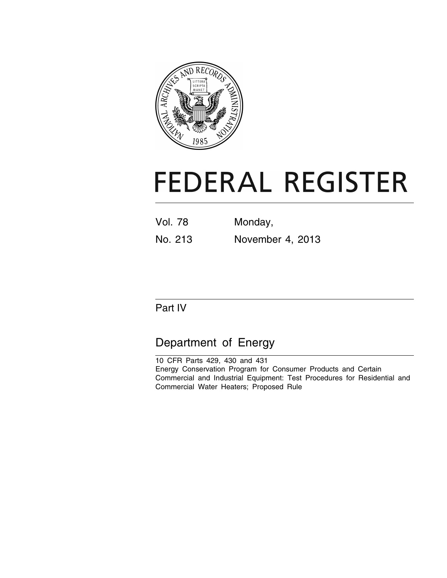

# **FEDERAL REGISTER**

Vol. 78 Monday, No. 213 November 4, 2013

# Part IV

# Department of Energy

10 CFR Parts 429, 430 and 431 Energy Conservation Program for Consumer Products and Certain Commercial and Industrial Equipment: Test Procedures for Residential and Commercial Water Heaters; Proposed Rule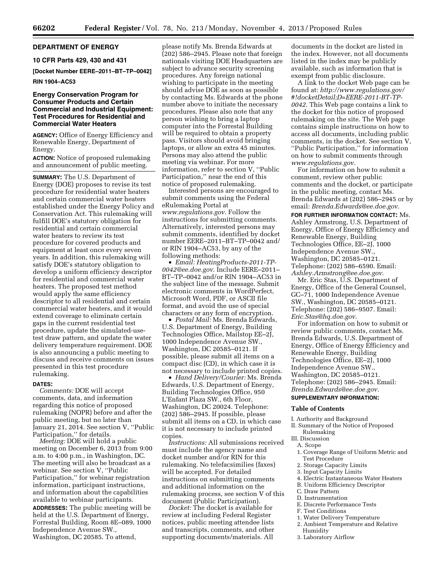#### **DEPARTMENT OF ENERGY**

**10 CFR Parts 429, 430 and 431** 

**[Docket Number EERE–2011–BT–TP–0042] RIN 1904–AC53** 

#### **Energy Conservation Program for Consumer Products and Certain Commercial and Industrial Equipment: Test Procedures for Residential and Commercial Water Heaters**

**AGENCY:** Office of Energy Efficiency and Renewable Energy, Department of Energy.

**ACTION:** Notice of proposed rulemaking and announcement of public meeting.

**SUMMARY:** The U.S. Department of Energy (DOE) proposes to revise its test procedure for residential water heaters and certain commercial water heaters established under the Energy Policy and Conservation Act. This rulemaking will fulfill DOE's statutory obligation for residential and certain commercial water heaters to review its test procedure for covered products and equipment at least once every seven years. In addition, this rulemaking will satisfy DOE's statutory obligation to develop a uniform efficiency descriptor for residential and commercial water heaters. The proposed test method would apply the same efficiency descriptor to all residential and certain commercial water heaters, and it would extend coverage to eliminate certain gaps in the current residential test procedure, update the simulated-usetest draw pattern, and update the water delivery temperature requirement. DOE is also announcing a public meeting to discuss and receive comments on issues presented in this test procedure rulemaking.

#### **DATES:**

*Comments:* DOE will accept comments, data, and information regarding this notice of proposed rulemaking (NOPR) before and after the public meeting, but no later than January 21, 2014. See section V, ''Public Participation,'' for details.

*Meeting:* DOE will hold a public meeting on December 6, 2013 from 9:00 a.m. to 4:00 p.m., in Washington, DC. The meeting will also be broadcast as a webinar. See section V, ''Public Participation,'' for webinar registration information, participant instructions, and information about the capabilities available to webinar participants. **ADDRESSES:** The public meeting will be held at the U.S. Department of Energy, Forrestal Building, Room 8E–089, 1000 Independence Avenue SW., Washington, DC 20585. To attend,

please notify Ms. Brenda Edwards at (202) 586–2945. Please note that foreign nationals visiting DOE Headquarters are subject to advance security screening procedures. Any foreign national wishing to participate in the meeting should advise DOE as soon as possible by contacting Ms. Edwards at the phone number above to initiate the necessary procedures. Please also note that any person wishing to bring a laptop computer into the Forrestal Building will be required to obtain a property pass. Visitors should avoid bringing laptops, or allow an extra 45 minutes. Persons may also attend the public meeting via webinar. For more information, refer to section V, ''Public Participation,'' near the end of this notice of proposed rulemaking.

Interested persons are encouraged to submit comments using the Federal eRulemaking Portal at *[www.regulations.gov](http://www.regulations.gov)*. Follow the instructions for submitting comments. Alternatively, interested persons may submit comments, identified by docket number EERE–2011–BT–TP–0042 and/ or RIN 1904–AC53, by any of the following methods:

• *Email: [HeatingProducts-2011-TP-](mailto:HeatingProducts-2011-TP-0042@ee.doe.gov)[0042@ee.doe.gov](mailto:HeatingProducts-2011-TP-0042@ee.doe.gov)*. Include EERE–2011– BT–TP–0042 and/or RIN 1904–AC53 in the subject line of the message. Submit electronic comments in WordPerfect, Microsoft Word, PDF, or ASCII file format, and avoid the use of special characters or any form of encryption.

• *Postal Mail:* Ms. Brenda Edwards, U.S. Department of Energy, Building Technologies Office, Mailstop EE–2J, 1000 Independence Avenue SW., Washington, DC 20585–0121. If possible, please submit all items on a compact disc (CD), in which case it is not necessary to include printed copies.

• *Hand Delivery/Courier:* Ms. Brenda Edwards, U.S. Department of Energy, Building Technologies Office, 950 L'Enfant Plaza SW., 6th Floor, Washington, DC 20024. Telephone: (202) 586–2945. If possible, please submit all items on a CD, in which case it is not necessary to include printed copies.

*Instructions:* All submissions received must include the agency name and docket number and/or RIN for this rulemaking. No telefacsimilies (faxes) will be accepted. For detailed instructions on submitting comments and additional information on the rulemaking process, see section V of this document (Public Participation).

*Docket:* The docket is available for review at including Federal Register notices, public meeting attendee lists and transcripts, comments, and other supporting documents/materials. All

documents in the docket are listed in the index. However, not all documents listed in the index may be publicly available, such as information that is exempt from public disclosure.

A link to the docket Web page can be found at: *[http://www.regulations.gov/](http://www.regulations.gov/#!docketDetail;D=EERE-2011-BT-TP-0042) [#!docketDetail;D=EERE-2011-BT-TP-](http://www.regulations.gov/#!docketDetail;D=EERE-2011-BT-TP-0042)[0042](http://www.regulations.gov/#!docketDetail;D=EERE-2011-BT-TP-0042)*. This Web page contains a link to the docket for this notice of proposed rulemaking on the site. The Web page contains simple instructions on how to access all documents, including public comments, in the docket. See section V, ''Public Participation,'' for information on how to submit comments through *[www.regulations.gov](http://www.regulations.gov)*.

For information on how to submit a comment, review other public comments and the docket, or participate in the public meeting, contact Ms. Brenda Edwards at (202) 586–2945 or by email: *[Brenda.Edwards@ee.doe.gov](mailto:Brenda.Edwards@ee.doe.gov)*.

**FOR FURTHER INFORMATION CONTACT:** Ms. Ashley Armstrong, U.S. Department of Energy, Office of Energy Efficiency and Renewable Energy, Building Technologies Office, EE–2J, 1000 Independence Avenue SW., Washington, DC 20585–0121. Telephone: (202) 586–6590. Email: *[Ashley.Armstrong@ee.doe.gov](mailto:Ashley.Armstrong@ee.doe.gov)*.

Mr. Eric Stas, U.S. Department of Energy, Office of the General Counsel, GC–71, 1000 Independence Avenue SW., Washington, DC 20585–0121. Telephone: (202) 586–9507. Email: *[Eric.Stas@hq.doe.gov](mailto:Eric.Stas@hq.doe.gov)*.

For information on how to submit or review public comments, contact Ms. Brenda Edwards, U.S. Department of Energy, Office of Energy Efficiency and Renewable Energy, Building Technologies Office, EE–2J, 1000 Independence Avenue SW., Washington, DC 20585–0121. Telephone: (202) 586–2945. Email: *[Brenda.Edwards@ee.doe.gov](mailto:Brenda.Edwards@ee.doe.gov)*.

#### **SUPPLEMENTARY INFORMATION:**

#### **Table of Contents**

- I. Authority and Background
- II. Summary of the Notice of Proposed Rulemaking
- III. Discussion

#### A. Scope

- 1. Coverage Range of Uniform Metric and Test Procedure
- 2. Storage Capacity Limits
- 3. Input Capacity Limits
- 4. Electric Instantaneous Water Heaters
- B. Uniform Efficiency Descriptor
- C. Draw Pattern
- D. Instrumentation
- E. Discrete Performance Tests
- F. Test Conditions
- 1. Water Delivery Temperature
- 2. Ambient Temperature and Relative Humidity
- 3. Laboratory Airflow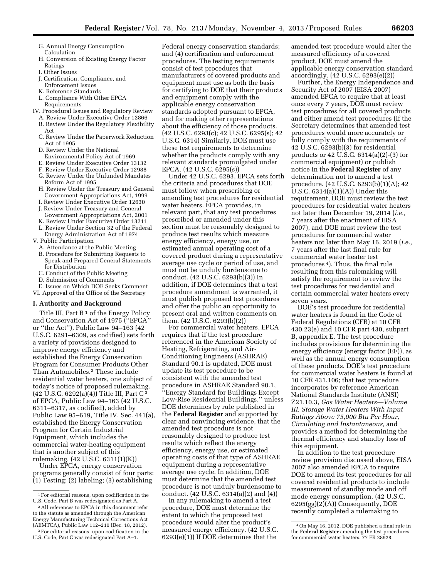- G. Annual Energy Consumption Calculation
- H. Conversion of Existing Energy Factor Ratings
- I. Other Issues
- J. Certification, Compliance, and
- Enforcement Issues
- K. Reference Standards
- L. Compliance With Other EPCA Requirements
- IV. Procedural Issues and Regulatory Review
- A. Review Under Executive Order 12866
- B. Review Under the Regulatory Flexibility Act
- C. Review Under the Paperwork Reduction Act of 1995
- D. Review Under the National
- Environmental Policy Act of 1969
- E. Review Under Executive Order 13132
- F. Review Under Executive Order 12988
- G. Review Under the Unfunded Mandates Reform Act of 1995
- H. Review Under the Treasury and General Government Appropriations Act, 1999
- I. Review Under Executive Order 12630 J. Review Under Treasury and General
- Government Appropriations Act, 2001
- K. Review Under Executive Order 13211
- L. Review Under Section 32 of the Federal Energy Administration Act of 1974
- V. Public Participation
	- A. Attendance at the Public Meeting
	- B. Procedure for Submitting Requests to Speak and Prepared General Statements for Distribution
	- C. Conduct of the Public Meeting
	- D. Submission of Comments
- E. Issues on Which DOE Seeks Comment
- VI. Approval of the Office of the Secretary

#### **I. Authority and Background**

Title III, Part  $B<sup>1</sup>$  of the Energy Policy and Conservation Act of 1975 (''EPCA'' or ''the Act''), Public Law 94–163 (42 U.S.C. 6291–6309, as codified) sets forth a variety of provisions designed to improve energy efficiency and established the Energy Conservation Program for Consumer Products Other Than Automobiles.2 These include residential water heaters, one subject of today's notice of proposed rulemaking.  $(42 \text{ U.S.C. } 6292(a)(4))$  Title III, Part C<sup>3</sup> of EPCA, Public Law 94–163 (42 U.S.C. 6311–6317, as codified), added by Public Law 95–619, Title IV, Sec. 441(a), established the Energy Conservation Program for Certain Industrial Equipment, which includes the commercial water-heating equipment that is another subject of this rulemaking. (42 U.S.C. 6311(1)(K))

Under EPCA, energy conservation programs generally consist of four parts: (1) Testing; (2) labeling; (3) establishing

Federal energy conservation standards; and (4) certification and enforcement procedures. The testing requirements consist of test procedures that manufacturers of covered products and equipment must use as both the basis for certifying to DOE that their products and equipment comply with the applicable energy conservation standards adopted pursuant to EPCA, and for making other representations about the efficiency of those products. (42 U.S.C. 6293(c); 42 U.S.C. 6295(s); 42 U.S.C. 6314) Similarly, DOE must use these test requirements to determine whether the products comply with any relevant standards promulgated under EPCA. (42 U.S.C. 6295(s))

Under 42 U.S.C. 6293, EPCA sets forth the criteria and procedures that DOE must follow when prescribing or amending test procedures for residential water heaters. EPCA provides, in relevant part, that any test procedures prescribed or amended under this section must be reasonably designed to produce test results which measure energy efficiency, energy use, or estimated annual operating cost of a covered product during a representative average use cycle or period of use, and must not be unduly burdensome to conduct. (42 U.S.C. 6293(b)(3)) In addition, if DOE determines that a test procedure amendment is warranted, it must publish proposed test procedures and offer the public an opportunity to present oral and written comments on them. (42 U.S.C. 6293(b)(2))

For commercial water heaters, EPCA requires that if the test procedure referenced in the American Society of Heating, Refrigerating, and Air-Conditioning Engineers (ASHRAE) Standard 90.1 is updated, DOE must update its test procedure to be consistent with the amended test procedure in ASHRAE Standard 90.1, ''Energy Standard for Buildings Except Low-Rise Residential Buildings,'' unless DOE determines by rule published in the **Federal Register** and supported by clear and convincing evidence, that the amended test procedure is not reasonably designed to produce test results which reflect the energy efficiency, energy use, or estimated operating costs of that type of ASHRAE equipment during a representative average use cycle. In addition, DOE must determine that the amended test procedure is not unduly burdensome to conduct. (42 U.S.C. 6314(a)(2) and (4))

In any rulemaking to amend a test procedure, DOE must determine the extent to which the proposed test procedure would alter the product's measured energy efficiency. (42 U.S.C. 6293(e)(1)) If DOE determines that the

amended test procedure would alter the measured efficiency of a covered product, DOE must amend the applicable energy conservation standard accordingly. (42 U.S.C. 6293(e)(2))

Further, the Energy Independence and Security Act of 2007 (EISA 2007) amended EPCA to require that at least once every 7 years, DOE must review test procedures for all covered products and either amend test procedures (if the Secretary determines that amended test procedures would more accurately or fully comply with the requirements of 42 U.S.C. 6293(b)(3) for residential products or 42 U.S.C. 6314(a)(2)-(3) for commercial equipment) or publish notice in the **Federal Register** of any determination not to amend a test procedure. (42 U.S.C. 6293(b)(1)(A); 42 U.S.C. 6314(a)(1)(A)) Under this requirement, DOE must review the test procedures for residential water heaters not later than December 19, 2014 (*i.e.,*  7 years after the enactment of EISA 2007), and DOE must review the test procedures for commercial water heaters not later than May 16, 2019 (*i.e.,*  7 years after the last final rule for commercial water heater test procedures 4). Thus, the final rule resulting from this rulemaking will satisfy the requirement to review the test procedures for residential and certain commercial water heaters every seven years.

DOE's test procedure for residential water heaters is found in the Code of Federal Regulations (CFR) at 10 CFR 430.23(e) and 10 CFR part 430, subpart B, appendix E. The test procedure includes provisions for determining the energy efficiency (energy factor (EF)), as well as the annual energy consumption of these products. DOE's test procedure for commercial water heaters is found at 10 CFR 431.106; that test procedure incorporates by reference American National Standards Institute (ANSI) Z21.10.3, *Gas Water Heaters—Volume III, Storage Water Heaters With Input Ratings Above 75,000 Btu Per Hour, Circulating and Instantaneous,* and provides a method for determining the thermal efficiency and standby loss of this equipment.

In addition to the test procedure review provision discussed above, EISA 2007 also amended EPCA to require DOE to amend its test procedures for all covered residential products to include measurement of standby mode and off mode energy consumption. (42 U.S.C. 6295(gg)(2)(A)) Consequently, DOE recently completed a rulemaking to

<sup>1</sup>For editorial reasons, upon codification in the U.S. Code, Part B was redesignated as Part A.

<sup>2</sup>All references to EPCA in this document refer to the statute as amended through the American Energy Manufacturing Technical Corrections Act (AEMTCA), Public Law 112–210 (Dec. 18, 2012).

<sup>3</sup>For editorial reasons, upon codification in the U.S. Code, Part C was redesignated Part A–1.

<sup>4</sup>On May 16, 2012, DOE published a final rule in the **Federal Register** amending the test procedures for commercial water heaters. 77 FR 28928.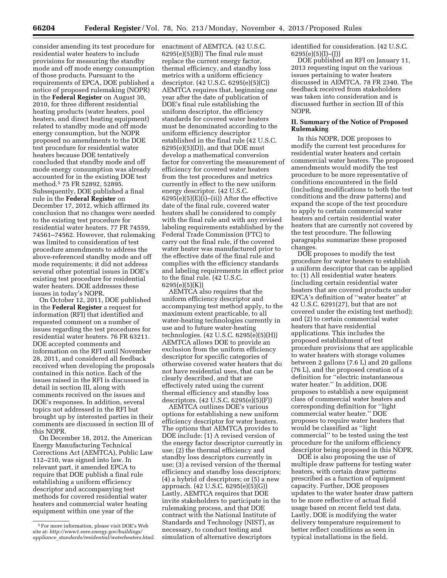consider amending its test procedure for residential water heaters to include provisions for measuring the standby mode and off mode energy consumption of those products. Pursuant to the requirements of EPCA, DOE published a notice of proposed rulemaking (NOPR) in the **Federal Register** on August 30, 2010, for three different residential heating products (water heaters, pool heaters, and direct heating equipment) related to standby mode and off mode energy consumption, but the NOPR proposed no amendments to the DOE test procedure for residential water heaters because DOE tentatively concluded that standby mode and off mode energy consumption was already accounted for in the existing DOE test method.5 75 FR 52892, 52895. Subsequently, DOE published a final rule in the **Federal Register** on December 17, 2012, which affirmed its conclusion that no changes were needed to the existing test procedure for residential water heaters. 77 FR 74559, 74561–74562. However, that rulemaking was limited to consideration of test procedure amendments to address the above-referenced standby mode and off mode requirements; it did not address several other potential issues in DOE's existing test procedure for residential water heaters. DOE addresses these issues in today's NOPR.

On October 12, 2011, DOE published in the **Federal Register** a request for information (RFI) that identified and requested comment on a number of issues regarding the test procedures for residential water heaters. 76 FR 63211. DOE accepted comments and information on the RFI until November 28, 2011, and considered all feedback received when developing the proposals contained in this notice. Each of the issues raised in the RFI is discussed in detail in section III, along with comments received on the issues and DOE's responses. In addition, several topics not addressed in the RFI but brought up by interested parties in their comments are discussed in section III of this NOPR.

On December 18, 2012, the American Energy Manufacturing Technical Corrections Act (AEMTCA), Public Law 112–210, was signed into law. In relevant part, it amended EPCA to require that DOE publish a final rule establishing a uniform efficiency descriptor and accompanying test methods for covered residential water heaters and commercial water heating equipment within one year of the

enactment of AEMTCA. (42 U.S.C.  $6295(e)(5)(B)$  The final rule must replace the current energy factor, thermal efficiency, and standby loss metrics with a uniform efficiency descriptor. (42 U.S.C. 6295(e)(5)(C)) AEMTCA requires that, beginning one year after the date of publication of DOE's final rule establishing the uniform descriptor, the efficiency standards for covered water heaters must be denominated according to the uniform efficiency descriptor established in the final rule (42 U.S.C.  $6295(e)(5)(D)$ , and that DOE must develop a mathematical conversion factor for converting the measurement of efficiency for covered water heaters from the test procedures and metrics currently in effect to the new uniform energy descriptor. (42 U.S.C.  $6295(e)(5)(E)(i)$ –(ii)) After the effective date of the final rule, covered water heaters shall be considered to comply with the final rule and with any revised labeling requirements established by the Federal Trade Commission (FTC) to carry out the final rule, if the covered water heater was manufactured prior to the effective date of the final rule and complies with the efficiency standards and labeling requirements in effect prior to the final rule. (42 U.S.C. 6295(e)(5)(K))

AEMTCA also requires that the uniform efficiency descriptor and accompanying test method apply, to the maximum extent practicable, to all water-heating technologies currently in use and to future water-heating technologies. (42 U.S.C. 6295(e)(5)(H)) AEMTCA allows DOE to provide an exclusion from the uniform efficiency descriptor for specific categories of otherwise covered water heaters that do not have residential uses, that can be clearly described, and that are effectively rated using the current thermal efficiency and standby loss descriptors. (42 U.S.C. 6295(e)(5)(F))

AEMTCA outlines DOE's various options for establishing a new uniform efficiency descriptor for water heaters. The options that AEMTCA provides to DOE include: (1) A revised version of the energy factor descriptor currently in use; (2) the thermal efficiency and standby loss descriptors currently in use; (3) a revised version of the thermal efficiency and standby loss descriptors; (4) a hybrid of descriptors; or (5) a new approach. (42 U.S.C. 6295(e)(5)(G)) Lastly, AEMTCA requires that DOE invite stakeholders to participate in the rulemaking process, and that DOE contract with the National Institute of Standards and Technology (NIST), as necessary, to conduct testing and simulation of alternative descriptors

identified for consideration. (42 U.S.C.  $6295(e)(5)(I)–(I))$ 

DOE published an RFI on January 11, 2013 requesting input on the various issues pertaining to water heaters discussed in AEMTCA. 78 FR 2340. The feedback received from stakeholders was taken into consideration and is discussed further in section III of this NOPR.

#### **II. Summary of the Notice of Proposed Rulemaking**

In this NOPR, DOE proposes to modify the current test procedures for residential water heaters and certain commercial water heaters. The proposed amendments would modify the test procedure to be more representative of conditions encountered in the field (including modifications to both the test conditions and the draw patterns) and expand the scope of the test procedure to apply to certain commercial water heaters and certain residential water heaters that are currently not covered by the test procedure. The following paragraphs summarize these proposed changes.

DOE proposes to modify the test procedure for water heaters to establish a uniform descriptor that can be applied to: (1) All residential water heaters (including certain residential water heaters that are covered products under EPCA's definition of ''water heater'' at 42 U.S.C. 6291(27), but that are not covered under the existing test method); and (2) to certain commercial water heaters that have residential applications. This includes the proposed establishment of test procedure provisions that are applicable to water heaters with storage volumes between 2 gallons (7.6 L) and 20 gallons (76 L), and the proposed creation of a definition for ''electric instantaneous water heater.'' In addition, DOE proposes to establish a new equipment class of commercial water heaters and corresponding definition for ''light commercial water heater.'' DOE proposes to require water heaters that would be classified as ''light commercial'' to be tested using the test procedure for the uniform efficiency descriptor being proposed in this NOPR.

DOE is also proposing the use of multiple draw patterns for testing water heaters, with certain draw patterns prescribed as a function of equipment capacity. Further, DOE proposes updates to the water heater draw pattern to be more reflective of actual field usage based on recent field test data. Lastly, DOE is modifying the water delivery temperature requirement to better reflect conditions as seen in typical installations in the field.

<sup>5</sup>For more information, please visit DOE's Web site at: *[http://www1.eere.energy.gov/buildings/](http://www1.eere.energy.gov/buildings/appliance_standards/residential/waterheaters.html) appliance*\_*[standards/residential/waterheaters.html](http://www1.eere.energy.gov/buildings/appliance_standards/residential/waterheaters.html)*.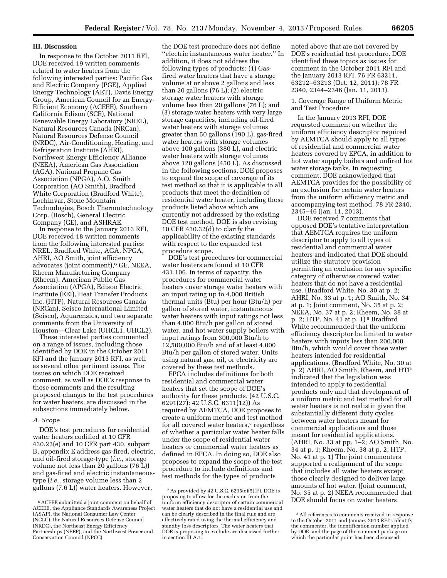#### **III. Discussion**

In response to the October 2011 RFI, DOE received 19 written comments related to water heaters from the following interested parties: Pacific Gas and Electric Company (PGE), Applied Energy Technology (AET), Davis Energy Group, American Council for an Energy-Efficient Economy (ACEEE), Southern California Edison (SCE), National Renewable Energy Laboratory (NREL), Natural Resources Canada (NRCan), Natural Resources Defense Council (NRDC), Air-Conditioning, Heating, and Refrigeration Institute (AHRI), Northwest Energy Efficiency Alliance (NEEA), American Gas Association (AGA), National Propane Gas Association (NPGA), A.O. Smith Corporation (AO Smith), Bradford White Corporation (Bradford White), Lochinvar, Stone Mountain Technologies, Bosch Thermotechnology Corp. (Bosch), General Electric Company (GE), and ASHRAE.

In response to the January 2013 RFI, DOE received 18 written comments from the following interested parties: NREL, Bradford White, AGA, NPGA, AHRI, AO Smith, joint efficiency advocates (joint comment),<sup>6</sup> GE, NEEA, Rheem Manufacturing Company (Rheem), American Public Gas Association (APGA), Edison Electric Institute (EEI), Heat Transfer Products Inc. (HTP), Natural Resources Canada (NRCan), Seisco International Limited (Seisco), Aquarensics, and two separate comments from the University of Houston—Clear Lake (UHCL1, UHCL2).

These interested parties commented on a range of issues, including those identified by DOE in the October 2011 RFI and the January 2013 RFI, as well as several other pertinent issues. The issues on which DOE received comment, as well as DOE's response to those comments and the resulting proposed changes to the test procedures for water heaters, are discussed in the subsections immediately below.

#### *A. Scope*

DOE's test procedures for residential water heaters codified at 10 CFR 430.23(e) and 10 CFR part 430, subpart B, appendix E address gas-fired, electric, and oil-fired storage-type (*i.e.,* storage volume not less than 20 gallons (76 L)) and gas-fired and electric instantaneoustype (*i.e.,* storage volume less than 2 gallons (7.6 L)) water heaters. However,

the DOE test procedure does not define ''electric instantaneous water heater.'' In addition, it does not address the following types of products: (1) Gasfired water heaters that have a storage volume at or above 2 gallons and less than 20 gallons (76 L); (2) electric storage water heaters with storage volume less than 20 gallons (76 L); and (3) storage water heaters with very large storage capacities, including oil-fired water heaters with storage volumes greater than 50 gallons (190 L), gas-fired water heaters with storage volumes above 100 gallons (380 L), and electric water heaters with storage volumes above 120 gallons (450 L). As discussed in the following sections, DOE proposes to expand the scope of coverage of its test method so that it is applicable to all products that meet the definition of residential water heater, including those products listed above which are currently not addressed by the existing DOE test method. DOE is also revising 10 CFR 430.32(d) to clarify the applicability of the existing standards with respect to the expanded test procedure scope.

DOE's test procedures for commercial water heaters are found at 10 CFR 431.106. In terms of capacity, the procedures for commercial water heaters cover storage water heaters with an input rating up to 4,000 British thermal units (Btu) per hour (Btu/h) per gallon of stored water, instantaneous water heaters with input ratings not less than 4,000 Btu/h per gallon of stored water, and hot water supply boilers with input ratings from 300,000 Btu/h to 12,500,000 Btu/h and of at least 4,000 Btu/h per gallon of stored water. Units using natural gas, oil, or electricity are covered by these test methods.

EPCA includes definitions for both residential and commercial water heaters that set the scope of DOE's authority for these products. (42 U.S.C. 6291(27); 42 U.S.C. 6311(12)) As required by AEMTCA, DOE proposes to create a uniform metric and test method for all covered water heaters,<sup>7</sup> regardless of whether a particular water heater falls under the scope of residential water heaters or commercial water heaters as defined in EPCA. In doing so, DOE also proposes to expand the scope of the test procedure to include definitions and test methods for the types of products

noted above that are not covered by DOE's residential test procedure. DOE identified these topics as issues for comment in the October 2011 RFI and the January 2013 RFI. 76 FR 63211, 63212–63213 (Oct. 12, 2011); 78 FR 2340, 2344–2346 (Jan. 11, 2013).

1. Coverage Range of Uniform Metric and Test Procedure

In the January 2013 RFI, DOE requested comment on whether the uniform efficiency descriptor required by AEMTCA should apply to all types of residential and commercial water heaters covered by EPCA, in addition to hot water supply boilers and unfired hot water storage tanks. In requesting comment, DOE acknowledged that AEMTCA provides for the possibility of an exclusion for certain water heaters from the uniform efficiency metric and accompanying test method. 78 FR 2340, 2345–46 (Jan. 11, 2013).

DOE received 7 comments that opposed DOE's tentative interpretation that AEMTCA requires the uniform descriptor to apply to all types of residential and commercial water heaters and indicated that DOE should utilize the statutory provision permitting an exclusion for any specific category of otherwise covered water heaters that do not have a residential use. (Bradford White, No. 30 at p. 2; AHRI, No. 33 at p. 1; AO Smith, No. 34 at p. 1; Joint comment, No. 35 at p. 2; NEEA, No. 37 at p. 2; Rheem, No. 38 at p. 2; HTP, No. 41 at p. 1) 8 Bradford White recommended that the uniform efficiency descriptor be limited to water heaters with inputs less than 200,000 Btu/h, which would cover those water heaters intended for residential applications. (Bradford White, No. 30 at p. 2) AHRI, AO Smith, Rheem, and HTP indicated that the legislation was intended to apply to residential products only and that development of a uniform metric and test method for all water heaters is not realistic given the substantially different duty cycles between water heaters meant for commercial applications and those meant for residential applications. (AHRI, No. 33 at pp. 1–2; AO Smith, No. 34 at p. 1; Rheem, No. 38 at p. 2; HTP, No. 41 at p. 1) The joint commenters supported a realignment of the scope that includes all water heaters except those clearly designed to deliver large amounts of hot water. (Joint comment, No. 35 at p. 2) NEEA recommended that DOE should focus on water heaters

<sup>6</sup>ACEEE submitted a joint comment on behalf of ACEEE, the Appliance Standards Awareness Project (ASAP), the National Consumer Law Center (NCLC), the Natural Resources Defense Council (NRDC), the Northeast Energy Efficiency Partnerships (NEEP), and the Northwest Power and Conservation Council (NPCC).

<sup>7</sup>As provided by 42 U.S.C. 6295(e)(5)(F), DOE is proposing to allow for the exclusion from the uniform efficiency descriptor of certain commercial water heaters that do not have a residential use and can be clearly described in the final rule and are effectively rated using the thermal efficiency and standby loss descriptors. The water heaters that DOE is proposing to exclude are discussed further in section III.A.1.

<sup>8</sup>All references to comments received in response to the October 2011 and January 2013 RFI's identify the commenter, the identification number applied by DOE, and the page of the comment package on which the particular point has been discussed.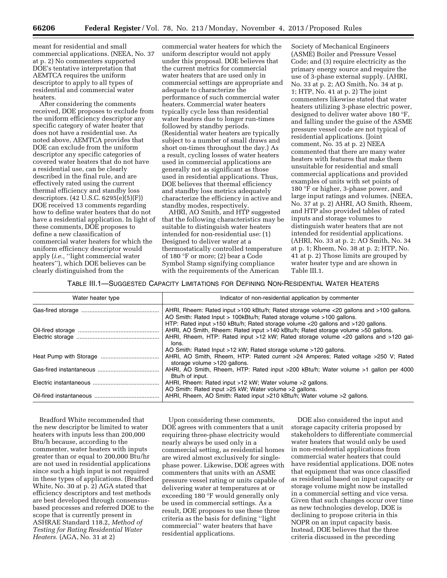meant for residential and small commercial applications. (NEEA, No. 37 at p. 2) No commenters supported DOE's tentative interpretation that AEMTCA requires the uniform descriptor to apply to all types of residential and commercial water heaters.

After considering the comments received, DOE proposes to exclude from the uniform efficiency descriptor any specific category of water heater that does not have a residential use. As noted above, AEMTCA provides that DOE can exclude from the uniform descriptor any specific categories of covered water heaters that do not have a residential use, can be clearly described in the final rule, and are effectively rated using the current thermal efficiency and standby loss descriptors. (42 U.S.C. 6295(e)(5)(F)) DOE received 13 comments regarding how to define water heaters that do not have a residential application. In light of these comments, DOE proposes to define a new classification of commercial water heaters for which the uniform efficiency descriptor would apply (*i.e.,* ''light commercial water heaters''), which DOE believes can be clearly distinguished from the

commercial water heaters for which the uniform descriptor would not apply under this proposal. DOE believes that the current metrics for commercial water heaters that are used only in commercial settings are appropriate and adequate to characterize the performance of such commercial water heaters. Commercial water heaters typically cycle less than residential water heaters due to longer run-times followed by standby periods. (Residential water heaters are typically subject to a number of small draws and short on-times throughout the day.) As a result, cycling losses of water heaters used in commercial applications are generally not as significant as those used in residential applications. Thus, DOE believes that thermal efficiency and standby loss metrics adequately characterize the efficiency in active and standby modes, respectively.

AHRI, AO Smith, and HTP suggested that the following characteristics may be suitable to distinguish water heaters intended for non-residential use: (1) Designed to deliver water at a thermostatically controlled temperature of 180 °F or more; (2) bear a Code Symbol Stamp signifying compliance with the requirements of the American

Society of Mechanical Engineers (ASME) Boiler and Pressure Vessel Code; and (3) require electricity as the primary energy source and require the use of 3-phase external supply. (AHRI, No. 33 at p. 2; AO Smith, No. 34 at p. 1; HTP, No. 41 at p. 2) The joint commenters likewise stated that water heaters utilizing 3-phase electric power, designed to deliver water above 180 °F, and falling under the guise of the ASME pressure vessel code are not typical of residential applications. (Joint comment, No. 35 at p. 2) NEEA commented that there are many water heaters with features that make them unsuitable for residential and small commercial applications and provided examples of units with set points of 180 °F or higher, 3-phase power, and large input ratings and volumes. (NEEA, No. 37 at p. 2) AHRI, AO Smith, Rheem, and HTP also provided tables of rated inputs and storage volumes to distinguish water heaters that are not intended for residential applications. (AHRI, No. 33 at p. 2; AO Smith, No. 34 at p. 1; Rheem, No. 38 at p. 2; HTP, No. 41 at p. 2) Those limits are grouped by water heater type and are shown in Table III.1.

#### TABLE III.1—SUGGESTED CAPACITY LIMITATIONS FOR DEFINING NON-RESIDENTIAL WATER HEATERS

| Water heater type | Indicator of non-residential application by commenter                                                                                                                                                                                                         |
|-------------------|---------------------------------------------------------------------------------------------------------------------------------------------------------------------------------------------------------------------------------------------------------------|
|                   | AHRI, Rheem: Rated input >100 kBtu/h; Rated storage volume <20 gallons and >100 gallons.<br>AO Smith: Rated Input > 100kBtu/h; Rated storage volume >100 gallons.                                                                                             |
|                   | HTP: Rated input >150 kBtu/h; Rated storage volume <20 gallons and >120 gallons.<br>AHRI, AO Smith, Rheem: Rated input >140 kBtu/h; Rated storage volume >50 gallons.<br>AHRI, Rheem, HTP: Rated input >12 kW; Rated storage volume <20 gallons and >120 gal- |
|                   | lons.<br>AO Smith: Rated Input >12 kW; Rated storage volume >120 gallons.<br>AHRI, AO Smith, Rheem, HTP: Rated current >24 Amperes; Rated voltage >250 V; Rated                                                                                               |
|                   | storage volume >120 gallons.<br>AHRI, AO Smith, Rheem, HTP: Rated input >200 kBtu/h; Water volume >1 gallon per 4000<br>Btu/h of input.                                                                                                                       |
|                   | AHRI, Rheem: Rated input >12 kW; Water volume >2 gallons.                                                                                                                                                                                                     |
|                   | AO Smith: Rated input >25 kW; Water volume >2 gallons.<br>AHRI, Rheem, AO Smith: Rated input >210 kBtu/h; Water volume >2 gallons.                                                                                                                            |

Bradford White recommended that the new descriptor be limited to water heaters with inputs less than 200,000 Btu/h because, according to the commenter, water heaters with inputs greater than or equal to 200,000 Btu/hr are not used in residential applications since such a high input is not required in these types of applications. (Bradford White, No. 30 at p. 2) AGA stated that efficiency descriptors and test methods are best developed through consensusbased processes and referred DOE to the scope that is currently present in ASHRAE Standard 118.2, *Method of Testing for Rating Residential Water Heaters.* (AGA, No. 31 at 2)

Upon considering these comments, DOE agrees with commenters that a unit requiring three-phase electricity would nearly always be used only in a commercial setting, as residential homes are wired almost exclusively for singlephase power. Likewise, DOE agrees with commenters that units with an ASME pressure vessel rating or units capable of delivering water at temperatures at or exceeding 180 °F would generally only be used in commercial settings. As a result, DOE proposes to use these three criteria as the basis for defining ''light commercial'' water heaters that have residential applications.

DOE also considered the input and storage capacity criteria proposed by stakeholders to differentiate commercial water heaters that would only be used in non-residential applications from commercial water heaters that could have residential applications. DOE notes that equipment that was once classified as residential based on input capacity or storage volume might now be installed in a commercial setting and vice versa. Given that such changes occur over time as new technologies develop, DOE is declining to propose criteria in this NOPR on an input capacity basis. Instead, DOE believes that the three criteria discussed in the preceding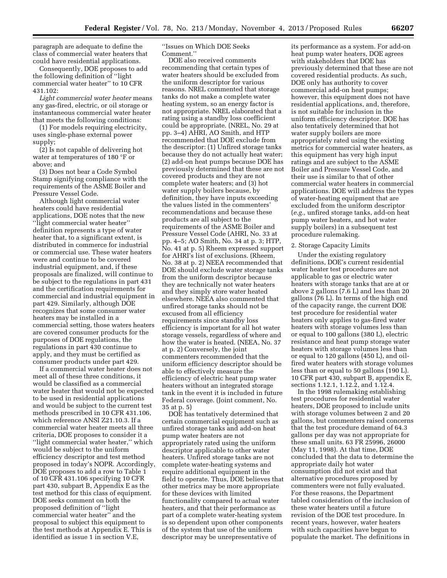paragraph are adequate to define the class of commercial water heaters that could have residential applications.

Consequently, DOE proposes to add the following definition of ''light commercial water heater'' to 10 CFR 431.102:

*Light commercial water heater* means any gas-fired, electric, or oil storage or instantaneous commercial water heater that meets the following conditions:

(1) For models requiring electricity, uses single-phase external power supply;

(2) Is not capable of delivering hot water at temperatures of 180 °F or above; and

(3) Does not bear a Code Symbol Stamp signifying compliance with the requirements of the ASME Boiler and Pressure Vessel Code.

Although light commercial water heaters could have residential applications, DOE notes that the new ''light commercial water heater'' definition represents a type of water heater that, to a significant extent, is distributed in commerce for industrial or commercial use. These water heaters were and continue to be covered industrial equipment, and, if these proposals are finalized, will continue to be subject to the regulations in part 431 and the certification requirements for commercial and industrial equipment in part 429. Similarly, although DOE recognizes that some consumer water heaters may be installed in a commercial setting, those waters heaters are covered consumer products for the purposes of DOE regulations, the regulations in part 430 continue to apply, and they must be certified as consumer products under part 429.

If a commercial water heater does not meet all of these three conditions, it would be classified as a commercial water heater that would not be expected to be used in residential applications and would be subject to the current test methods prescribed in 10 CFR 431.106, which reference ANSI Z21.10.3. If a commercial water heater meets all three criteria, DOE proposes to consider it a "light commercial water heater," which would be subject to the uniform efficiency descriptor and test method proposed in today's NOPR. Accordingly, DOE proposes to add a row to Table 1 of 10 CFR 431.106 specifying 10 CFR part 430, subpart B, Appendix E as the test method for this class of equipment. DOE seeks comment on both the proposed definition of ''light commercial water heater'' and the proposal to subject this equipment to the test methods at Appendix E. This is identified as issue 1 in section V.E,

''Issues on Which DOE Seeks Comment.''

DOE also received comments recommending that certain types of water heaters should be excluded from the uniform descriptor for various reasons. NREL commented that storage tanks do not make a complete water heating system, so an energy factor is not appropriate. NREL elaborated that a rating using a standby loss coefficient could be appropriate. (NREL, No. 29 at pp. 3–4) AHRI, AO Smith, and HTP recommended that DOE exclude from the descriptor: (1) Unfired storage tanks because they do not actually heat water; (2) add-on heat pumps because DOE has previously determined that these are not covered products and they are not complete water heaters; and (3) hot water supply boilers because, by definition, they have inputs exceeding the values listed in the commenters' recommendations and because these products are all subject to the requirements of the ASME Boiler and Pressure Vessel Code (AHRI, No. 33 at pp. 4–5; AO Smith, No. 34 at p. 3; HTP, No. 41 at p. 5) Rheem expressed support for AHRI's list of exclusions. (Rheem, No. 38 at p. 2) NEEA recommended that DOE should exclude water storage tanks from the uniform descriptor because they are technically not water heaters and they simply store water heated elsewhere. NEEA also commented that unfired storage tanks should not be excused from all efficiency requirements since standby loss efficiency is important for all hot water storage vessels, regardless of where and how the water is heated. (NEEA, No. 37 at p. 2) Conversely, the joint commenters recommended that the uniform efficiency descriptor should be able to effectively measure the efficiency of electric heat pump water heaters without an integrated storage tank in the event it is included in future Federal coverage. (Joint comment, No. 35 at p. 5)

DOE has tentatively determined that certain commercial equipment such as unfired storage tanks and add-on heat pump water heaters are not appropriately rated using the uniform descriptor applicable to other water heaters. Unfired storage tanks are not complete water-heating systems and require additional equipment in the field to operate. Thus, DOE believes that other metrics may be more appropriate for these devices with limited functionality compared to actual water heaters, and that their performance as part of a complete water-heating system is so dependent upon other components of the system that use of the uniform descriptor may be unrepresentative of

its performance as a system. For add-on heat pump water heaters, DOE agrees with stakeholders that DOE has previously determined that these are not covered residential products. As such, DOE only has authority to cover commercial add-on heat pumps; however, this equipment does not have residential applications, and, therefore, is not suitable for inclusion in the uniform efficiency descriptor. DOE has also tentatively determined that hot water supply boilers are more appropriately rated using the existing metrics for commercial water heaters, as this equipment has very high input ratings and are subject to the ASME Boiler and Pressure Vessel Code, and their use is similar to that of other commercial water heaters in commercial applications. DOE will address the types of water-heating equipment that are excluded from the uniform descriptor (*e.g.,* unfired storage tanks, add-on heat pump water heaters, and hot water supply boilers) in a subsequent test procedure rulemaking.

#### 2. Storage Capacity Limits

Under the existing regulatory definitions, DOE's current residential water heater test procedures are not applicable to gas or electric water heaters with storage tanks that are at or above 2 gallons (7.6 L) and less than 20 gallons (76 L). In terms of the high end of the capacity range, the current DOE test procedure for residential water heaters only applies to gas-fired water heaters with storage volumes less than or equal to 100 gallons (380 L), electric resistance and heat pump storage water heaters with storage volumes less than or equal to 120 gallons (450 L), and oilfired water heaters with storage volumes less than or equal to 50 gallons (190 L). 10 CFR part 430, subpart B, appendix E, sections 1.12.1, 1.12.2, and 1.12.4.

In the 1998 rulemaking establishing test procedures for residential water heaters, DOE proposed to include units with storage volumes between 2 and 20 gallons, but commenters raised concerns that the test procedure demand of 64.3 gallons per day was not appropriate for these small units. 63 FR 25996, 26000 (May 11, 1998). At that time, DOE concluded that the data to determine the appropriate daily hot water consumption did not exist and that alternative procedures proposed by commenters were not fully evaluated. For these reasons, the Department tabled consideration of the inclusion of these water heaters until a future revision of the DOE test procedure. In recent years, however, water heaters with such capacities have begun to populate the market. The definitions in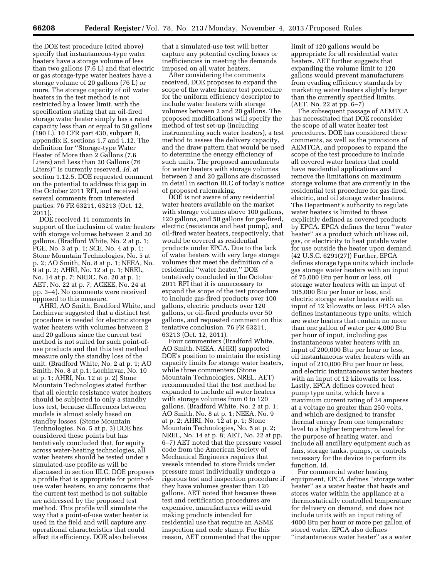the DOE test procedure (cited above) specify that instantaneous-type water heaters have a storage volume of less than two gallons (7.6 L) and that electric or gas storage-type water heaters have a storage volume of 20 gallons (76 L) or more. The storage capacity of oil water heaters in the test method is not restricted by a lower limit, with the specification stating that an oil-fired storage water heater simply has a rated capacity less than or equal to 50 gallons (190 L). 10 CFR part 430, subpart B, appendix E, sections 1.7 and 1.12. The definition for ''Storage-type Water Heater of More than 2 Gallons (7.6 Liters) and Less than 20 Gallons (76 Liters)'' is currently reserved. *Id.* at section 1.12.5. DOE requested comment on the potential to address this gap in the October 2011 RFI, and received several comments from interested parties. 76 FR 63211, 63213 (Oct. 12, 2011).

DOE received 11 comments in support of the inclusion of water heaters with storage volumes between 2 and 20 gallons. (Bradford White, No. 2 at p. 1; PGE, No. 3 at p. 1; SCE, No. 4 at p. 1; Stone Mountain Technologies, No. 5 at p. 2; AO Smith, No. 8 at p. 1; NEEA, No. 9 at p. 2; AHRI, No. 12 at p. 1; NREL, No. 14 at p. 7; NRDC, No. 20 at p. 1; AET, No. 22 at p. 7; ACEEE, No. 24 at pp. 3–4). No comments were received opposed to this measure.

AHRI, AO Smith, Bradford White, and Lochinvar suggested that a distinct test procedure is needed for electric storage water heaters with volumes between 2 and 20 gallons since the current test method is not suited for such point-ofuse products and that this test method measure only the standby loss of the unit. (Bradford White, No. 2 at p. 1; AO Smith, No. 8 at p.1; Lochinvar, No. 10 at p. 1; AHRI, No. 12 at p. 2) Stone Mountain Technologies stated further that all electric resistance water heaters should be subjected to only a standby loss test, because differences between models is almost solely based on standby losses. (Stone Mountain Technologies, No. 5 at p. 3) DOE has considered these points but has tentatively concluded that, for equity across water-heating technologies, all water heaters should be tested under a simulated-use profile as will be discussed in section III.C. DOE proposes a profile that is appropriate for point-ofuse water heaters, so any concerns that the current test method is not suitable are addressed by the proposed test method. This profile will simulate the way that a point-of-use water heater is used in the field and will capture any operational characteristics that could affect its efficiency. DOE also believes

that a simulated-use test will better capture any potential cycling losses or inefficiencies in meeting the demands imposed on all water heaters.

After considering the comments received, DOE proposes to expand the scope of the water heater test procedure for the uniform efficiency descriptor to include water heaters with storage volumes between 2 and 20 gallons. The proposed modifications will specify the method of test set-up (including instrumenting such water heaters), a test method to assess the delivery capacity, and the draw pattern that would be used to determine the energy efficiency of such units. The proposed amendments for water heaters with storage volumes between 2 and 20 gallons are discussed in detail in section III.C of today's notice of proposed rulemaking.

DOE is not aware of any residential water heaters available on the market with storage volumes above 100 gallons, 120 gallons, and 50 gallons for gas-fired, electric (resistance and heat pump), and oil-fired water heaters, respectively, that would be covered as residential products under EPCA. Due to the lack of water heaters with very large storage volumes that meet the definition of a residential ''water heater,'' DOE tentatively concluded in the October 2011 RFI that it is unnecessary to expand the scope of the test procedure to include gas-fired products over 100 gallons, electric products over 120 gallons, or oil-fired products over 50 gallons, and requested comment on this tentative conclusion. 76 FR 63211, 63213 (Oct. 12, 2011).

Four commenters (Bradford White, AO Smith, NEEA, AHRI) supported DOE's position to maintain the existing capacity limits for storage water heaters, while three commenters (Stone Mountain Technologies, NREL, AET) recommended that the test method be expanded to include all water heaters with storage volumes from 0 to 120 gallons. (Bradford White, No. 2 at p. 1; AO Smith, No. 8 at p. 1; NEEA, No. 9 at p. 2; AHRI, No. 12 at p. 1; Stone Mountain Technologies, No. 5 at p. 2; NREL, No. 14 at p. 8; AET, No. 22 at pp. 6–7) AET noted that the pressure vessel code from the American Society of Mechanical Engineers requires that vessels intended to store fluids under pressure must individually undergo a rigorous test and inspection procedure if they have volumes greater than 120 gallons. AET noted that because these test and certification procedures are expensive, manufacturers will avoid making products intended for residential use that require an ASME inspection and code stamp. For this reason, AET commented that the upper

limit of 120 gallons would be appropriate for all residential water heaters. AET further suggests that expanding the volume limit to 120 gallons would prevent manufacturers from evading efficiency standards by marketing water heaters slightly larger than the currently specified limits. (AET, No. 22 at pp. 6–7)

The subsequent passage of AEMTCA has necessitated that DOE reconsider the scope of all water heater test procedures. DOE has considered these comments, as well as the provisions of AEMTCA, and proposes to expand the scope of the test procedure to include all covered water heaters that could have residential applications and remove the limitations on maximum storage volume that are currently in the residential test procedure for gas-fired, electric, and oil storage water heaters. The Department's authority to regulate water heaters is limited to those explicitly defined as covered products by EPCA. EPCA defines the term ''water heater'' as a product which utilizes oil, gas, or electricity to heat potable water for use outside the heater upon demand. (42 U.S.C. 6291(27)) Further, EPCA defines storage type units which include gas storage water heaters with an input of 75,000 Btu per hour or less, oil storage water heaters with an input of 105,000 Btu per hour or less, and electric storage water heaters with an input of 12 kilowatts or less. EPCA also defines instantaneous type units, which are water heaters that contain no more than one gallon of water per 4,000 Btu per hour of input, including gas instantaneous water heaters with an input of 200,000 Btu per hour or less, oil instantaneous water heaters with an input of 210,000 Btu per hour or less, and electric instantaneous water heaters with an input of 12 kilowatts or less. Lastly, EPCA defines covered heat pump type units, which have a maximum current rating of 24 amperes at a voltage no greater than 250 volts, and which are designed to transfer thermal energy from one temperature level to a higher temperature level for the purpose of heating water, and include all ancillary equipment such as fans, storage tanks, pumps, or controls necessary for the device to perform its function. Id.

For commercial water heating equipment, EPCA defines ''storage water heater'' as a water heater that heats and stores water within the appliance at a thermostatically controlled temperature for delivery on demand, and does not include units with an input rating of 4000 Btu per hour or more per gallon of stored water. EPCA also defines ''instantaneous water heater'' as a water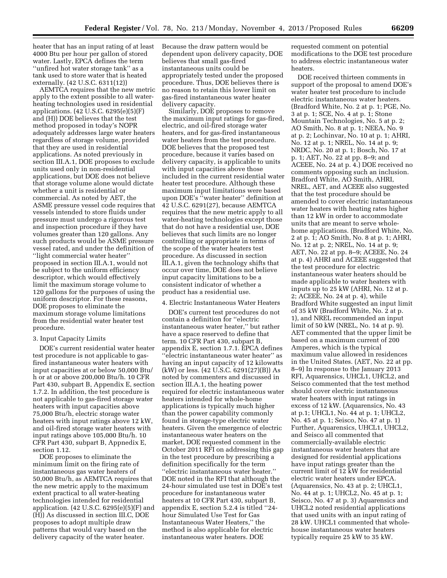heater that has an input rating of at least 4000 Btu per hour per gallon of stored water. Lastly, EPCA defines the term ''unfired hot water storage tank'' as a tank used to store water that is heated externally. (42 U.S.C. 6311(12))

AEMTCA requires that the new metric apply to the extent possible to all waterheating technologies used in residential applications. (42 U.S.C. 6295(e)(5)(F) and (H)) DOE believes that the test method proposed in today's NOPR adequately addresses large water heaters regardless of storage volume, provided that they are used in residential applications. As noted previously in section III.A.1, DOE proposes to exclude units used only in non-residential applications, but DOE does not believe that storage volume alone would dictate whether a unit is residential or commercial. As noted by AET, the ASME pressure vessel code requires that vessels intended to store fluids under pressure must undergo a rigorous test and inspection procedure if they have volumes greater than 120 gallons. Any such products would be ASME pressure vessel rated, and under the definition of ''light commercial water heater'' proposed in section III.A.1, would not be subject to the uniform efficiency descriptor, which would effectively limit the maximum storage volume to 120 gallons for the purposes of using the uniform descriptor. For these reasons, DOE proposes to eliminate the maximum storage volume limitations from the residential water heater test procedure.

#### 3. Input Capacity Limits

DOE's current residential water heater test procedure is not applicable to gasfired instantaneous water heaters with input capacities at or below 50,000 Btu/ h or at or above 200,000 Btu/h. 10 CFR Part 430, subpart B, Appendix E, section 1.7.2. In addition, the test procedure is not applicable to gas-fired storage water heaters with input capacities above 75,000 Btu/h, electric storage water heaters with input ratings above 12 kW, and oil-fired storage water heaters with input ratings above 105,000 Btu/h. 10 CFR Part 430, subpart B, Appnedix E, section 1.12.

DOE proposes to eliminate the minimum limit on the firing rate of instantaneous gas water heaters of 50,000 Btu/h, as AEMTCA requires that the new metric apply to the maximum extent practical to all water-heating technologies intended for residential application. (42 U.S.C. 6295(e)(5)(F) and (H)) As discussed in section III.C, DOE proposes to adopt multiple draw patterns that would vary based on the delivery capacity of the water heater.

Because the draw pattern would be dependent upon delivery capacity, DOE believes that small gas-fired instantaneous units could be appropriately tested under the proposed procedure. Thus, DOE believes there is no reason to retain this lower limit on gas-fired instantaneous water heater delivery capacity.

Similarly, DOE proposes to remove the maximum input ratings for gas-fired, electric, and oil-fired storage water heaters, and for gas-fired instantaneous water heaters from the test procedure. DOE believes that the proposed test procedure, because it varies based on delivery capacity, is applicable to units with input capacities above those included in the current residential water heater test procedure. Although these maximum input limitations were based upon DOE's ''water heater'' definition at 42 U.S.C. 6291(27), because AEMTCA requires that the new metric apply to all water-heating technologies except those that do not have a residential use, DOE believes that such limits are no longer controlling or appropriate in terms of the scope of the water heaters test procedure. As discussed in section III.A.1, given the technology shifts that occur over time, DOE does not believe input capacity limitations to be a consistent indicator of whether a product has a residential use.

#### 4. Electric Instantaneous Water Heaters

DOE's current test procedures do not contain a definition for ''electric instantaneous water heater,'' but rather have a space reserved to define that term. 10 CFR Part 430, subpart B, appendix E, section 1.7.1. EPCA defines ''electric instantaneous water heater'' as having an input capacity of 12 kilowatts (kW) or less. (42 U.S.C. 6291(27)(B)) As noted by commenters and discussed in section III.A.1, the heating power required for electric instantaneous water heaters intended for whole-home applications is typically much higher than the power capability commonly found in storage-type electric water heaters. Given the emergence of electric instantaneous water heaters on the market, DOE requested comment in the October 2011 RFI on addressing this gap in the test procedure by prescribing a definition specifically for the term ''electric instantaneous water heater.'' DOE noted in the RFI that although the 24-hour simulated use test in DOE's test procedure for instantaneous water heaters at 10 CFR Part 430, subpart B, appendix E, section 5.2.4 is titled ''24 hour Simulated Use Test for Gas Instantaneous Water Heaters,'' the method is also applicable for electric instantaneous water heaters. DOE

requested comment on potential modifications to the DOE test procedure to address electric instantaneous water heaters.

DOE received thirteen comments in support of the proposal to amend DOE's water heater test procedure to include electric instantaneous water heaters. (Bradford White, No. 2 at p. 1; PGE, No. 3 at p. 1; SCE, No. 4 at p. 1; Stone Mountain Technologies, No. 5 at p. 2; AO Smith, No. 8 at p. 1; NEEA, No. 9 at p. 2; Lochinvar, No. 10 at p. 1; AHRI, No. 12 at p. 1; NREL, No. 14 at p. 9; NRDC, No. 20 at p. 1; Bosch, No. 17 at p. 1; AET, No. 22 at pp. 8–9; and ACEEE, No. 24 at p. 4.) DOE received no comments opposing such an inclusion. Bradford White, AO Smith, AHRI, NREL, AET, and ACEEE also suggested that the test procedure should be amended to cover electric instantaneous water heaters with heating rates higher than 12 kW in order to accommodate units that are meant to serve wholehome applications. (Bradford White, No. 2 at p. 1; AO Smith, No. 8 at p. 1; AHRI, No. 12 at p. 2; NREL, No. 14 at p. 9; AET, No. 22 at pp. 8–9; ACEEE, No. 24 at p. 4) AHRI and ACEEE suggested that the test procedure for electric instantaneous water heaters should be made applicable to water heaters with inputs up to 25 kW (AHRI, No. 12 at p. 2; ACEEE, No. 24 at p. 4), while Bradford White suggested an input limit of 35 kW (Bradford White, No. 2 at p. 1), and NREL recommended an input limit of 50 kW (NREL, No. 14 at p. 9). AET commented that the upper limit be based on a maximum current of 200 Amperes, which is the typical maximum value allowed in residences in the United States. (AET, No. 22 at pp. 8–9) In response to the January 2013 RFI, Aquarensics, UHCL1, UHCL2, and Seisco commented that the test method should cover electric instantaneous water heaters with input ratings in excess of 12 kW. (Aquarensics, No. 43 at p.1; UHCL1, No. 44 at p. 1; UHCL2, No. 45 at p. 1; Seisco, No. 47 at p. 1) Further, Aquarensics, UHCL1, UHCL2, and Seisco all commented that commercially-available electric instantaneous water heaters that are designed for residential applications have input ratings greater than the current limit of 12 kW for residential electric water heaters under EPCA. (Aquarensics, No. 43 at p. 2; UHCL1, No. 44 at p. 1; UHCL2, No. 45 at p. 1; Seisco, No. 47 at p. 3) Aquarensics and UHCL2 noted residential applications that used units with an input rating of 28 kW. UHCL1 commented that wholehouse instantaneous water heaters typically require 25 kW to 35 kW.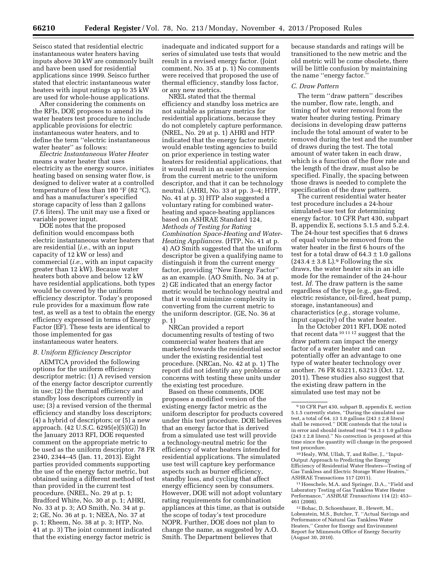Seisco stated that residential electric instantaneous water heaters having inputs above 30 kW are commonly built and have been used for residential applications since 1999. Seisco further stated that electric instantaneous water heaters with input ratings up to 35 kW are used for whole-house applications.

After considering the comments on the RFIs, DOE proposes to amend its water heaters test procedure to include applicable provisions for electric instantaneous water heaters, and to define the term ''electric instantaneous water heater'' as follows:

*Electric Instantaneous Water Heater*  means a water heater that uses electricity as the energy source, initiates heating based on sensing water flow, is designed to deliver water at a controlled temperature of less than 180 °F (82 °C), and has a manufacturer's specified storage capacity of less than 2 gallons (7.6 liters). The unit may use a fixed or variable power input.

DOE notes that the proposed definition would encompass both electric instantaneous water heaters that are residential (*i.e.,* with an input capacity of 12 kW or less) and commercial (*i.e.,* with an input capacity greater than 12 kW). Because water heaters both above and below 12 kW have residential applications, both types would be covered by the uniform efficiency descriptor. Today's proposed rule provides for a maximum flow rate test, as well as a test to obtain the energy efficiency expressed in terms of Energy Factor (EF). These tests are identical to those implemented for gas instantaneous water heaters.

#### *B. Uniform Efficiency Descriptor*

AEMTCA provided the following options for the uniform efficiency descriptor metric: (1) A revised version of the energy factor descriptor currently in use; (2) the thermal efficiency and standby loss descriptors currently in use; (3) a revised version of the thermal efficiency and standby loss descriptors; (4) a hybrid of descriptors; or (5) a new approach. (42 U.S.C. 6295(e)(5)(G)) In the January 2013 RFI, DOE requested comment on the appropriate metric to be used as the uniform descriptor. 78 FR 2340, 2344–45 (Jan. 11, 2013). Eight parties provided comments supporting the use of the energy factor metric, but obtained using a different method of test than provided in the current test procedure. (NREL, No. 29 at p. 1; Bradford White, No. 30 at p. 1; AHRI, No. 33 at p. 3; AO Smith, No. 34 at p. 2; GE, No. 36 at p. 1; NEEA, No. 37 at p. 1; Rheem, No. 38 at p. 3; HTP, No. 41 at p. 3) The joint comment indicated that the existing energy factor metric is

inadequate and indicated support for a series of simulated use tests that would result in a revised energy factor. (Joint comment, No. 35 at p. 1) No comments were received that proposed the use of thermal efficiency, standby loss factor, or any new metrics.

NREL stated that the thermal efficiency and standby loss metrics are not suitable as primary metrics for residential applications, because they do not completely capture performance. (NREL, No. 29 at p. 1) AHRI and HTP indicated that the energy factor metric would enable testing agencies to build on prior experience in testing water heaters for residential applications, that it would result in an easier conversion from the current metric to the uniform descriptor, and that it can be technology neutral. (AHRI, No. 33 at pp. 3–4; HTP, No. 41 at p. 3) HTP also suggested a voluntary rating for combined waterheating and space-heating appliances based on ASHRAE Standard 124, *Methods of Testing for Rating Combination Space-Heating and Water-Heating Appliances.* (HTP, No. 41 at p. 4) AO Smith suggested that the uniform descriptor be given a qualifying name to distinguish it from the current energy factor, providing ''New Energy Factor'' as an example. (AO Smith, No. 34 at p. 2) GE indicated that an energy factor metric would be technology neutral and that it would minimize complexity in converting from the current metric to the uniform descriptor. (GE, No. 36 at p. 1)

NRCan provided a report documenting results of testing of two commercial water heaters that are marketed towards the residential sector under the existing residential test procedure. (NRCan, No. 42 at p. 1) The report did not identify any problems or concerns with testing these units under the existing test procedure.

Based on these comments, DOE proposes a modified version of the existing energy factor metric as the uniform descriptor for products covered under this test procedure. DOE believes that an energy factor that is derived from a simulated use test will provide a technology-neutral metric for the efficiency of water heaters intended for residential applications. The simulated use test will capture key performance aspects such as burner efficiency, standby loss, and cycling that affect energy efficiency seen by consumers. However, DOE will not adopt voluntary rating requirements for combination appliances at this time, as that is outside the scope of today's test procedure NOPR. Further, DOE does not plan to change the name, as suggested by A.O. Smith. The Department believes that

because standards and ratings will be transitioned to the new metric and the old metric will be come obsolete, there will be little confusion by maintaining the name ''energy factor.''

#### *C. Draw Pattern*

The term ''draw pattern'' describes the number, flow rate, length, and timing of hot water removal from the water heater during testing. Primary decisions in developing draw patterns include the total amount of water to be removed during the test and the number of draws during the test. The total amount of water taken in each draw, which is a function of the flow rate and the length of the draw, must also be specified. Finally, the spacing between those draws is needed to complete the specification of the draw pattern.

The current residential water heater test procedure includes a 24-hour simulated-use test for determining energy factor. 10 CFR Part 430, subpart B, appendix E, sections 5.1.5 and 5.2.4. The 24-hour test specifies that 6 draws of equal volume be removed from the water heater in the first 6 hours of the test for a total draw of  $64.3 \pm 1.0$  gallons  $(243.4 \pm 3.8 \text{ L})$ .<sup>9</sup> Following the six draws, the water heater sits in an idle mode for the remainder of the 24-hour test. *Id.* The draw pattern is the same regardless of the type (e.g., gas-fired, electric resistance, oil-fired, heat pump, storage, instantaneous) and characteristics (*e.g.,* storage volume, input capacity) of the water heater.

In the October 2011 RFI, DOE noted that recent data 10 11 12 suggest that the draw pattern can impact the energy factor of a water heater and can potentially offer an advantage to one type of water heater technology over another. 76 FR 63211, 63213 (Oct. 12, 2011). These studies also suggest that the existing draw pattern in the simulated use test may not be

10Healy, WM, Ullah, T, and Roller, J., ''Input-Output Approach to Predicting the Energy Efficiency of Residential Water Heaters—Testing of Gas Tankless and Electric Storage Water Heaters, ASHRAE Transactions 117 (2011).

11Hoeschele, M.A. and Springer, D.A., ''Field and Laboratory Testing of Gas Tankless Water Heater Performance,'' *ASHRAE Transactions* 114 (2): 453– 461 (2008).

12Bohac, D, Schoenbauer, B., Hewett, M., Lobenstein, M.S., Butcher, T. ''Actual Savings and Performance of Natural Gas Tankless Water Heaters,'' Center for Energy and Environment Report for Minnesota Office of Energy Security (August 30, 2010).

<sup>9</sup> 10 CFR Part 430, subpart B, appendix E, section 5.1.5 currently states, ''During the simulated use test, a total of 64.  $\pm$ 3 1.0 gallons (243  $\pm$  2.8 liters) shall be removed.'' DOE contends that the total is in error and should instead read ''64.3 ± 1.0 gallons  $(243 \pm 2.8$  liters)." No correction is proposed at this time since the quantity will change in the proposed test procedure.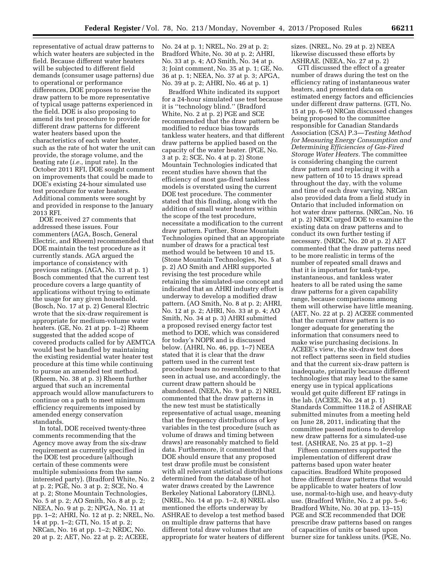representative of actual draw patterns to which water heaters are subjected in the field. Because different water heaters will be subjected to different field demands (consumer usage patterns) due to operational or performance differences, DOE proposes to revise the draw pattern to be more representative of typical usage patterns experienced in the field. DOE is also proposing to amend its test procedure to provide for different draw patterns for different water heaters based upon the characteristics of each water heater, such as the rate of hot water the unit can provide, the storage volume, and the heating rate (*i.e.,* input rate). In the October 2011 RFI, DOE sought comment on improvements that could be made to DOE's existing 24-hour simulated use test procedure for water heaters. Additional comments were sought by and provided in response to the January 2013 RFI.

DOE received 27 comments that addressed these issues. Four commenters (AGA, Bosch, General Electric, and Rheem) recommended that DOE maintain the test procedure as it currently stands. AGA argued the importance of consistency with previous ratings. (AGA, No. 13 at p. 1) Bosch commented that the current test procedure covers a large quantity of applications without trying to estimate the usage for any given household. (Bosch, No. 17 at p. 2) General Electric wrote that the six-draw requirement is appropriate for medium-volume water heaters. (GE, No. 21 at pp. 1–2) Rheem suggested that the added scope of covered products called for by AEMTCA would best be handled by maintaining the existing residential water heater test procedure at this time while continuing to pursue an amended test method. (Rheem, No. 38 at p. 3) Rheem further argued that such an incremental approach would allow manufacturers to continue on a path to meet minimum efficiency requirements imposed by amended energy conservation standards.

In total, DOE received twenty-three comments recommending that the Agency move away from the six-draw requirement as currently specified in the DOE test procedure (although certain of these comments were multiple submissions from the same interested party). (Bradford White, No. 2 at p. 2; PGE, No. 3 at p. 2; SCE, No. 4 at p. 2; Stone Mountain Technologies, No. 5 at p. 2; AO Smith, No. 8 at p. 2; NEEA, No. 9 at p. 2; NPGA, No. 11 at pp. 1–2; AHRI, No. 12 at p. 2; NREL, No. 14 at pp. 1–2; GTI, No. 15 at p. 2; NRCan, No. 16 at pp. 1–2; NRDC, No. 20 at p. 2; AET, No. 22 at p. 2; ACEEE,

No. 24 at p. 1; NREL, No. 29 at p. 2; Bradford White, No. 30 at p. 2; AHRI, No. 33 at p. 4; AO Smith, No. 34 at p. 3; Joint comment, No. 35 at p. 1; GE, No. 36 at p. 1; NEEA, No. 37 at p. 3; APGA, No. 39 at p. 2; AHRI, No. 46 at p. 1)

Bradford White indicated its support for a 24-hour simulated use test because it is ''technology blind.'' (Bradford White, No. 2 at p. 2) PGE and SCE recommended that the draw pattern be modified to reduce bias towards tankless water heaters, and that different draw patterns be applied based on the capacity of the water heater. (PGE, No. 3 at p. 2; SCE, No. 4 at p. 2) Stone Mountain Technologies indicated that recent studies have shown that the efficiency of most gas-fired tankless models is overstated using the current DOE test procedure. The commenter stated that this finding, along with the addition of small water heaters within the scope of the test procedure, necessitate a modification to the current draw pattern. Further, Stone Mountain Technologies opined that an appropriate number of draws for a practical test method would be between 10 and 15. (Stone Mountain Technologies, No. 5 at p. 2) AO Smith and AHRI supported revising the test procedure while retaining the simulated-use concept and indicated that an AHRI industry effort is underway to develop a modified draw pattern. (AO Smith, No. 8 at p. 2; AHRI, No. 12 at p. 2; AHRI, No. 33 at p. 4; AO Smith, No. 34 at p. 3) AHRI submitted a proposed revised energy factor test method to DOE, which was considered for today's NOPR and is discussed below. (AHRI, No. 46, pp. 1–7) NEEA stated that it is clear that the draw pattern used in the current test procedure bears no resemblance to that seen in actual use, and accordingly, the current draw pattern should be abandoned. (NEEA, No. 9 at p. 2) NREL commented that the draw patterns in the new test must be statistically representative of actual usage, meaning that the frequency distributions of key variables in the test procedure (such as volume of draws and timing between draws) are reasonably matched to field data. Furthermore, it commented that DOE should ensure that any proposed test draw profile must be consistent with all relevant statistical distributions determined from the database of hot water draws created by the Lawrence Berkeley National Laboratory (LBNL). (NREL, No. 14 at pp. 1–2, 8) NREL also mentioned the efforts underway by ASHRAE to develop a test method based on multiple draw patterns that have different total draw volumes that are appropriate for water heaters of different sizes. (NREL, No. 29 at p. 2) NEEA likewise discussed these efforts by ASHRAE. (NEEA, No. 27 at p. 2)

GTI discussed the effect of a greater number of draws during the test on the efficiency rating of instantaneous water heaters, and presented data on estimated energy factors and efficiencies under different draw patterns. (GTI, No. 15 at pp. 6–9) NRCan discussed changes being proposed to the committee responsible for Canadian Standards Association (CSA) P.3—*Testing Method for Measuring Energy Consumption and Determining Efficiencies of Gas-Fired Storage Water Heaters.* The committee is considering changing the current draw pattern and replacing it with a new pattern of 10 to 15 draws spread throughout the day, with the volume and time of each draw varying. NRCan also provided data from a field study in Ontario that included information on hot water draw patterns. (NRCan, No. 16 at p. 2) NRDC urged DOE to examine the existing data on draw patterns and to conduct its own further testing if necessary. (NRDC, No. 20 at p. 2) AET commented that the draw patterns need to be more realistic in terms of the number of repeated small draws and that it is important for tank-type, instantaneous, and tankless water heaters to all be rated using the same draw patterns for a given capability range, because comparisons among them will otherwise have little meaning. (AET, No. 22 at p. 2) ACEEE commented that the current draw pattern is no longer adequate for generating the information that consumers need to make wise purchasing decisions. In ACEEE's view, the six-draw test does not reflect patterns seen in field studies and that the current six-draw pattern is inadequate, primarily because different technologies that may lead to the same energy use in typical applications would get quite different EF ratings in the lab. (ACEEE, No. 24 at p. 1) Standards Committee 118.2 of ASHRAE submitted minutes from a meeting held on June 28, 2011, indicating that the committee passed motions to develop new draw patterns for a simulated-use test. (ASHRAE, No. 25 at pp. 1–2)

Fifteen commenters supported the implementation of different draw patterns based upon water heater capacities. Bradford White proposed three different draw patterns that would be applicable to water heaters of low use, normal-to-high use, and heavy-duty use. (Bradford White, No. 2 at pp. 5–6; Bradford White, No. 30 at pp. 13–15) PGE and SCE recommended that DOE prescribe draw patterns based on ranges of capacities of units or based upon burner size for tankless units. (PGE, No.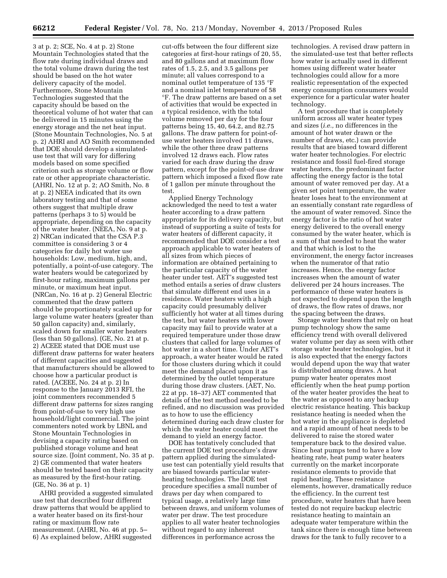3 at p. 2; SCE, No. 4 at p. 2) Stone Mountain Technologies stated that the flow rate during individual draws and the total volume drawn during the test should be based on the hot water delivery capacity of the model. Furthermore, Stone Mountain Technologies suggested that the capacity should be based on the theoretical volume of hot water that can be delivered in 15 minutes using the energy storage and the net heat input. (Stone Mountain Technologies, No. 5 at p. 2) AHRI and AO Smith recommended that DOE should develop a simulateduse test that will vary for differing models based on some specified criterion such as storage volume or flow rate or other appropriate characteristic. (AHRI, No. 12 at p. 2; AO Smith, No. 8 at p. 2) NEEA indicated that its own laboratory testing and that of some others suggest that multiple draw patterns (perhaps 3 to 5) would be appropriate, depending on the capacity of the water heater. (NEEA, No. 9 at p. 2) NRCan indicated that the CSA P.3 committee is considering 3 or 4 categories for daily hot water use households: Low, medium, high, and, potentially, a point-of-use category. The water heaters would be categorized by first-hour rating, maximum gallons per minute, or maximum heat input. (NRCan, No. 16 at p. 2) General Electric commented that the draw pattern should be proportionately scaled up for large volume water heaters (greater than 50 gallon capacity) and, similarly, scaled down for smaller water heaters (less than 50 gallons). (GE, No. 21 at p. 2) ACEEE stated that DOE must use different draw patterns for water heaters of different capacities and suggested that manufacturers should be allowed to choose how a particular product is rated. (ACEEE, No. 24 at p. 2) In response to the January 2013 RFI, the joint commenters recommended 5 different draw patterns for sizes ranging from point-of-use to very high use household/light commercial. The joint commenters noted work by LBNL and Stone Mountain Technologies in devising a capacity rating based on published storage volume and heat source size. (Joint comment, No. 35 at p. 2) GE commented that water heaters should be tested based on their capacity as measured by the first-hour rating. (GE, No. 36 at p. 1)

AHRI provided a suggested simulated use test that described four different draw patterns that would be applied to a water heater based on its first-hour rating or maximum flow rate measurement. (AHRI, No. 46 at pp. 5– 6) As explained below, AHRI suggested

cut-offs between the four different size categories at first-hour ratings of 20, 55, and 80 gallons and at maximum flow rates of 1.5, 2.5, and 3.5 gallons per minute; all values correspond to a nominal outlet temperature of 135 °F and a nominal inlet temperature of 58 °F. The draw patterns are based on a set of activities that would be expected in a typical residence, with the total volume removed per day for the four patterns being 15, 40, 64.2, and 82.75 gallons. The draw pattern for point-ofuse water heaters involved 11 draws, while the other three draw patterns involved 12 draws each. Flow rates varied for each draw during the draw pattern, except for the point-of-use draw pattern which imposed a fixed flow rate of 1 gallon per minute throughout the test.

Applied Energy Technology acknowledged the need to test a water heater according to a draw pattern appropriate for its delivery capacity, but instead of supporting a suite of tests for water heaters of different capacity, it recommended that DOE consider a test approach applicable to water heaters of all sizes from which pieces of information are obtained pertaining to the particular capacity of the water heater under test. AET's suggested test method entails a series of draw clusters that simulate different end uses in a residence. Water heaters with a high capacity could presumably deliver sufficiently hot water at all times during the test, but water heaters with lower capacity may fail to provide water at a required temperature under those draw clusters that called for large volumes of hot water in a short time. Under AET's approach, a water heater would be rated for those clusters during which it could meet the demand placed upon it as determined by the outlet temperature during those draw clusters. (AET, No. 22 at pp. 18–37) AET commented that details of the test method needed to be refined, and no discussion was provided as to how to use the efficiency determined during each draw cluster for which the water heater could meet the demand to yield an energy factor.

DOE has tentatively concluded that the current DOE test procedure's draw pattern applied during the simulateduse test can potentially yield results that are biased towards particular waterheating technologies. The DOE test procedure specifies a small number of draws per day when compared to typical usage, a relatively large time between draws, and uniform volumes of water per draw. The test procedure applies to all water heater technologies without regard to any inherent differences in performance across the

technologies. A revised draw pattern in the simulated-use test that better reflects how water is actually used in different homes using different water heater technologies could allow for a more realistic representation of the expected energy consumption consumers would experience for a particular water heater technology.

A test procedure that is completely uniform across all water heater types and sizes (*i.e.,* no differences in the amount of hot water drawn or the number of draws, etc.) can provide results that are biased toward different water heater technologies. For electric resistance and fossil fuel-fired storage water heaters, the predominant factor affecting the energy factor is the total amount of water removed per day. At a given set point temperature, the water heater loses heat to the environment at an essentially constant rate regardless of the amount of water removed. Since the energy factor is the ratio of hot water energy delivered to the overall energy consumed by the water heater, which is a sum of that needed to heat the water and that which is lost to the environment, the energy factor increases when the numerator of that ratio increases. Hence, the energy factor increases when the amount of water delivered per 24 hours increases. The performance of these water heaters is not expected to depend upon the length of draws, the flow rates of draws, nor the spacing between the draws.

Storage water heaters that rely on heat pump technology show the same efficiency trend with overall delivered water volume per day as seen with other storage water heater technologies, but it is also expected that the energy factors would depend upon the way that water is distributed among draws. A heat pump water heater operates most efficiently when the heat pump portion of the water heater provides the heat to the water as opposed to any backup electric resistance heating. This backup resistance heating is needed when the hot water in the appliance is depleted and a rapid amount of heat needs to be delivered to raise the stored water temperature back to the desired value. Since heat pumps tend to have a low heating rate, heat pump water heaters currently on the market incorporate resistance elements to provide that rapid heating. These resistance elements, however, dramatically reduce the efficiency. In the current test procedure, water heaters that have been tested do not require backup electric resistance heating to maintain an adequate water temperature within the tank since there is enough time between draws for the tank to fully recover to a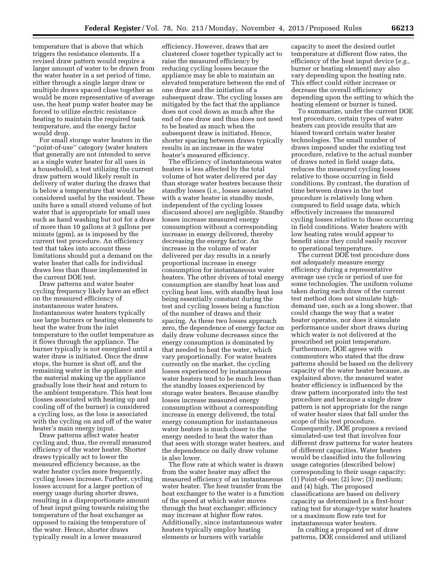temperature that is above that which triggers the resistance elements. If a revised draw pattern would require a larger amount of water to be drawn from the water heater in a set period of time, either through a single larger draw or multiple draws spaced close together as would be more representative of average use, the heat pump water heater may be forced to utilize electric resistance heating to maintain the required tank temperature, and the energy factor would drop.

For small storage water heaters in the ''point-of-use'' category (water heaters that generally are not intended to serve as a single water heater for all uses in a household), a test utilizing the current draw pattern would likely result in delivery of water during the draws that is below a temperature that would be considered useful by the resident. These units have a small stored volume of hot water that is appropriate for small uses such as hand washing but not for a draw of more than 10 gallons at 3 gallons per minute (gpm), as is imposed by the current test procedure. An efficiency test that takes into account these limitations should put a demand on the water heater that calls for individual draws less than those implemented in the current DOE test.

Draw patterns and water heater cycling frequency likely have an effect on the measured efficiency of instantaneous water heaters. Instantaneous water heaters typically use large burners or heating elements to heat the water from the inlet temperature to the outlet temperature as it flows through the appliance. The burner typically is not energized until a water draw is initiated. Once the draw stops, the burner is shut off, and the remaining water in the appliance and the material making up the appliance gradually lose their heat and return to the ambient temperature. This heat loss (losses associated with heating up and cooling off of the burner) is considered a cycling loss, as the loss is associated with the cycling on and off of the water heater's main energy input.

Draw patterns affect water heater cycling and, thus, the overall measured efficiency of the water heater. Shorter draws typically act to lower the measured efficiency because, as the water heater cycles more frequently, cycling losses increase. Further, cycling losses account for a larger portion of energy usage during shorter draws, resulting in a disproportionate amount of heat input going towards raising the temperature of the heat exchanger as opposed to raising the temperature of the water. Hence, shorter draws typically result in a lower measured

efficiency. However, draws that are clustered closer together typically act to raise the measured efficiency by reducing cycling losses because the appliance may be able to maintain an elevated temperature between the end of one draw and the initiation of a subsequent draw. The cycling losses are mitigated by the fact that the appliance does not cool down as much after the end of one draw and thus does not need to be heated as much when the subsequent draw is initiated. Hence, shorter spacing between draws typically results in an increase in the water heater's measured efficiency.

The efficiency of instantaneous water heaters is less affected by the total volume of hot water delivered per day than storage water heaters because their standby losses (i.e., losses associated with a water heater in standby mode, independent of the cycling losses discussed above) are negligible. Standby losses increase measured energy consumption without a corresponding increase in energy delivered, thereby decreasing the energy factor. An increase in the volume of water delivered per day results in a nearly proportional increase in energy consumption for instantaneous water heaters. The other drivers of total energy consumption are standby heat loss and cycling heat loss, with standby heat loss being essentially constant during the test and cycling losses being a function of the number of draws and their spacing. As these two losses approach zero, the dependence of energy factor on daily draw volume decreases since the energy consumption is dominated by that needed to heat the water, which vary proportionally. For water heaters currently on the market, the cycling losses experienced by instantaneous water heaters tend to be much less than the standby losses experienced by storage water heaters. Because standby losses increase measured energy consumption without a corresponding increase in energy delivered, the total energy consumption for instantaneous water heaters is much closer to the energy needed to heat the water than that seen with storage water heaters, and the dependence on daily draw volume is also lower.

The flow rate at which water is drawn from the water heater may affect the measured efficiency of an instantaneous water heater. The heat transfer from the heat exchanger to the water is a function of the speed at which water moves through the heat exchanger; efficiency may increase at higher flow rates. Additionally, since instantaneous water heaters typically employ heating elements or burners with variable

capacity to meet the desired outlet temperature at different flow rates, the efficiency of the heat input device (*e.g.,*  burner or heating element) may also vary depending upon the heating rate. This effect could either increase or decrease the overall efficiency depending upon the setting to which the heating element or burner is tuned.

To summarize, under the current DOE test procedure, certain types of water heaters can provide results that are biased toward certain water heater technologies. The small number of draws imposed under the existing test procedure, relative to the actual number of draws noted in field usage data, reduces the measured cycling losses relative to those occurring in field conditions. By contrast, the duration of time between draws in the test procedure is relatively long when compared to field usage data, which effectively increases the measured cycling losses relative to those occurring in field conditions. Water heaters with low heating rates would appear to benefit since they could easily recover to operational temperature.

The current DOE test procedure does not adequately measure energy efficiency during a representative average use cycle or period of use for some technologies. The uniform volume taken during each draw of the current test method does not simulate highdemand use, such as a long shower, that could change the way that a water heater operates, nor does it simulate performance under short draws during which water is not delivered at the prescribed set point temperature. Furthermore, DOE agrees with commenters who stated that the draw patterns should be based on the delivery capacity of the water heater because, as explained above, the measured water heater efficiency is influenced by the draw pattern incorporated into the test procedure and because a single draw pattern is not appropriate for the range of water heater sizes that fall under the scope of this test procedure. Consequently, DOE proposes a revised simulated-use test that involves four different draw patterns for water heaters of different capacities. Water heaters would be classified into the following usage categories (described below) corresponding to their usage capacity: (1) Point-of-use; (2) low; (3) medium; and (4) high. The proposed classifications are based on delivery capacity as determined in a first-hour rating test for storage-type water heaters or a maximum flow rate test for instantaneous water heaters.

In crafting a proposed set of draw patterns, DOE considered and utilized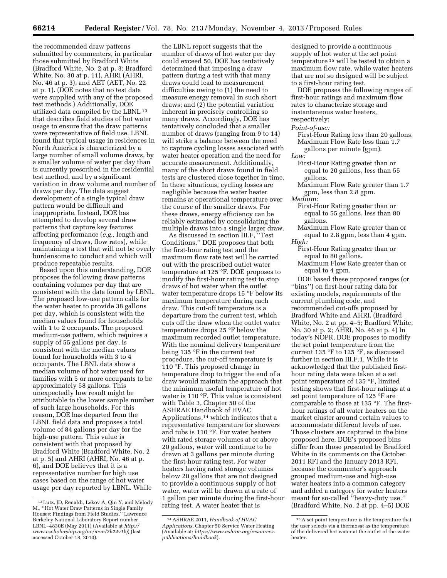the recommended draw patterns submitted by commenters, in particular those submitted by Bradford White (Bradford White, No. 2 at p. 3; Bradford White, No. 30 at p. 11), AHRI (AHRI, No. 46 at p. 3), and AET (AET, No. 22 at p. 1). (DOE notes that no test data were supplied with any of the proposed test methods.) Additionally, DOE utilized data compiled by the LBNL 13 that describes field studies of hot water usage to ensure that the draw patterns were representative of field use. LBNL found that typical usage in residences in North America is characterized by a large number of small volume draws, by a smaller volume of water per day than is currently prescribed in the residential test method, and by a significant variation in draw volume and number of draws per day. The data suggest development of a single typical draw pattern would be difficult and inappropriate. Instead, DOE has attempted to develop several draw patterns that capture key features affecting performance (*e.g.,* length and frequency of draws, flow rates), while maintaining a test that will not be overly burdensome to conduct and which will produce repeatable results.

Based upon this understanding, DOE proposes the following draw patterns containing volumes per day that are consistent with the data found by LBNL. The proposed low-use pattern calls for the water heater to provide 38 gallons per day, which is consistent with the median values found for households with 1 to 2 occupants. The proposed medium-use pattern, which requires a supply of 55 gallons per day, is consistent with the median values found for households with 3 to 4 occupants. The LBNL data show a median volume of hot water used for families with 5 or more occupants to be approximately 58 gallons. This unexpectedly low result might be attributable to the lower sample number of such large households. For this reason, DOE has departed from the LBNL field data and proposes a total volume of 84 gallons per day for the high-use pattern. This value is consistent with that proposed by Bradford White (Bradford White, No. 2 at p. 5) and AHRI (AHRI, No. 46 at p. 6), and DOE believes that it is a representative number for high use cases based on the range of hot water usage per day reported by LBNL. While

the LBNL report suggests that the number of draws of hot water per day could exceed 50, DOE has tentatively determined that imposing a draw pattern during a test with that many draws could lead to measurement difficulties owing to (1) the need to measure energy removal in such short draws; and (2) the potential variation inherent in precisely controlling so many draws. Accordingly, DOE has tentatively concluded that a smaller number of draws (ranging from 9 to 14) will strike a balance between the need to capture cycling losses associated with water heater operation and the need for accurate measurement. Additionally, many of the short draws found in field tests are clustered close together in time. In these situations, cycling losses are negligible because the water heater remains at operational temperature over the course of the smaller draws. For these draws, energy efficiency can be reliably estimated by consolidating the multiple draws into a single larger draw.

As discussed in section III.F, ''Test Conditions,'' DOE proposes that both the first-hour rating test and the maximum flow rate test will be carried out with the prescribed outlet water temperature at 125 °F. DOE proposes to modify the first-hour rating test to stop draws of hot water when the outlet water temperature drops 15 °F below its maximum temperature during each draw. This cut-off temperature is a departure from the current test, which cuts off the draw when the outlet water temperature drops 25 °F below the maximum recorded outlet temperature. With the nominal delivery temperature being 135 °F in the current test procedure, the cut-off temperature is 110 °F. This proposed change in temperature drop to trigger the end of a draw would maintain the approach that the minimum useful temperature of hot water is 110 °F. This value is consistent with Table 3, Chapter 50 of the ASHRAE Handbook of HVAC Applications,14 which indicates that a representative temperature for showers and tubs is 110 °F. For water heaters with rated storage volumes at or above 20 gallons, water will continue to be drawn at 3 gallons per minute during the first-hour rating test. For water heaters having rated storage volumes below 20 gallons that are not designed to provide a continuous supply of hot water, water will be drawn at a rate of 1 gallon per minute during the first-hour rating test. A water heater that is

designed to provide a continuous supply of hot water at the set point temperature 15 will be tested to obtain a maximum flow rate, while water heaters that are not so designed will be subject to a first-hour rating test.

DOE proposes the following ranges of first-hour ratings and maximum flow rates to characterize storage and instantaneous water heaters, respectively:

#### *Point-of-use:*

First-Hour Rating less than 20 gallons. Maximum Flow Rate less than 1.7 gallons per minute (gpm).

- *Low:* 
	- First-Hour Rating greater than or equal to 20 gallons, less than 55 gallons.
	- Maximum Flow Rate greater than 1.7 gpm, less than 2.8 gpm.

*Medium:* 

- First-Hour Rating greater than or equal to 55 gallons, less than 80 gallons.
- Maximum Flow Rate greater than or equal to 2.8 gpm, less than 4 gpm. *High:*

- First-Hour Rating greater than or equal to 80 gallons.
- Maximum Flow Rate greater than or equal to 4 gpm.

DOE based these proposed ranges (or ''bins'') on first-hour rating data for existing models, requirements of the current plumbing code, and recommended cut-offs proposed by Bradford White and AHRI. (Bradford White, No. 2 at pp. 4–5; Bradford White, No. 30 at p. 2; AHRI, No. 46 at p. 4) In today's NOPR, DOE proposes to modify the set point temperature from the current 135 °F to 125 °F, as discussed further in section III.F.1. While it is acknowledged that the published firsthour rating data were taken at a set point temperature of 135 °F, limited testing shows that first-hour ratings at a set point temperature of 125 °F are comparable to those at 135 °F. The firsthour ratings of all water heaters on the market cluster around certain values to accommodate different levels of use. Those clusters are captured in the bins proposed here. DOE's proposed bins differ from those presented by Bradford White in its comments on the October 2011 RFI and the January 2013 RFI, because the commenter's approach grouped medium-use and high-use water heaters into a common category and added a category for water heaters meant for so-called ''heavy-duty use.'' (Bradford White, No. 2 at pp. 4–5) DOE

<sup>13</sup>Lutz, JD, Renaldi, Lekov A, Qin Y, and Melody M., ''Hot Water Draw Patterns in Single Family Houses: Findings from Field Studies,'' Lawrence Berkeley National Laboratory Report number LBNL–4830E (May 2011) (Available at *[http://](http://www.escholarship.org/uc/item/2k24v1kj)  [www.escholarship.org/uc/item/2k24v1kj](http://www.escholarship.org/uc/item/2k24v1kj)*) (last accessed October 18, 2013).

<sup>14</sup>ASHRAE 2011, *Handbook of HVAC Applications,* Chapter 50 Service Water Heating (Available at: *[https://www.ashrae.org/resources](https://www.ashrae.org/resources-publications/handbook)[publications/handbook](https://www.ashrae.org/resources-publications/handbook)*).

<sup>15</sup>A set point temperature is the temperature that the user selects via a thermosat as the temperature of the delivered hot water at the outlet of the water heater.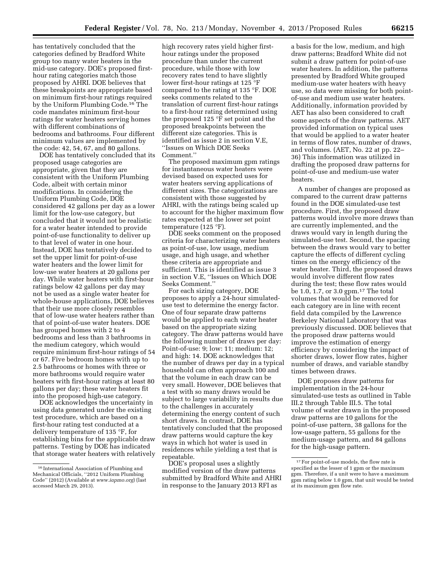has tentatively concluded that the categories defined by Bradford White group too many water heaters in the mid-use category. DOE's proposed firsthour rating categories match those proposed by AHRI. DOE believes that these breakpoints are appropriate based on minimum first-hour ratings required by the Uniform Plumbing Code.16 The code mandates minimum first-hour ratings for water heaters serving homes with different combinations of bedrooms and bathrooms. Four different minimum values are implemented by the code: 42, 54, 67, and 80 gallons.

DOE has tentatively concluded that its proposed usage categories are appropriate, given that they are consistent with the Uniform Plumbing Code, albeit with certain minor modifications. In considering the Uniform Plumbing Code, DOE considered 42 gallons per day as a lower limit for the low-use category, but concluded that it would not be realistic for a water heater intended to provide point-of-use functionality to deliver up to that level of water in one hour. Instead, DOE has tentatively decided to set the upper limit for point-of-use water heaters and the lower limit for low-use water heaters at 20 gallons per day. While water heaters with first-hour ratings below 42 gallons per day may not be used as a single water heater for whole-house applications, DOE believes that their use more closely resembles that of low-use water heaters rather than that of point-of-use water heaters. DOE has grouped homes with 2 to 4 bedrooms and less than 3 bathrooms in the medium category, which would require minimum first-hour ratings of 54 or 67. Five bedroom homes with up to 2.5 bathrooms or homes with three or more bathrooms would require water heaters with first-hour ratings at least 80 gallons per day; these water heaters fit into the proposed high-use category.

DOE acknowledges the uncertainty in using data generated under the existing test procedure, which are based on a first-hour rating test conducted at a delivery temperature of 135 °F, for establishing bins for the applicable draw patterns. Testing by DOE has indicated that storage water heaters with relatively

high recovery rates yield higher firsthour ratings under the proposed procedure than under the current procedure, while those with low recovery rates tend to have slightly lower first-hour ratings at 125 °F compared to the rating at 135 °F. DOE seeks comments related to the translation of current first-hour ratings to a first-hour rating determined using the proposed 125 °F set point and the proposed breakpoints between the different size categories. This is identified as issue 2 in section V.E, ''Issues on Which DOE Seeks Comment<sup>"</sup>

The proposed maximum gpm ratings for instantaneous water heaters were devised based on expected uses for water heaters serving applications of different sizes. The categorizations are consistent with those suggested by AHRI, with the ratings being scaled up to account for the higher maximum flow rates expected at the lower set point temperature (125 °F).

DOE seeks comment on the proposed criteria for characterizing water heaters as point-of-use, low usage, medium usage, and high usage, and whether these criteria are appropriate and sufficient. This is identified as issue 3 in section V.E, ''Issues on Which DOE Seeks Comment.''

For each sizing category, DOE proposes to apply a 24-hour simulateduse test to determine the energy factor. One of four separate draw patterns would be applied to each water heater based on the appropriate sizing category. The draw patterns would have the following number of draws per day: Point-of-use: 9; low: 11; medium: 12; and high: 14. DOE acknowledges that the number of draws per day in a typical household can often approach 100 and that the volume in each draw can be very small. However, DOE believes that a test with so many draws would be subject to large variability in results due to the challenges in accurately determining the energy content of such short draws. In contrast, DOE has tentatively concluded that the proposed draw patterns would capture the key ways in which hot water is used in residences while yielding a test that is repeatable.

DOE's proposal uses a slightly modified version of the draw patterns submitted by Bradford White and AHRI in response to the January 2013 RFI as

a basis for the low, medium, and high draw patterns; Bradford White did not submit a draw pattern for point-of-use water heaters. In addition, the patterns presented by Bradford White grouped medium-use water heaters with heavy use, so data were missing for both pointof-use and medium use water heaters. Additionally, information provided by AET has also been considered to craft some aspects of the draw patterns. AET provided information on typical uses that would be applied to a water heater in terms of flow rates, number of draws, and volumes. (AET, No. 22 at pp. 22– 36) This information was utilized in drafting the proposed draw patterns for point-of-use and medium-use water heaters.

A number of changes are proposed as compared to the current draw patterns found in the DOE simulated-use test procedure. First, the proposed draw patterns would involve more draws than are currently implemented, and the draws would vary in length during the simulated-use test. Second, the spacing between the draws would vary to better capture the effects of different cycling times on the energy efficiency of the water heater. Third, the proposed draws would involve different flow rates during the test; these flow rates would be 1.0, 1.7, or 3.0 gpm.17 The total volumes that would be removed for each category are in line with recent field data compiled by the Lawrence Berkeley National Laboratory that was previously discussed. DOE believes that the proposed draw patterns would improve the estimation of energy efficiency by considering the impact of shorter draws, lower flow rates, higher number of draws, and variable standby times between draws.

DOE proposes draw patterns for implementation in the 24-hour simulated-use tests as outlined in Table III.2 through Table III.5. The total volume of water drawn in the proposed draw patterns are 10 gallons for the point-of-use pattern, 38 gallons for the low-usage pattern, 55 gallons for the medium-usage pattern, and 84 gallons for the high-usage pattern.

<sup>16</sup> International Association of Plumbing and Mechanical Officials, ''2012 Uniform Plumbing Code'' (2012) (Available at *[www.iapmo.org](http://www.iapmo.org)*) (last accessed March 29, 2013).

<sup>&</sup>lt;sup>17</sup> For point-of-use models, the flow rate is specified as the lesser of 1 gpm or the maximum gpm. Therefore, if a unit were to have a maximum gpm rating below 1.0 gpm, that unit would be tested at its maximum gpm flow rate.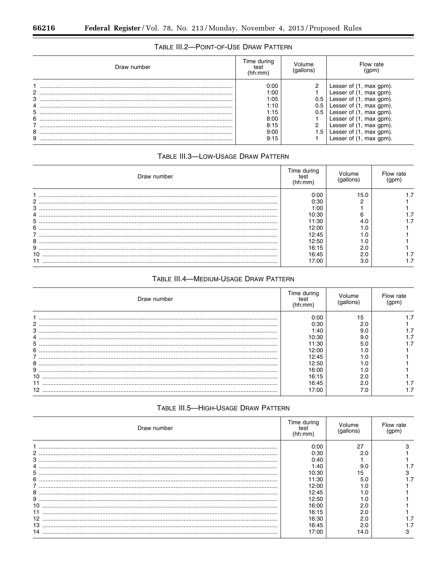п

# TABLE III.2-POINT-OF-USE DRAW PATTERN

| Draw number | Time during<br>test<br>(hh:mm) | Volume<br>(gallons) | Flow rate<br>(gpm)      |
|-------------|--------------------------------|---------------------|-------------------------|
|             | 0:00                           |                     | Lesser of (1, max gpm). |
| 2           | 1:00                           |                     | Lesser of (1, max gpm). |
| 3           | 1:05                           | 0.5                 | Lesser of (1, max gpm). |
| 4           | 1:10                           | 0.5                 | Lesser of (1, max gpm). |
| 5           | 1:15                           | 0.5                 | Lesser of (1, max gpm). |
| 6           | 8:00                           |                     | Lesser of (1, max gpm). |
|             | 8:15                           |                     | Lesser of (1, max gpm). |
| 8           | 9:00                           | ا 5.                | Lesser of (1, max gpm). |
| 9           | 9:15                           |                     | Lesser of (1, max gpm). |

# TABLE III.3-LOW-USAGE DRAW PATTERN

| Draw number | Time during<br>(hh:mm) | olume<br>qallons) | Flow rate |
|-------------|------------------------|-------------------|-----------|
|             | 0:00                   | 15.0              |           |
| 2           | 0:30                   |                   |           |
| 3           | 1:00                   |                   |           |
| 4           | 10:30                  |                   |           |
| 5           | 1:30                   |                   |           |
| 6           | 12:00                  |                   |           |
|             | 12:45                  | .U                |           |
| 8           | 12:50                  |                   |           |
| 9           | 16:15                  |                   |           |
| 10          | 16:45                  |                   |           |
|             | 7:00                   | 3.0               |           |

# TABLE III.4-MEDIUM-USAGE DRAW PATTERN

| Draw number                                                                                                                                                                                                                                                                                                                                                                                                      | Time during<br>(hh:mm) | 'olume<br>aallons' | Flow rate |
|------------------------------------------------------------------------------------------------------------------------------------------------------------------------------------------------------------------------------------------------------------------------------------------------------------------------------------------------------------------------------------------------------------------|------------------------|--------------------|-----------|
|                                                                                                                                                                                                                                                                                                                                                                                                                  | 0:00                   | 15                 |           |
| 2                                                                                                                                                                                                                                                                                                                                                                                                                | 0:30                   |                    |           |
| $3 \hskip 1.5mm \ldots \hskip 1.5mm \ldots \hskip 1.5mm \ldots \hskip 1.5mm \ldots \hskip 1.5mm \ldots \hskip 1.5mm \ldots \hskip 1.5mm \ldots \hskip 1.5mm \ldots \hskip 1.5mm \ldots \hskip 1.5mm \ldots \hskip 1.5mm \ldots \hskip 1.5mm \ldots \hskip 1.5mm \ldots \hskip 1.5mm \ldots \hskip 1.5mm \ldots \hskip 1.5mm \ldots \hskip 1.5mm \ldots \hskip 1.5mm \ldots \hskip 1.5mm \ldots \hskip 1.5mm \ld$ | 1:40                   | 9.0                |           |
|                                                                                                                                                                                                                                                                                                                                                                                                                  | 10:30                  | 9.0                |           |
| 5                                                                                                                                                                                                                                                                                                                                                                                                                | 11:30                  | 5.0                |           |
| 6                                                                                                                                                                                                                                                                                                                                                                                                                | 12:00                  |                    |           |
|                                                                                                                                                                                                                                                                                                                                                                                                                  | 12:45                  |                    |           |
| 8                                                                                                                                                                                                                                                                                                                                                                                                                | 12:50                  |                    |           |
|                                                                                                                                                                                                                                                                                                                                                                                                                  | 16:00                  |                    |           |
|                                                                                                                                                                                                                                                                                                                                                                                                                  | 16:15                  |                    |           |
|                                                                                                                                                                                                                                                                                                                                                                                                                  | 16:45                  | 2.0                |           |
|                                                                                                                                                                                                                                                                                                                                                                                                                  | 7:00                   |                    |           |

# TABLE III.5-HIGH-USAGE DRAW PATTERN

| Draw number     | Time during<br>(hh:mm) |      | Flow rate |
|-----------------|------------------------|------|-----------|
|                 | 0:00                   | 27   |           |
|                 | 0:30                   | 2.0  |           |
| 3               | 0:40                   |      |           |
|                 | 1:40                   | 9.0  |           |
| 5               | 10:30                  |      |           |
| 6               | 11:30                  | 5.0  |           |
|                 | 12:00                  |      |           |
| 8               | 12:45                  |      |           |
| 9               | 12:50                  |      |           |
| 10              | 16:00                  | 2.0  |           |
|                 | 16:15                  |      |           |
| 12 <sup>2</sup> | 16:30                  |      |           |
| 13              | 16:45                  |      |           |
|                 | 7:00                   | 14.0 |           |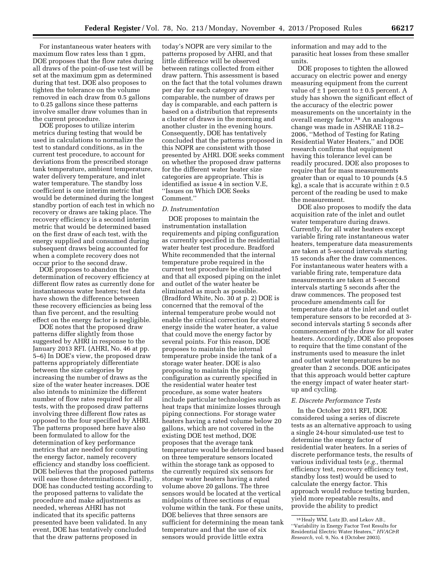For instantaneous water heaters with maximum flow rates less than 1 gpm, DOE proposes that the flow rates during all draws of the point-of-use test will be set at the maximum gpm as determined during that test. DOE also proposes to tighten the tolerance on the volume removed in each draw from 0.5 gallons to 0.25 gallons since these patterns involve smaller draw volumes than in the current procedure.

DOE proposes to utilize interim metrics during testing that would be used in calculations to normalize the test to standard conditions, as in the current test procedure, to account for deviations from the prescribed storage tank temperature, ambient temperature, water delivery temperature, and inlet water temperature. The standby loss coefficient is one interim metric that would be determined during the longest standby portion of each test in which no recovery or draws are taking place. The recovery efficiency is a second interim metric that would be determined based on the first draw of each test, with the energy supplied and consumed during subsequent draws being accounted for when a complete recovery does not occur prior to the second draw.

DOE proposes to abandon the determination of recovery efficiency at different flow rates as currently done for instantaneous water heaters; test data have shown the difference between these recovery efficiencies as being less than five percent, and the resulting effect on the energy factor is negligible.

DOE notes that the proposed draw patterns differ slightly from those suggested by AHRI in response to the January 2013 RFI. (AHRI, No. 46 at pp. 5–6) In DOE's view, the proposed draw patterns appropriately differentiate between the size categories by increasing the number of draws as the size of the water heater increases. DOE also intends to minimize the different number of flow rates required for all tests, with the proposed draw patterns involving three different flow rates as opposed to the four specified by AHRI. The patterns proposed here have also been formulated to allow for the determination of key performance metrics that are needed for computing the energy factor, namely recovery efficiency and standby loss coefficient. DOE believes that the proposed patterns will ease those determinations. Finally, DOE has conducted testing according to the proposed patterns to validate the procedure and make adjustments as needed, whereas AHRI has not indicated that its specific patterns presented have been validated. In any event, DOE has tentatively concluded that the draw patterns proposed in

today's NOPR are very similar to the patterns proposed by AHRI, and that little difference will be observed between ratings collected from either draw pattern. This assessment is based on the fact that the total volumes drawn per day for each category are comparable, the number of draws per day is comparable, and each pattern is based on a distribution that represents a cluster of draws in the morning and another cluster in the evening hours. Consequently, DOE has tentatively concluded that the patterns proposed in this NOPR are consistent with those presented by AHRI. DOE seeks comment on whether the proposed draw patterns for the different water heater size categories are appropriate. This is identified as issue 4 in section V.E, ''Issues on Which DOE Seeks Comment.''

#### *D. Instrumentation*

DOE proposes to maintain the instrumentation installation requirements and piping configuration as currently specified in the residential water heater test procedure. Bradford White recommended that the internal temperature probe required in the current test procedure be eliminated and that all exposed piping on the inlet and outlet of the water heater be eliminated as much as possible. (Bradford White, No. 30 at p. 2) DOE is concerned that the removal of the internal temperature probe would not enable the critical correction for stored energy inside the water heater, a value that could move the energy factor by several points. For this reason, DOE proposes to maintain the internal temperature probe inside the tank of a storage water heater. DOE is also proposing to maintain the piping configuration as currently specified in the residential water heater test procedure, as some water heaters include particular technologies such as heat traps that minimize losses through piping connections. For storage water heaters having a rated volume below 20 gallons, which are not covered in the existing DOE test method, DOE proposes that the average tank temperature would be determined based on three temperature sensors located within the storage tank as opposed to the currently required six sensors for storage water heaters having a rated volume above 20 gallons. The three sensors would be located at the vertical midpoints of three sections of equal volume within the tank. For these units, DOE believes that three sensors are sufficient for determining the mean tank temperature and that the use of six sensors would provide little extra

information and may add to the parasitic heat losses from these smaller units.

DOE proposes to tighten the allowed accuracy on electric power and energy measuring equipment from the current value of  $\pm$  1 percent to  $\pm$  0.5 percent. A study has shown the significant effect of the accuracy of the electric power measurements on the uncertainty in the overall energy factor.18 An analogous change was made in ASHRAE 118.2– 2006, ''Method of Testing for Rating Residential Water Heaters,'' and DOE research confirms that equipment having this tolerance level can be readily procured. DOE also proposes to require that for mass measurements greater than or equal to 10 pounds (4.5  $\bar{k}$ g), a scale that is accurate within  $\pm 0.5$ percent of the reading be used to make the measurement.

DOE also proposes to modify the data acquisition rate of the inlet and outlet water temperature during draws. Currently, for all water heaters except variable firing rate instantaneous water heaters, temperature data measurements are taken at 5-second intervals starting 15 seconds after the draw commences. For instantaneous water heaters with a variable firing rate, temperature data measurements are taken at 5-second intervals starting 5 seconds after the draw commences. The proposed test procedure amendments call for temperature data at the inlet and outlet temperature sensors to be recorded at 3 second intervals starting 5 seconds after commencement of the draw for all water heaters. Accordingly, DOE also proposes to require that the time constant of the instruments used to measure the inlet and outlet water temperatures be no greater than 2 seconds. DOE anticipates that this approach would better capture the energy impact of water heater startup and cycling.

#### *E. Discrete Performance Tests*

In the October 2011 RFI, DOE considered using a series of discrete tests as an alternative approach to using a single 24-hour simulated-use test to determine the energy factor of residential water heaters. In a series of discrete performance tests, the results of various individual tests (*e.g.,* thermal efficiency test, recovery efficiency test, standby loss test) would be used to calculate the energy factor. This approach would reduce testing burden, yield more repeatable results, and provide the ability to predict

<sup>18</sup>Healy WM, Lutz JD, and Lekov AB., ''Variability in Energy Factor Test Results for Residential Electric Water Heaters,'' *HVAC&R Research,* vol. 9, No. 4 (October 2003).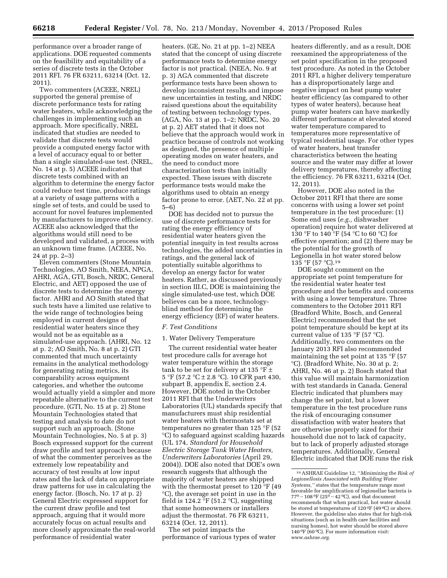performance over a broader range of applications. DOE requested comments on the feasibility and equitability of a series of discrete tests in the October 2011 RFI. 76 FR 63211, 63214 (Oct. 12, 2011).

Two commenters (ACEEE, NREL) supported the general premise of discrete performance tests for rating water heaters, while acknowledging the challenges in implementing such an approach. More specifically, NREL indicated that studies are needed to validate that discrete tests would provide a computed energy factor with a level of accuracy equal to or better than a single simulated-use test. (NREL, No. 14 at p. 5) ACEEE indicated that discrete tests combined with an algorithm to determine the energy factor could reduce test time, produce ratings at a variety of usage patterns with a single set of tests, and could be used to account for novel features implemented by manufacturers to improve efficiency. ACEEE also acknowledged that the algorithms would still need to be developed and validated, a process with an unknown time frame. (ACEEE, No. 24 at pp. 2–3)

Eleven commenters (Stone Mountain Technologies, AO Smith, NEEA, NPGA, AHRI, AGA, GTI, Bosch, NRDC, General Electric, and AET) opposed the use of discrete tests to determine the energy factor. AHRI and AO Smith stated that such tests have a limited use relative to the wide range of technologies being employed in current designs of residential water heaters since they would not be as equitable as a simulated-use approach. (AHRI, No. 12 at p. 2; AO Smith, No. 8 at p. 2) GTI commented that much uncertainty remains in the analytical methodology for generating rating metrics, its comparability across equipment categories, and whether the outcome would actually yield a simpler and more repeatable alternative to the current test procedure. (GTI, No. 15 at p. 2) Stone Mountain Technologies stated that testing and analysis to date do not support such an approach. (Stone Mountain Technologies, No. 5 at p. 3) Bosch expressed support for the current draw profile and test approach because of what the commenter perceives as the extremely low repeatability and accuracy of test results at low input rates and the lack of data on appropriate draw patterns for use in calculating the energy factor. (Bosch, No. 17 at p. 2) General Electric expressed support for the current draw profile and test approach, arguing that it would more accurately focus on actual results and more closely approximate the real-world performance of residential water

heaters. (GE, No. 21 at pp. 1–2) NEEA stated that the concept of using discrete performance tests to determine energy factor is not practical. (NEEA, No. 9 at p. 3) AGA commented that discrete performance tests have been shown to develop inconsistent results and impose new uncertainties in testing, and NRDC raised questions about the equitability of testing between technology types. (AGA, No. 13 at pp. 1–2; NRDC, No. 20 at p. 2) AET stated that it does not believe that the approach would work in practice because of controls not working as designed, the presence of multiple operating modes on water heaters, and the need to conduct more characterization tests than initially expected. These issues with discrete performance tests would make the algorithms used to obtain an energy factor prone to error. (AET, No. 22 at pp. 5–6)

DOE has decided not to pursue the use of discrete performance tests for rating the energy efficiency of residential water heaters given the potential inequity in test results across technologies, the added uncertainties in ratings, and the general lack of potentially suitable algorithms to develop an energy factor for water heaters. Rather, as discussed previously in section III.C, DOE is maintaining the single simulated-use test, which DOE believes can be a more, technologyblind method for determining the energy efficiency (EF) of water heaters.

#### *F. Test Conditions*

#### 1. Water Delivery Temperature

The current residential water heater test procedure calls for average hot water temperature within the storage tank to be set for delivery at 135 °F  $\pm$ 5 °F (57.2 °C  $\pm$  2.8 °C). 10 CFR part 430, subpart B, appendix E, section 2.4. However, DOE noted in the October 2011 RFI that the Underwriters Laboratories (UL) standards specify that manufacturers must ship residential water heaters with thermostats set at temperatures no greater than 125 °F (52 °C) to safeguard against scalding hazards (UL 174, *Standard for Household Electric Storage Tank Water Heaters, Underwriters Laboratories* (April 29, 2004)). DOE also noted that DOE's own research suggests that although the majority of water heaters are shipped with the thermostat preset to 120 °F (49 °C), the average set point in use in the field is 124.2  $\degree$ F (51.2  $\degree$ C), suggesting that some homeowners or installers adjust the thermostat. 76 FR 63211, 63214 (Oct. 12, 2011).

The set point impacts the performance of various types of water

heaters differently, and as a result, DOE reexamined the appropriateness of the set point specification in the proposed test procedure. As noted in the October 2011 RFI, a higher delivery temperature has a disproportionately large and negative impact on heat pump water heater efficiency (as compared to other types of water heaters), because heat pump water heaters can have markedly different performance at elevated stored water temperature compared to temperatures more representative of typical residential usage. For other types of water heaters, heat transfer characteristics between the heating source and the water may differ at lower delivery temperatures, thereby affecting the efficiency. 76 FR 63211, 63214 (Oct. 12, 2011).

However, DOE also noted in the October 2011 RFI that there are some concerns with using a lower set point temperature in the test procedure: (1) Some end uses (*e.g.,* dishwasher operation) require hot water delivered at 130 °F to 140 °F (54 °C to 60 °C) for effective operation; and (2) there may be the potential for the growth of Legionella in hot water stored below 135 °F (57 °C).19

DOE sought comment on the appropriate set point temperature for the residential water heater test procedure and the benefits and concerns with using a lower temperature. Three commenters to the October 2011 RFI (Bradford White, Bosch, and General Electric) recommended that the set point temperature should be kept at its current value of 135 °F (57 °C). Additionally, two commenters on the January 2013 RFI also recommended maintaining the set point at 135 °F (57 °C). (Bradford White, No. 30 at p. 2; AHRI, No. 46 at p. 2) Bosch stated that this value will maintain harmonization with test standards in Canada. General Electric indicated that plumbers may change the set point, but a lower temperature in the test procedure runs the risk of encouraging consumer dissatisfaction with water heaters that are otherwise properly sized for their household due not to lack of capacity, but to lack of properly adjusted storage temperatures. Additionally, General Electric indicated that DOE runs the risk

<sup>19</sup>ASHRAE Guideline 12, ''*Minimizing the Risk of Legionellosis Associated with Building Water Systems,''* states that the temperature range most favorable for amplification of legionellae bacteria is 77<sup>0</sup> – 108 <sup>o</sup>F (25<sup>0</sup> – 42 <sup>o</sup>C), and that document recommends that when practical, hot water should be stored at temperatures of 120 0F (49 0C) or above. However, the guideline also states that for high-risk situations (such as in health care facilities and nursing homes), hot water should be stored above 140 0F (60 0C). For more information visit: *[www.ashrae.org.](http://www.ashrae.org)*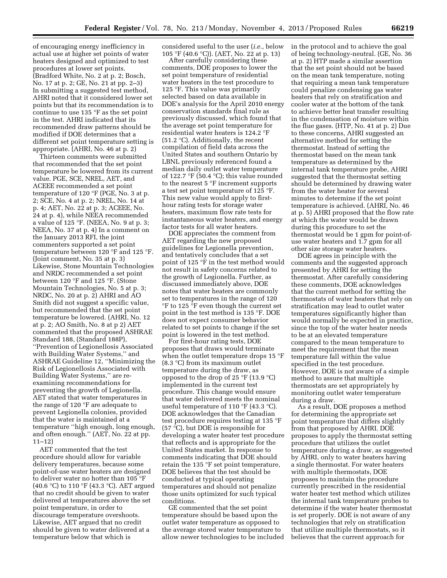of encouraging energy inefficiency in actual use at higher set points of water heaters designed and optimized to test procedures at lower set points. (Bradford White, No. 2 at p. 2; Bosch, No. 17 at p. 2; GE, No. 21 at pp. 2–3) In submitting a suggested test method, AHRI noted that it considered lower set points but that its recommendation is to continue to use 135 °F as the set point in the test. AHRI indicated that its recommended draw patterns should be modified if DOE determines that a different set point temperature setting is appropriate. (AHRI, No. 46 at p. 2)

Thirteen comments were submitted that recommended that the set point temperature be lowered from its current value. PGE, SCE, NREL, AET, and ACEEE recommended a set point temperature of 120 °F (PGE, No. 3 at p. 2; SCE, No. 4 at p. 2; NREL, No. 14 at p. 4; AET, No. 22 at p. 3; ACEEE, No. 24 at p. 4), while NEEA recommended a value of 125 °F. (NEEA, No. 9 at p. 3; NEEA, No. 37 at p. 4) In a comment on the January 2013 RFI, the joint commenters supported a set point temperature between 120 °F and 125 °F. (Joint comment, No. 35 at p. 3) Likewise, Stone Mountain Technologies and NRDC recommended a set point between 120 °F and 125 °F. (Stone Mountain Technologies, No. 5 at p. 3; NRDC, No. 20 at p. 2) AHRI and AO Smith did not suggest a specific value, but recommended that the set point temperature be lowered. (AHRI, No. 12 at p. 2; AO Smith, No. 8 at p 2) AET commented that the proposed ASHRAE Standard 188, (Standard 188P), ''Prevention of Legionellosis Associated with Building Water Systems,'' and ASHRAE Guideline 12, ''Minimizing the Risk of Legionellosis Associated with Building Water Systems,'' are reexamining recommendations for preventing the growth of Legionella. AET stated that water temperatures in the range of 120 °F are adequate to prevent Legionella colonies, provided that the water is maintained at a temperature ''high enough, long enough, and often enough.'' (AET, No. 22 at pp. 11–12)

AET commented that the test procedure should allow for variable delivery temperatures, because some point-of-use water heaters are designed to deliver water no hotter than 105 °F (40.6 °C) to 110 °F (43.3 °C). AET argued that no credit should be given to water delivered at temperatures above the set point temperature, in order to discourage temperature overshoots. Likewise, AET argued that no credit should be given to water delivered at a temperature below that which is

considered useful to the user (*i.e.,* below 105 °F (40.6 °C)). (AET, No. 22 at p. 13)

After carefully considering these comments, DOE proposes to lower the set point temperature of residential water heaters in the test procedure to 125 °F. This value was primarily selected based on data available in DOE's analysis for the April 2010 energy conservation standards final rule as previously discussed, which found that the average set point temperature for residential water heaters is 124.2 °F (51.2 °C). Additionally, the recent compilation of field data across the United States and southern Ontario by LBNL previously referenced found a median daily outlet water temperature of 122.7 °F (50.4 °C); this value rounded to the nearest 5 °F increment supports a test set point temperature of 125 °F. This new value would apply to firsthour rating tests for storage water heaters, maximum flow rate tests for instantaneous water heaters, and energy factor tests for all water heaters.

DOE appreciates the comment from AET regarding the new proposed guidelines for Legionella prevention, and tentatively concludes that a set point of 125 °F in the test method would not result in safety concerns related to the growth of Legionella. Further, as discussed immediately above, DOE notes that water heaters are commonly set to temperatures in the range of 120 °F to 125 °F even though the current set point in the test method is 135 °F. DOE does not expect consumer behavior related to set points to change if the set point is lowered in the test method.

For first-hour rating tests, DOE proposes that draws would terminate when the outlet temperature drops 15 °F (8.3 °C) from its maximum outlet temperature during the draw, as opposed to the drop of 25  $\mathrm{P}F(13.9 \mathrm{~}^{\circ}\mathrm{C})$ implemented in the current test procedure. This change would ensure that water delivered meets the nominal useful temperature of 110 °F (43.3 °C). DOE acknowledges that the Canadian test procedure requires testing at 135 °F (57 °C), but DOE is responsible for developing a water heater test procedure that reflects and is appropriate for the United States market. In response to comments indicating that DOE should retain the 135 °F set point temperature, DOE believes that the test should be conducted at typical operating temperatures and should not penalize those units optimized for such typical conditions.

GE commented that the set point temperature should be based upon the outlet water temperature as opposed to the average stored water temperature to allow newer technologies to be included in the protocol and to achieve the goal of being technology-neutral. (GE, No. 36 at p. 2) HTP made a similar assertion that the set point should not be based on the mean tank temperature, noting that requiring a mean tank temperature could penalize condensing gas water heaters that rely on stratification and cooler water at the bottom of the tank to achieve better heat transfer resulting in the condensation of moisture within the flue gases. (HTP, No. 41 at p. 2) Due to these concerns, AHRI suggested an alternative method for setting the thermostat. Instead of setting the thermostat based on the mean tank temperature as determined by the internal tank temperature probe, AHRI suggested that the thermostat setting should be determined by drawing water from the water heater for several minutes to determine if the set point temperature is achieved. (AHRI, No. 46 at p. 5) AHRI proposed that the flow rate at which the water would be drawn during this procedure to set the thermostat would be 1 gpm for point-ofuse water heaters and 1.7 gpm for all other size storage water heaters.

DOE agrees in principle with the comments and the suggested approach presented by AHRI for setting the thermostat. After carefully considering these comments, DOE acknowledges that the current method for setting the thermostats of water heaters that rely on stratification may lead to outlet water temperatures significantly higher than would normally be expected in practice, since the top of the water heater needs to be at an elevated temperature compared to the mean temperature to meet the requirement that the mean temperature fall within the value specified in the test procedure. However, DOE is not aware of a simple method to assure that multiple thermostats are set appropriately by monitoring outlet water temperature during a draw.

As a result, DOE proposes a method for determining the appropriate set point temperature that differs slightly from that proposed by AHRI. DOE proposes to apply the thermostat setting procedure that utilizes the outlet temperature during a draw, as suggested by AHRI, only to water heaters having a single thermostat. For water heaters with multiple thermostats, DOE proposes to maintain the procedure currently prescribed in the residential water heater test method which utilizes the internal tank temperature probes to determine if the water heater thermostat is set properly. DOE is not aware of any technologies that rely on stratification that utilize multiple thermostats, so it believes that the current approach for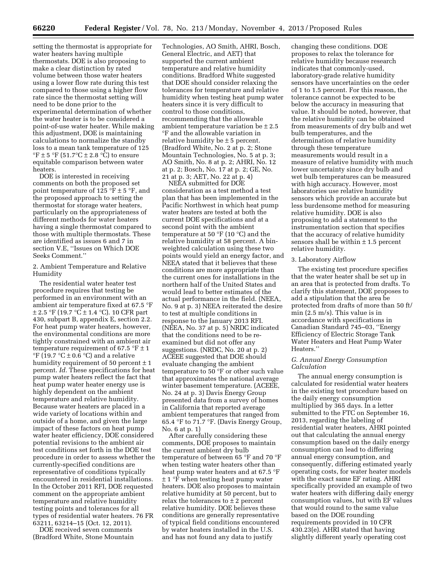setting the thermostat is appropriate for water heaters having multiple thermostats. DOE is also proposing to make a clear distinction by rated volume between those water heaters using a lower flow rate during this test compared to those using a higher flow rate since the thermostat setting will need to be done prior to the experimental determination of whether the water heater is to be considered a point-of-use water heater. While making this adjustment, DOE is maintaining calculations to normalize the standby loss to a mean tank temperature of 125  ${}^{\circ}$ F ± 5  ${}^{\circ}$ F (51.7 ${}^{\circ}$ C ± 2.8  ${}^{\circ}$ C) to ensure equitable comparison between water heaters.

DOE is interested in receiving comments on both the proposed set point temperature of 125 °F  $\pm$  5 °F, and the proposed approach to setting the thermostat for storage water heaters, particularly on the appropriateness of different methods for water heaters having a single thermostat compared to those with multiple thermostats. These are identified as issues 6 and 7 in section V.E, ''Issues on Which DOE Seeks Comment.''

#### 2. Ambient Temperature and Relative Humidity

The residential water heater test procedure requires that testing be performed in an environment with an ambient air temperature fixed at 67.5 °F  $\pm$  2.5 °F (19.7 °C $\pm$  1.4 °C). 10 CFR part 430, subpart B, appendix E, section 2.2. For heat pump water heaters, however, the environmental conditions are more tightly constrained with an ambient air temperature requirement of 67.5  $\degree$ F  $\pm$  1 °F (19.7 °C  $\pm$  0.6 °C) and a relative humidity requirement of 50 percent  $\pm$  1 percent. *Id.* These specifications for heat pump water heaters reflect the fact that heat pump water heater energy use is highly dependent on the ambient temperature and relative humidity. Because water heaters are placed in a wide variety of locations within and outside of a home, and given the large impact of these factors on heat pump water heater efficiency, DOE considered potential revisions to the ambient air test conditions set forth in the DOE test procedure in order to assess whether the currently-specified conditions are representative of conditions typically encountered in residential installations. In the October 2011 RFI, DOE requested comment on the appropriate ambient temperature and relative humidity testing points and tolerances for all types of residential water heaters. 76 FR 63211, 63214–15 (Oct. 12, 2011).

DOE received seven comments (Bradford White, Stone Mountain

Technologies, AO Smith, AHRI, Bosch, General Electric, and AET) that supported the current ambient temperature and relative humidity conditions. Bradford White suggested that DOE should consider relaxing the tolerances for temperature and relative humidity when testing heat pump water heaters since it is very difficult to control to those conditions, recommending that the allowable ambient temperature variation be  $\pm 2.5$ °F and the allowable variation in relative humidity be  $\pm$  5 percent. (Bradford White, No. 2 at p. 2; Stone Mountain Technologies, No. 5 at p. 3; AO Smith, No. 8 at p. 2; AHRI, No. 12 at p. 2; Bosch, No. 17 at p. 2; GE, No. 21 at p. 3; AET, No. 22 at p. 4)

NEEA submitted for DOE consideration as a test method a test plan that has been implemented in the Pacific Northwest in which heat pump water heaters are tested at both the current DOE specifications and at a second point with the ambient temperature at 50 °F (10 °C) and the relative humidity at 58 percent. A binweighted calculation using these two points would yield an energy factor, and NEEA stated that it believes that these conditions are more appropriate than the current ones for installations in the northern half of the United States and would lead to better estimates of the actual performance in the field. (NEEA, No. 9 at p. 3) NEEA reiterated the desire to test at multiple conditions in response to the January 2013 RFI. (NEEA, No. 37 at p. 5) NRDC indicated that the conditions need to be reexamined but did not offer any suggestions. (NRDC, No. 20 at p. 2) ACEEE suggested that DOE should evaluate changing the ambient temperature to 50 °F or other such value that approximates the national average winter basement temperature. (ACEEE, No. 24 at p. 3) Davis Energy Group presented data from a survey of homes in California that reported average ambient temperatures that ranged from 65.4 °F to 71.7 °F. (Davis Energy Group, No. 6 at p. 1)

After carefully considering these comments, DOE proposes to maintain the current ambient dry bulb temperature of between 65 °F and 70 °F when testing water heaters other than heat pump water heaters and at 67.5 °F  $\pm$  1 °F when testing heat pump water heaters. DOE also proposes to maintain relative humidity at 50 percent, but to relax the tolerances to  $\pm$  2 percent relative humidity. DOE believes these conditions are generally representative of typical field conditions encountered by water heaters installed in the U.S. and has not found any data to justify

changing these conditions. DOE proposes to relax the tolerance for relative humidity because research indicates that commonly-used, laboratory-grade relative humidity sensors have uncertainties on the order of 1 to 1.5 percent. For this reason, the tolerance cannot be expected to be below the accuracy in measuring that value. It should be noted, however, that the relative humidity can be obtained from measurements of dry bulb and wet bulb temperatures, and the determination of relative humidity through these temperature measurements would result in a measure of relative humidity with much lower uncertainty since dry bulb and wet bulb temperatures can be measured with high accuracy. However, most laboratories use relative humidity sensors which provide an accurate but less burdensome method for measuring relative humidity. DOE is also proposing to add a statement to the instrumentation section that specifies that the accuracy of relative humidity sensors shall be within  $\pm$  1.5 percent relative humidity.

#### 3. Laboratory Airflow

The existing test procedure specifies that the water heater shall be set up in an area that is protected from drafts. To clarify this statement, DOE proposes to add a stipulation that the area be protected from drafts of more than 50 ft/ min (2.5 m/s). This value is in accordance with specifications in Canadian Standard 745–03, ''Energy Efficiency of Electric Storage Tank Water Heaters and Heat Pump Water Heaters.''

#### *G. Annual Energy Consumption Calculation*

The annual energy consumption is calculated for residential water heaters in the existing test procedure based on the daily energy consumption multiplied by 365 days. In a letter submitted to the FTC on September 16, 2013, regarding the labeling of residential water heaters, AHRI pointed out that calculating the annual energy consumption based on the daily energy consumption can lead to differing annual energy consumption, and consequently, differing estimated yearly operating costs, for water heater models with the exact same EF rating. AHRI specifically provided an example of two water heaters with differing daily energy consumption values, but with EF values that would round to the same value based on the DOE rounding requirements provided in 10 CFR 430.23(e). AHRI stated that having slightly different yearly operating cost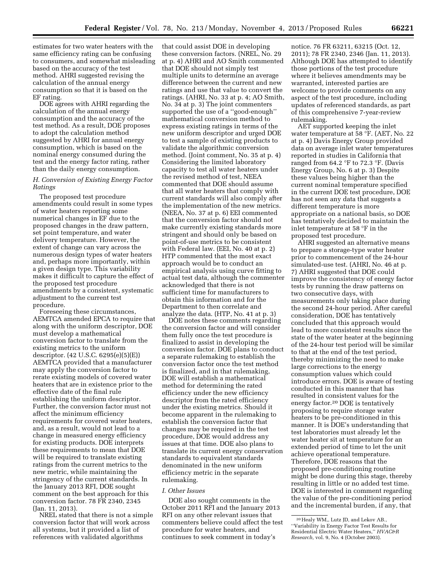estimates for two water heaters with the same efficiency rating can be confusing to consumers, and somewhat misleading based on the accuracy of the test method. AHRI suggested revising the calculation of the annual energy consumption so that it is based on the EF rating.

DOE agrees with AHRI regarding the calculation of the annual energy consumption and the accuracy of the test method. As a result, DOE proposes to adopt the calculation method suggested by AHRI for annual energy consumption, which is based on the nominal energy consumed during the test and the energy factor rating, rather than the daily energy consumption.

#### *H. Conversion of Existing Energy Factor Ratings*

The proposed test procedure amendments could result in some types of water heaters reporting some numerical changes in EF due to the proposed changes in the draw pattern, set point temperature, and water delivery temperature. However, the extent of change can vary across the numerous design types of water heaters and, perhaps more importantly, within a given design type. This variability makes it difficult to capture the effect of the proposed test procedure amendments by a consistent, systematic adjustment to the current test procedure.

Foreseeing these circumstances, AEMTCA amended EPCA to require that along with the uniform descriptor, DOE must develop a mathematical conversion factor to translate from the existing metrics to the uniform descriptor. (42 U.S.C. 6295(e)(5)(E)) AEMTCA provided that a manufacturer may apply the conversion factor to rerate existing models of covered water heaters that are in existence prior to the effective date of the final rule establishing the uniform descriptor. Further, the conversion factor must not affect the minimum efficiency requirements for covered water heaters, and, as a result, would not lead to a change in measured energy efficiency for existing products. DOE interprets these requirements to mean that DOE will be required to translate existing ratings from the current metrics to the new metric, while maintaining the stringency of the current standards. In the January 2013 RFI, DOE sought comment on the best approach for this conversion factor. 78 FR 2340, 2345 (Jan. 11, 2013).

NREL stated that there is not a simple conversion factor that will work across all systems, but it provided a list of references with validated algorithms

that could assist DOE in developing these conversion factors. (NREL, No. 29 at p. 4) AHRI and AO Smith commented that DOE should not simply test multiple units to determine an average difference between the current and new ratings and use that value to convert the ratings. (AHRI, No. 33 at p. 4; AO Smith, No. 34 at p. 3) The joint commenters supported the use of a ''good-enough'' mathematical conversion method to express existing ratings in terms of the new uniform descriptor and urged DOE to test a sample of existing products to validate the algorithmic conversion method. (Joint comment, No. 35 at p. 4) Considering the limited laboratory capacity to test all water heaters under the revised method of test, NEEA commented that DOE should assume that all water heaters that comply with current standards will also comply after the implementation of the new metrics. (NEEA, No. 37 at p. 6) EEI commented that the conversion factor should not make currently existing standards more stringent and should only be based on point-of-use metrics to be consistent with Federal law. (EEI, No. 40 at p. 2) HTP commented that the most exact approach would be to conduct an empirical analysis using curve fitting to actual test data, although the commenter acknowledged that there is not sufficient time for manufacturers to obtain this information and for the Department to then correlate and analyze the data. (HTP, No. 41 at p. 3)

DOE notes these comments regarding the conversion factor and will consider them fully once the test procedure is finalized to assist in developing the conversion factor. DOE plans to conduct a separate rulemaking to establish the conversion factor once the test method is finalized, and in that rulemaking, DOE will establish a mathematical method for determining the rated efficiency under the new efficiency descriptor from the rated efficiency under the existing metrics. Should it become apparent in the rulemaking to establish the conversion factor that changes may be required in the test procedure, DOE would address any issues at that time. DOE also plans to translate its current energy conservation standards to equivalent standards denominated in the new uniform efficiency metric in the separate rulemaking.

#### *I. Other Issues*

DOE also sought comments in the October 2011 RFI and the January 2013 RFI on any other relevant issues that commenters believe could affect the test procedure for water heaters, and continues to seek comment in today's

notice. 76 FR 63211, 63215 (Oct. 12, 2011); 78 FR 2340, 2346 (Jan. 11, 2013). Although DOE has attempted to identify those portions of the test procedure where it believes amendments may be warranted, interested parties are welcome to provide comments on any aspect of the test procedure, including updates of referenced standards, as part of this comprehensive 7-year-review rulemaking.

AET supported keeping the inlet water temperature at 58 °F. (AET, No. 22 at p. 4) Davis Energy Group provided data on average inlet water temperatures reported in studies in California that ranged from 64.2 °F to 72.3 °F. (Davis Energy Group, No. 6 at p. 3) Despite these values being higher than the current nominal temperature specified in the current DOE test procedure, DOE has not seen any data that suggests a different temperature is more appropriate on a national basis, so DOE has tentatively decided to maintain the inlet temperature at 58 °F in the proposed test procedure.

AHRI suggested an alternative means to prepare a storage-type water heater prior to commencement of the 24-hour simulated-use test. (AHRI, No. 46 at p. 7) AHRI suggested that DOE could improve the consistency of energy factor tests by running the draw patterns on two consecutive days, with measurements only taking place during the second 24-hour period. After careful consideration, DOE has tentatively concluded that this approach would lead to more consistent results since the state of the water heater at the beginning of the 24-hour test period will be similar to that at the end of the test period, thereby minimizing the need to make large corrections to the energy consumption values which could introduce errors. DOE is aware of testing conducted in this manner that has resulted in consistent values for the energy factor.20 DOE is tentatively proposing to require storage water heaters to be pre-conditioned in this manner. It is DOE's understanding that test laboratories must already let the water heater sit at temperature for an extended period of time to let the unit achieve operational temperature. Therefore, DOE reasons that the proposed pre-conditioning routine might be done during this stage, thereby resulting in little or no added test time. DOE is interested in comment regarding the value of the pre-conditioning period and the incremental burden, if any, that

<sup>20</sup>Healy WM,, Lutz JD, and Lekov AB., ''Variability in Energy Factor Test Results for Residential Electric Water Heaters,'' *HVAC&R Research,* vol. 9, No. 4 (October 2003).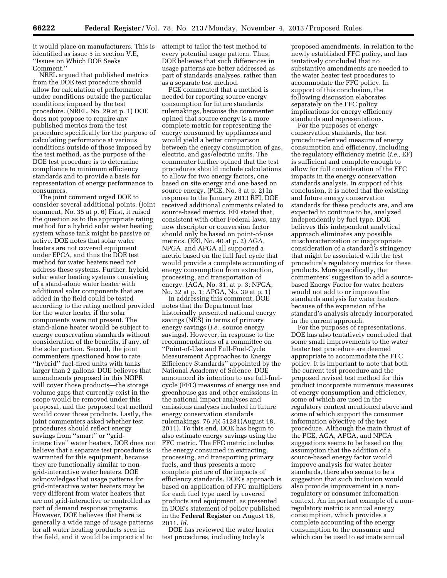it would place on manufacturers. This is identified as issue 5 in section V.E, ''Issues on Which DOE Seeks Comment.''

NREL argued that published metrics from the DOE test procedure should allow for calculation of performance under conditions outside the particular conditions imposed by the test procedure. (NREL, No. 29 at p. 1) DOE does not propose to require any published metrics from the test procedure specifically for the purpose of calculating performance at various conditions outside of those imposed by the test method, as the purpose of the DOE test procedure is to determine compliance to minimum efficiency standards and to provide a basis for representation of energy performance to consumers.

The joint comment urged DOE to consider several additional points. (Joint comment, No. 35 at p. 6) First, it raised the question as to the appropriate rating method for a hybrid solar water heating system whose tank might be passive or active. DOE notes that solar water heaters are not covered equipment under EPCA, and thus the DOE test method for water heaters need not address these systems. Further, hybrid solar water heating systems consisting of a stand-alone water heater with additional solar components that are added in the field could be tested according to the rating method provided for the water heater if the solar components were not present. The stand-alone heater would be subject to energy conservation standards without consideration of the benefits, if any, of the solar portion. Second, the joint commenters questioned how to rate ''hybrid'' fuel-fired units with tanks larger than 2 gallons. DOE believes that amendments proposed in this NOPR will cover those products—the storage volume gaps that currently exist in the scope would be removed under this proposal, and the proposed test method would cover those products. Lastly, the joint commenters asked whether test procedures should reflect energy savings from "smart" or "gridinteractive'' water heaters. DOE does not believe that a separate test procedure is warranted for this equipment, because they are functionally similar to nongrid-interactive water heaters. DOE acknowledges that usage patterns for grid-interactive water heaters may be very different from water heaters that are not grid-interactive or controlled as part of demand response programs. However, DOE believes that there is generally a wide range of usage patterns for all water heating products seen in the field, and it would be impractical to

attempt to tailor the test method to every potential usage pattern. Thus, DOE believes that such differences in usage patterns are better addressed as part of standards analyses, rather than as a separate test method.

PGE commented that a method is needed for reporting source energy consumption for future standards rulemakings, because the commenter opined that source energy is a more complete metric for representing the energy consumed by appliances and would yield a better comparison between the energy consumption of gas, electric, and gas/electric units. The commenter further opined that the test procedures should include calculations to allow for two energy factors, one based on site energy and one based on source energy. (PGE, No. 3 at p. 2) In response to the January 2013 RFI, DOE received additional comments related to source-based metrics. EEI stated that, consistent with other Federal laws, any new descriptor or conversion factor should only be based on point-of-use metrics. (EEI, No. 40 at p. 2) AGA, NPGA, and APGA all supported a metric based on the full fuel cycle that would provide a complete accounting of energy consumption from extraction, processing, and transportation of energy. (AGA, No. 31, at p. 3; NPGA, No. 32 at p. 1; APGA, No. 39 at p. 1)

In addressing this comment, DOE notes that the Department has historically presented national energy savings (NES) in terms of primary energy savings (*i.e.,* source energy savings). However, in response to the recommendations of a committee on ''Point-of-Use and Full-Fuel-Cycle Measurement Approaches to Energy Efficiency Standards'' appointed by the National Academy of Science, DOE announced its intention to use full-fuelcycle (FFC) measures of energy use and greenhouse gas and other emissions in the national impact analyses and emissions analyses included in future energy conservation standards rulemakings. 76 FR 51281(August 18, 2011). To this end, DOE has begun to also estimate energy savings using the FFC metric. The FFC metric includes the energy consumed in extracting, processing, and transporting primary fuels, and thus presents a more complete picture of the impacts of efficiency standards. DOE's approach is based on application of FFC multipliers for each fuel type used by covered products and equipment, as presented in DOE's statement of policy published in the **Federal Register** on August 18, 2011. *Id.* 

DOE has reviewed the water heater test procedures, including today's

proposed amendments, in relation to the newly established FFC policy, and has tentatively concluded that no substantive amendments are needed to the water heater test procedures to accommodate the FFC policy. In support of this conclusion, the following discussion elaborates separately on the FFC policy implications for energy efficiency standards and representations.

For the purposes of energy conservation standards, the test procedure-derived measure of energy consumption and efficiency, including the regulatory efficiency metric (*i.e.,* EF) is sufficient and complete enough to allow for full consideration of the FFC impacts in the energy conservation standards analysis. In support of this conclusion, it is noted that the existing and future energy conservation standards for these products are, and are expected to continue to be, analyzed independently by fuel type. DOE believes this independent analytical approach eliminates any possible mischaracterization or inappropriate consideration of a standard's stringency that might be associated with the test procedure's regulatory metrics for these products. More specifically, the commenters' suggestion to add a sourcebased Energy Factor for water heaters would not add to or improve the standards analysis for water heaters because of the expansion of the standard's analysis already incorporated in the current approach.

For the purposes of representations, DOE has also tentatively concluded that some small improvements to the water heater test procedure are deemed appropriate to accommodate the FFC policy. It is important to note that both the current test procedure and the proposed revised test method for this product incorporate numerous measures of energy consumption and efficiency, some of which are used in the regulatory context mentioned above and some of which support the consumer information objective of the test procedure. Although the main thrust of the PGE, AGA, APGA, and NPGA suggestions seems to be based on the assumption that the addition of a source-based energy factor would improve analysis for water heater standards, there also seems to be a suggestion that such inclusion would also provide improvement in a nonregulatory or consumer information context. An important example of a nonregulatory metric is annual energy consumption, which provides a complete accounting of the energy consumption to the consumer and which can be used to estimate annual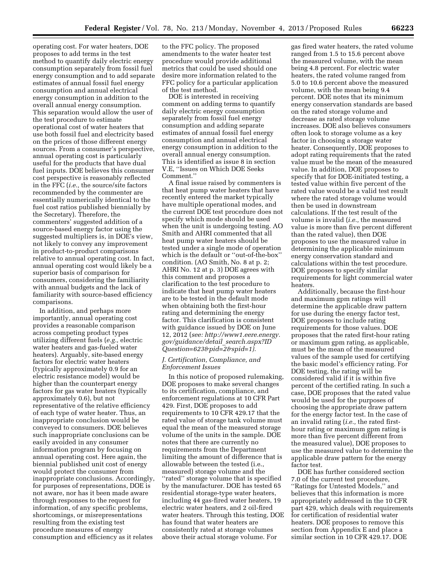operating cost. For water heaters, DOE proposes to add terms in the test method to quantify daily electric energy consumption separately from fossil fuel energy consumption and to add separate estimates of annual fossil fuel energy consumption and annual electrical energy consumption in addition to the overall annual energy consumption. This separation would allow the user of the test procedure to estimate operational cost of water heaters that use both fossil fuel and electricity based on the prices of those different energy sources. From a consumer's perspective, annual operating cost is particularly useful for the products that have dual fuel inputs. DOE believes this consumer cost perspective is reasonably reflected in the FFC (*i.e.,* the source/site factors recommended by the commenter are essentially numerically identical to the fuel cost ratios published biennially by the Secretary). Therefore, the commenters' suggested addition of a source-based energy factor using the suggested multipliers is, in DOE's view, not likely to convey any improvement in product-to-product comparisons relative to annual operating cost. In fact, annual operating cost would likely be a superior basis of comparison for consumers, considering the familiarity with annual budgets and the lack of familiarity with source-based efficiency comparisons.

In addition, and perhaps more importantly, annual operating cost provides a reasonable comparison across competing product types utilizing different fuels (*e.g.,* electric water heaters and gas-fueled water heaters). Arguably, site-based energy factors for electric water heaters (typically approximately 0.9 for an electric resistance model) would be higher than the counterpart energy factors for gas water heaters (typically approximately 0.6), but not representative of the relative efficiency of each type of water heater. Thus, an inappropriate conclusion would be conveyed to consumers. DOE believes such inappropriate conclusions can be easily avoided in any consumer information program by focusing on annual operating cost. Here again, the biennial published unit cost of energy would protect the consumer from inappropriate conclusions. Accordingly, for purposes of representations, DOE is not aware, nor has it been made aware through responses to the request for information, of any specific problems, shortcomings, or misrepresentations resulting from the existing test procedure measures of energy consumption and efficiency as it relates

to the FFC policy. The proposed amendments to the water heater test procedure would provide additional metrics that could be used should one desire more information related to the FFC policy for a particular application of the test method.

DOE is interested in receiving comment on adding terms to quantify daily electric energy consumption separately from fossil fuel energy consumption and adding separate estimates of annual fossil fuel energy consumption and annual electrical energy consumption in addition to the overall annual energy consumption. This is identified as issue 8 in section V.E, ''Issues on Which DOE Seeks Comment.''

A final issue raised by commenters is that heat pump water heaters that have recently entered the market typically have multiple operational modes, and the current DOE test procedure does not specify which mode should be used when the unit is undergoing testing. AO Smith and AHRI commented that all heat pump water heaters should be tested under a single mode of operation which is the default or ''out-of-the-box'' condition. (AO Smith, No. 8 at p. 2; AHRI No. 12 at p. 3) DOE agrees with this comment and proposes a clarification to the test procedure to indicate that heat pump water heaters are to be tested in the default mode when obtaining both the first-hour rating and determining the energy factor. This clarification is consistent with guidance issued by DOE on June 12, 2012 (*see: [http://www1.eere.energy.](http://www1.eere.energy.gov/guidance/detail_search.aspx?IDQuestion=623&pid=2&spid=1) [gov/guidance/detail](http://www1.eere.energy.gov/guidance/detail_search.aspx?IDQuestion=623&pid=2&spid=1)*\_*search.aspx?ID [Question=623&pid=2&spid=1\).](http://www1.eere.energy.gov/guidance/detail_search.aspx?IDQuestion=623&pid=2&spid=1)* 

#### *J. Certification, Compliance, and Enforcement Issues*

In this notice of proposed rulemaking, DOE proposes to make several changes to its certification, compliance, and enforcement regulations at 10 CFR Part 429. First, DOE proposes to add requirements to 10 CFR 429.17 that the rated value of storage tank volume must equal the mean of the measured storage volume of the units in the sample. DOE notes that there are currently no requirements from the Department limiting the amount of difference that is allowable between the tested (i.e., measured) storage volume and the ''rated'' storage volume that is specified by the manufacturer. DOE has tested 65 residential storage-type water heaters, including 44 gas-fired water heaters, 19 electric water heaters, and 2 oil-fired water heaters. Through this testing, DOE has found that water heaters are consistently rated at storage volumes above their actual storage volume. For

gas fired water heaters, the rated volume ranged from 1.5 to 15.6 percent above the measured volume, with the mean being 4.8 percent. For electric water heaters, the rated volume ranged from 5.0 to 10.6 percent above the measured volume, with the mean being 9.4 percent. DOE notes that its minimum energy conservation standards are based on the rated storage volume and decrease as rated storage volume increases. DOE also believes consumers often look to storage volume as a key factor in choosing a storage water heater. Consequently, DOE proposes to adopt rating requirements that the rated value must be the mean of the measured value. In addition, DOE proposes to specify that for DOE-initiated testing, a tested value within five percent of the rated value would be a valid test result where the rated storage volume would then be used in downstream calculations. If the test result of the volume is invalid (*i.e.,* the measured value is more than five percent different than the rated value), then DOE proposes to use the measured value in determining the applicable minimum energy conservation standard and calculations within the test procedure. DOE proposes to specify similar requirements for light commercial water heaters.

Additionally, because the first-hour and maximum gpm ratings will determine the applicable draw pattern for use during the energy factor test, DOE proposes to include rating requirements for those values. DOE proposes that the rated first-hour rating or maximum gpm rating, as applicable, must be the mean of the measured values of the sample used for certifying the basic model's efficiency rating. For DOE testing, the rating will be considered valid if it is within five percent of the certified rating. In such a case, DOE proposes that the rated value would be used for the purposes of choosing the appropriate draw pattern for the energy factor test. In the case of an invalid rating (*i.e.,* the rated firsthour rating or maximum gpm rating is more than five percent different from the measured value), DOE proposes to use the measured value to determine the applicable draw pattern for the energy factor test.

DOE has further considered section 7.0 of the current test procedure, ''Ratings for Untested Models,'' and believes that this information is more appropriately addressed in the 10 CFR part 429, which deals with requirements for certification of residential water heaters. DOE proposes to remove this section from Appendix E and place a similar section in 10 CFR 429.17. DOE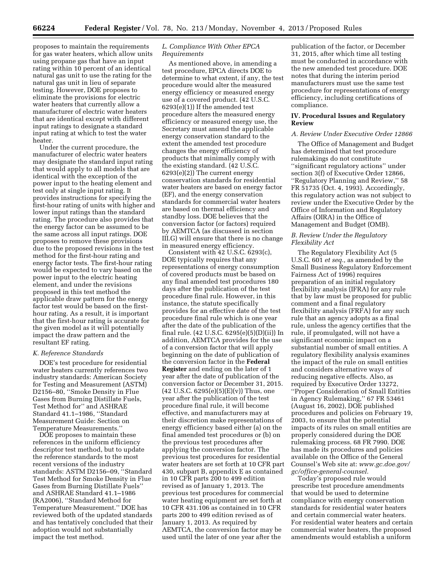proposes to maintain the requirements for gas water heaters, which allow units using propane gas that have an input rating within 10 percent of an identical natural gas unit to use the rating for the natural gas unit in lieu of separate testing. However, DOE proposes to eliminate the provisions for electric water heaters that currently allow a manufacturer of electric water heaters that are identical except with different input ratings to designate a standard input rating at which to test the water heater.

Under the current procedure, the manufacturer of electric water heaters may designate the standard input rating that would apply to all models that are identical with the exception of the power input to the heating element and test only at single input rating. It provides instructions for specifying the first-hour rating of units with higher and lower input ratings than the standard rating. The procedure also provides that the energy factor can be assumed to be the same across all input ratings. DOE proposes to remove these provisions due to the proposed revisions in the test method for the first-hour rating and energy factor tests. The first-hour rating would be expected to vary based on the power input to the electric heating element, and under the revisions proposed in this test method the applicable draw pattern for the energy factor test would be based on the firsthour rating. As a result, it is important that the first-hour rating is accurate for the given model as it will potentially impact the draw pattern and the resultant EF rating.

#### *K. Reference Standards*

DOE's test procedure for residential water heaters currently references two industry standards: American Society for Testing and Measurement (ASTM) D2156–80, ''Smoke Density in Flue Gases from Burning Distillate Fuels, Test Method for'' and ASHRAE Standard 41.1–1986, ''Standard Measurement Guide: Section on Temperature Measurements.''

DOE proposes to maintain these references in the uniform efficiency descriptor test method, but to update the reference standards to the most recent versions of the industry standards: ASTM D2156–09, ''Standard Test Method for Smoke Density in Flue Gases from Burning Distillate Fuels'' and ASHRAE Standard 41.1–1986 (RA2006), ''Standard Method for Temperature Measurement.'' DOE has reviewed both of the updated standards and has tentatively concluded that their adoption would not substantially impact the test method.

#### *L. Compliance With Other EPCA Requirements*

As mentioned above, in amending a test procedure, EPCA directs DOE to determine to what extent, if any, the test procedure would alter the measured energy efficiency or measured energy use of a covered product. (42 U.S.C. 6293(e)(1)) If the amended test procedure alters the measured energy efficiency or measured energy use, the Secretary must amend the applicable energy conservation standard to the extent the amended test procedure changes the energy efficiency of products that minimally comply with the existing standard. (42 U.S.C. 6293(e)(2)) The current energy conservation standards for residential water heaters are based on energy factor (EF), and the energy conservation standards for commercial water heaters are based on thermal efficiency and standby loss. DOE believes that the conversion factor (or factors) required by AEMTCA (as discussed in section III.G) will ensure that there is no change in measured energy efficiency.

Consistent with 42 U.S.C. 6293(c), DOE typically requires that any representations of energy consumption of covered products must be based on any final amended test procedures 180 days after the publication of the test procedure final rule. However, in this instance, the statute specifically provides for an effective date of the test procedure final rule which is one year after the date of the publication of the final rule. (42 U.S.C. 6295(e)(5)(D)(ii)) In addition, AEMTCA provides for the use of a conversion factor that will apply beginning on the date of publication of the conversion factor in the **Federal Register** and ending on the later of 1 year after the date of publication of the conversion factor or December 31, 2015.  $(42 \text{ U.S.C. } 6295(e)(5)(E)(v))$  Thus, one year after the publication of the test procedure final rule, it will become effective, and manufacturers may at their discretion make representations of energy efficiency based either (a) on the final amended test procedures or (b) on the previous test procedures after applying the conversion factor. The previous test procedures for residential water heaters are set forth at 10 CFR part 430, subpart B, appendix E as contained in 10 CFR parts 200 to 499 edition revised as of January 1, 2013. The previous test procedures for commercial water heating equipment are set forth at 10 CFR 431.106 as contained in 10 CFR parts 200 to 499 edition revised as of January 1, 2013. As required by AEMTCA, the conversion factor may be used until the later of one year after the

publication of the factor, or December 31, 2015, after which time all testing must be conducted in accordance with the new amended test procedure. DOE notes that during the interim period manufacturers must use the same test procedure for representations of energy efficiency, including certifications of compliance.

#### **IV. Procedural Issues and Regulatory Review**

#### *A. Review Under Executive Order 12866*

The Office of Management and Budget has determined that test procedure rulemakings do not constitute ''significant regulatory actions'' under section 3(f) of Executive Order 12866, ''Regulatory Planning and Review,'' 58 FR 51735 (Oct. 4, 1993). Accordingly, this regulatory action was not subject to review under the Executive Order by the Office of Information and Regulatory Affairs (OIRA) in the Office of Management and Budget (OMB).

#### *B. Review Under the Regulatory Flexibility Act*

The Regulatory Flexibility Act (5 U.S.C. 601 *et seq.,* as amended by the Small Business Regulatory Enforcement Fairness Act of 1996) requires preparation of an initial regulatory flexibility analysis (IFRA) for any rule that by law must be proposed for public comment and a final regulatory flexibility analysis (FRFA) for any such rule that an agency adopts as a final rule, unless the agency certifies that the rule, if promulgated, will not have a significant economic impact on a substantial number of small entities. A regulatory flexibility analysis examines the impact of the rule on small entities and considers alternative ways of reducing negative effects. Also, as required by Executive Order 13272, ''Proper Consideration of Small Entities in Agency Rulemaking,'' 67 FR 53461 (August 16, 2002), DOE published procedures and policies on February 19, 2003, to ensure that the potential impacts of its rules on small entities are properly considered during the DOE rulemaking process. 68 FR 7990. DOE has made its procedures and policies available on the Office of the General Counsel's Web site at: *[www.gc.doe.gov/](http://www.gc.doe.gov/gc/office-general-counsel)  [gc/office-general-counsel.](http://www.gc.doe.gov/gc/office-general-counsel)* 

Today's proposed rule would prescribe test procedure amendments that would be used to determine compliance with energy conservation standards for residential water heaters and certain commercial water heaters. For residential water heaters and certain commercial water heaters, the proposed amendments would establish a uniform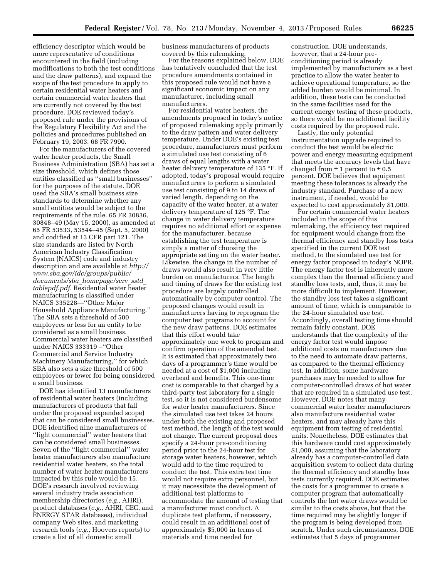efficiency descriptor which would be more representative of conditions encountered in the field (including modifications to both the test conditions and the draw patterns), and expand the scope of the test procedure to apply to certain residential water heaters and certain commercial water heaters that are currently not covered by the test procedure. DOE reviewed today's proposed rule under the provisions of the Regulatory Flexibility Act and the policies and procedures published on February 19, 2003. 68 FR 7990.

For the manufacturers of the covered water heater products, the Small Business Administration (SBA) has set a size threshold, which defines those entities classified as ''small businesses'' for the purposes of the statute. DOE used the SBA's small business size standards to determine whether any small entities would be subject to the requirements of the rule. 65 FR 30836, 30848–49 (May 15, 2000), as amended at 65 FR 53533, 53544–45 (Sept. 5, 2000) and codified at 13 CFR part 121. The size standards are listed by North American Industry Classification System (NAICS) code and industry description and are available at *[http://](http://www.sba.gov/idc/groups/public/documents/sba_homepage/serv_sstd_tablepdf.pdf) [www.sba.gov/idc/groups/public/](http://www.sba.gov/idc/groups/public/documents/sba_homepage/serv_sstd_tablepdf.pdf) [documents/sba](http://www.sba.gov/idc/groups/public/documents/sba_homepage/serv_sstd_tablepdf.pdf)*\_*homepage/serv*\_*sstd*\_ *[tablepdf.pdf.](http://www.sba.gov/idc/groups/public/documents/sba_homepage/serv_sstd_tablepdf.pdf)* Residential water heater manufacturing is classified under NAICS 335228—''Other Major Household Appliance Manufacturing.'' The SBA sets a threshold of 500 employees or less for an entity to be considered as a small business. Commercial water heaters are classified under NAICS 333319 –''Other Commercial and Service Industry Machinery Manufacturing,'' for which SBA also sets a size threshold of 500 employees or fewer for being considered a small business.

DOE has identified 13 manufacturers of residential water heaters (including manufacturers of products that fall under the proposed expanded scope) that can be considered small businesses. DOE identified nine manufacturers of ''light commercial'' water heaters that can be considered small businesses. Seven of the ''light commercial'' water heater manufacturers also manufacture residential water heaters, so the total number of water heater manufacturers impacted by this rule would be 15. DOE's research involved reviewing several industry trade association membership directories (*e.g.,* AHRI), product databases (*e.g.,* AHRI, CEC, and ENERGY STAR databases), individual company Web sites, and marketing research tools (*e.g.,* Hoovers reports) to create a list of all domestic small

business manufacturers of products covered by this rulemaking.

For the reasons explained below, DOE has tentatively concluded that the test procedure amendments contained in this proposed rule would not have a significant economic impact on any manufacturer, including small manufacturers.

For residential water heaters, the amendments proposed in today's notice of proposed rulemaking apply primarily to the draw pattern and water delivery temperature. Under DOE's existing test procedure, manufacturers must perform a simulated use test consisting of 6 draws of equal lengths with a water heater delivery temperature of 135 °F. If adopted, today's proposal would require manufacturers to perform a simulated use test consisting of 9 to 14 draws of varied length, depending on the capacity of the water heater, at a water delivery temperature of 125 °F. The change in water delivery temperature requires no additional effort or expense for the manufacturer, because establishing the test temperature is simply a matter of choosing the appropriate setting on the water heater. Likewise, the change in the number of draws would also result in very little burden on manufacturers. The length and timing of draws for the existing test procedure are largely controlled automatically by computer control. The proposed changes would result in manufacturers having to reprogram the computer test programs to account for the new draw patterns. DOE estimates that this effort would take approximately one week to program and confirm operation of the amended test. It is estimated that approximately two days of a programmer's time would be needed at a cost of \$1,000 including overhead and benefits. This one-time cost is comparable to that charged by a third-party test laboratory for a single test, so it is not considered burdensome for water heater manufacturers. Since the simulated use test takes 24 hours under both the existing and proposed test method, the length of the test would not change. The current proposal does specify a 24-hour pre-conditioning period prior to the 24-hour test for storage water heaters, however, which would add to the time required to conduct the test. This extra test time would not require extra personnel, but it may necessitate the development of additional test platforms to accommodate the amount of testing that a manufacturer must conduct. A duplicate test platform, if necessary, could result in an additional cost of approximately \$5,000 in terms of materials and time needed for

construction. DOE understands, however, that a 24-hour preconditioning period is already implemented by manufacturers as a best practice to allow the water heater to achieve operational temperature, so the added burden would be minimal. In addition, these tests can be conducted in the same facilities used for the current energy testing of these products, so there would be no additional facility costs required by the proposed rule.

Lastly, the only potential instrumentation upgrade required to conduct the test would be electric power and energy measuring equipment that meets the accuracy levels that have changed from  $\pm$  1 percent to  $\pm$  0.5 percent. DOE believes that equipment meeting these tolerances is already the industry standard. Purchase of a new instrument, if needed, would be expected to cost approximately \$1,000.

For certain commercial water heaters included in the scope of this rulemaking, the efficiency test required for equipment would change from the thermal efficiency and standby loss tests specified in the current DOE test method, to the simulated use test for energy factor proposed in today's NOPR. The energy factor test is inherently more complex than the thermal efficiency and standby loss tests, and, thus, it may be more difficult to implement. However, the standby loss test takes a significant amount of time, which is comparable to the 24-hour simulated use test. Accordingly, overall testing time should remain fairly constant. DOE understands that the complexity of the energy factor test would impose additional costs on manufacturers due to the need to automate draw patterns, as compared to the thermal efficiency test. In addition, some hardware purchases may be needed to allow for computer-controlled draws of hot water that are required in a simulated use test. However, DOE notes that many commercial water heater manufacturers also manufacture residential water heaters, and may already have this equipment from testing of residential units. Nonetheless, DOE estimates that this hardware could cost approximately \$1,000, assuming that the laboratory already has a computer-controlled data acquisition system to collect data during the thermal efficiency and standby loss tests currently required. DOE estimates the costs for a programmer to create a computer program that automatically controls the hot water draws would be similar to the costs above, but that the time required may be slightly longer if the program is being developed from scratch. Under such circumstances, DOE estimates that 5 days of programmer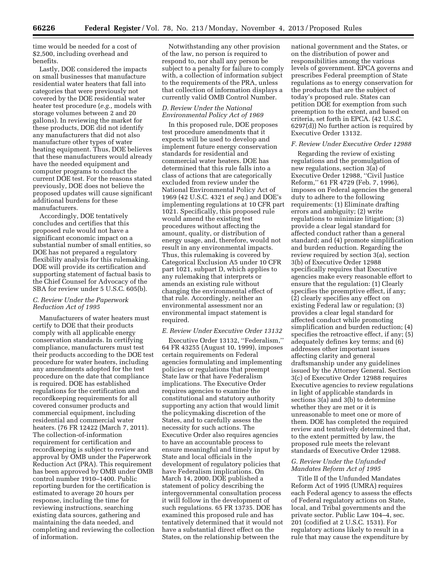time would be needed for a cost of \$2,500, including overhead and benefits.

Lastly, DOE considered the impacts on small businesses that manufacture residential water heaters that fall into categories that were previously not covered by the DOE residential water heater test procedure (*e.g.,* models with storage volumes between 2 and 20 gallons). In reviewing the market for these products, DOE did not identify any manufacturers that did not also manufacture other types of water heating equipment. Thus, DOE believes that these manufacturers would already have the needed equipment and computer programs to conduct the current DOE test. For the reasons stated previously, DOE does not believe the proposed updates will cause significant additional burdens for these manufacturers.

Accordingly, DOE tentatively concludes and certifies that this proposed rule would not have a significant economic impact on a substantial number of small entities, so DOE has not prepared a regulatory flexibility analysis for this rulemaking. DOE will provide its certification and supporting statement of factual basis to the Chief Counsel for Advocacy of the SBA for review under 5 U.S.C. 605(b).

#### *C. Review Under the Paperwork Reduction Act of 1995*

Manufacturers of water heaters must certify to DOE that their products comply with all applicable energy conservation standards. In certifying compliance, manufacturers must test their products according to the DOE test procedure for water heaters, including any amendments adopted for the test procedure on the date that compliance is required. DOE has established regulations for the certification and recordkeeping requirements for all covered consumer products and commercial equipment, including residential and commercial water heaters. (76 FR 12422 (March 7, 2011). The collection-of-information requirement for certification and recordkeeping is subject to review and approval by OMB under the Paperwork Reduction Act (PRA). This requirement has been approved by OMB under OMB control number 1910–1400. Public reporting burden for the certification is estimated to average 20 hours per response, including the time for reviewing instructions, searching existing data sources, gathering and maintaining the data needed, and completing and reviewing the collection of information.

Notwithstanding any other provision of the law, no person is required to respond to, nor shall any person be subject to a penalty for failure to comply with, a collection of information subject to the requirements of the PRA, unless that collection of information displays a currently valid OMB Control Number.

#### *D. Review Under the National Environmental Policy Act of 1969*

In this proposed rule, DOE proposes test procedure amendments that it expects will be used to develop and implement future energy conservation standards for residential and commercial water heaters. DOE has determined that this rule falls into a class of actions that are categorically excluded from review under the National Environmental Policy Act of 1969 (42 U.S.C. 4321 *et seq.*) and DOE's implementing regulations at 10 CFR part 1021. Specifically, this proposed rule would amend the existing test procedures without affecting the amount, quality, or distribution of energy usage, and, therefore, would not result in any environmental impacts. Thus, this rulemaking is covered by Categorical Exclusion A5 under 10 CFR part 1021, subpart D, which applies to any rulemaking that interprets or amends an existing rule without changing the environmental effect of that rule. Accordingly, neither an environmental assessment nor an environmental impact statement is required.

#### *E. Review Under Executive Order 13132*

Executive Order 13132, ''Federalism,'' 64 FR 43255 (August 10, 1999), imposes certain requirements on Federal agencies formulating and implementing policies or regulations that preempt State law or that have Federalism implications. The Executive Order requires agencies to examine the constitutional and statutory authority supporting any action that would limit the policymaking discretion of the States, and to carefully assess the necessity for such actions. The Executive Order also requires agencies to have an accountable process to ensure meaningful and timely input by State and local officials in the development of regulatory policies that have Federalism implications. On March 14, 2000, DOE published a statement of policy describing the intergovernmental consultation process it will follow in the development of such regulations. 65 FR 13735. DOE has examined this proposed rule and has tentatively determined that it would not have a substantial direct effect on the States, on the relationship between the

national government and the States, or on the distribution of power and responsibilities among the various levels of government. EPCA governs and prescribes Federal preemption of State regulations as to energy conservation for the products that are the subject of today's proposed rule. States can petition DOE for exemption from such preemption to the extent, and based on criteria, set forth in EPCA. (42 U.S.C. 6297(d)) No further action is required by Executive Order 13132.

#### *F. Review Under Executive Order 12988*

Regarding the review of existing regulations and the promulgation of new regulations, section 3(a) of Executive Order 12988, ''Civil Justice Reform,'' 61 FR 4729 (Feb. 7, 1996), imposes on Federal agencies the general duty to adhere to the following requirements: (1) Eliminate drafting errors and ambiguity; (2) write regulations to minimize litigation; (3) provide a clear legal standard for affected conduct rather than a general standard; and (4) promote simplification and burden reduction. Regarding the review required by section 3(a), section 3(b) of Executive Order 12988 specifically requires that Executive agencies make every reasonable effort to ensure that the regulation: (1) Clearly specifies the preemptive effect, if any; (2) clearly specifies any effect on existing Federal law or regulation; (3) provides a clear legal standard for affected conduct while promoting simplification and burden reduction; (4) specifies the retroactive effect, if any; (5) adequately defines key terms; and (6) addresses other important issues affecting clarity and general draftsmanship under any guidelines issued by the Attorney General. Section 3(c) of Executive Order 12988 requires Executive agencies to review regulations in light of applicable standards in sections 3(a) and 3(b) to determine whether they are met or it is unreasonable to meet one or more of them. DOE has completed the required review and tentatively determined that, to the extent permitted by law, the proposed rule meets the relevant standards of Executive Order 12988.

#### *G. Review Under the Unfunded Mandates Reform Act of 1995*

Title II of the Unfunded Mandates Reform Act of 1995 (UMRA) requires each Federal agency to assess the effects of Federal regulatory actions on State, local, and Tribal governments and the private sector. Public Law 104–4, sec. 201 (codified at 2 U.S.C. 1531). For regulatory actions likely to result in a rule that may cause the expenditure by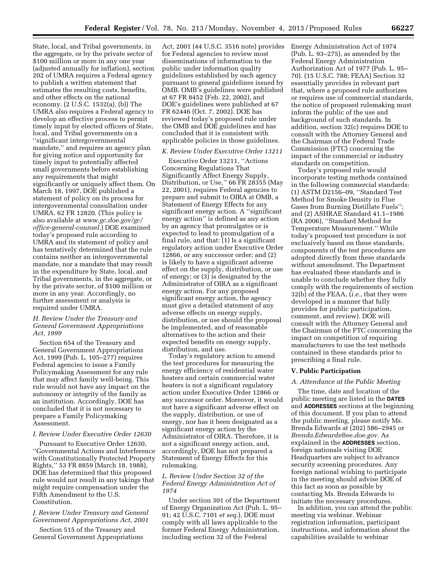State, local, and Tribal governments, in the aggregate, or by the private sector of \$100 million or more in any one year (adjusted annually for inflation), section 202 of UMRA requires a Federal agency to publish a written statement that estimates the resulting costs, benefits, and other effects on the national economy. (2 U.S.C. 1532(a), (b)) The UMRA also requires a Federal agency to develop an effective process to permit timely input by elected officers of State, local, and Tribal governments on a ''significant intergovernmental mandate,'' and requires an agency plan for giving notice and opportunity for timely input to potentially affected small governments before establishing any requirements that might significantly or uniquely affect them. On March 18, 1997, DOE published a statement of policy on its process for intergovernmental consultation under UMRA. 62 FR 12820. (This policy is also available at *[www.gc.doe.gov/gc/](http://www.gc.doe.gov/gc/office-general-counsel)  [office-general-counsel.](http://www.gc.doe.gov/gc/office-general-counsel)*) DOE examined today's proposed rule according to UMRA and its statement of policy and has tentatively determined that the rule contains neither an intergovernmental mandate, nor a mandate that may result in the expenditure by State, local, and Tribal governments, in the aggregate, or by the private sector, of \$100 million or more in any year. Accordingly, no further assessment or analysis is required under UMRA.

#### *H. Review Under the Treasury and General Government Appropriations Act, 1999*

Section 654 of the Treasury and General Government Appropriations Act, 1999 (Pub. L. 105–277) requires Federal agencies to issue a Family Policymaking Assessment for any rule that may affect family well-being. This rule would not have any impact on the autonomy or integrity of the family as an institution. Accordingly, DOE has concluded that it is not necessary to prepare a Family Policymaking Assessment.

## *I. Review Under Executive Order 12630*

Pursuant to Executive Order 12630, ''Governmental Actions and Interference with Constitutionally Protected Property Rights,'' 53 FR 8859 (March 18, 1988), DOE has determined that this proposed rule would not result in any takings that might require compensation under the Fifth Amendment to the U.S. Constitution.

#### *J. Review Under Treasury and General Government Appropriations Act, 2001*

Section 515 of the Treasury and General Government Appropriations

Act, 2001 (44 U.S.C. 3516 note) provides for Federal agencies to review most disseminations of information to the public under information quality guidelines established by each agency pursuant to general guidelines issued by OMB. OMB's guidelines were published at 67 FR 8452 (Feb. 22, 2002), and DOE's guidelines were published at 67 FR 62446 (Oct. 7, 2002). DOE has reviewed today's proposed rule under the OMB and DOE guidelines and has concluded that it is consistent with applicable policies in those guidelines.

#### *K. Review Under Executive Order 13211*

Executive Order 13211, ''Actions Concerning Regulations That Significantly Affect Energy Supply, Distribution, or Use,'' 66 FR 28355 (May 22, 2001), requires Federal agencies to prepare and submit to OIRA at OMB, a Statement of Energy Effects for any significant energy action. A ''significant energy action'' is defined as any action by an agency that promulgates or is expected to lead to promulgation of a final rule, and that: (1) Is a significant regulatory action under Executive Order 12866, or any successor order; and (2) is likely to have a significant adverse effect on the supply, distribution, or use of energy; or (3) is designated by the Administrator of OIRA as a significant energy action. For any proposed significant energy action, the agency must give a detailed statement of any adverse effects on energy supply, distribution, or use should the proposal be implemented, and of reasonable alternatives to the action and their expected benefits on energy supply, distribution, and use.

Today's regulatory action to amend the test procedures for measuring the energy efficiency of residential water heaters and certain commercial water heaters is not a significant regulatory action under Executive Order 12866 or any successor order. Moreover, it would not have a significant adverse effect on the supply, distribution, or use of energy, nor has it been designated as a significant energy action by the Administrator of OIRA. Therefore, it is not a significant energy action, and, accordingly, DOE has not prepared a Statement of Energy Effects for this rulemaking.

#### *L. Review Under Section 32 of the Federal Energy Administration Act of 1974*

Under section 301 of the Department of Energy Organization Act (Pub. L. 95– 91; 42 U.S.C. 7101 *et seq.*), DOE must comply with all laws applicable to the former Federal Energy Administration, including section 32 of the Federal

Energy Administration Act of 1974 (Pub. L. 93–275), as amended by the Federal Energy Administration Authorization Act of 1977 (Pub. L. 95– 70). (15 U.S.C. 788; FEAA) Section 32 essentially provides in relevant part that, where a proposed rule authorizes or requires use of commercial standards, the notice of proposed rulemaking must inform the public of the use and background of such standards. In addition, section 32(c) requires DOE to consult with the Attorney General and the Chairman of the Federal Trade Commission (FTC) concerning the impact of the commercial or industry standards on competition.

Today's proposed rule would incorporate testing methods contained in the following commercial standards: (1) ASTM D2156–09, ''Standard Test Method for Smoke Density in Flue Gases from Burning Distillate Fuels''; and (2) ASHRAE Standard 41.1–1986 (RA 2006), ''Standard Method for Temperature Measurement.'' While today's proposed test procedure is not exclusively based on these standards, components of the test procedures are adopted directly from these standards without amendment. The Department has evaluated these standards and is unable to conclude whether they fully comply with the requirements of section 32(b) of the FEAA, (*i.e.,* that they were developed in a manner that fully provides for public participation, comment, and review). DOE will consult with the Attorney General and the Chairman of the FTC concerning the impact on competition of requiring manufacturers to use the test methods contained in these standards prior to prescribing a final rule.

#### **V. Public Participation**

#### *A. Attendance at the Public Meeting*

The time, date and location of the public meeting are listed in the **DATES** and **ADDRESSES** sections at the beginning of this document. If you plan to attend the public meeting, please notify Ms. Brenda Edwards at (202) 586–2945 or *[Brenda.Edwards@ee.doe.gov.](mailto:Brenda.Edwards@ee.doe.gov)* As explained in the **ADDRESSES** section, foreign nationals visiting DOE Headquarters are subject to advance security screening procedures. Any foreign national wishing to participate in the meeting should advise DOE of this fact as soon as possible by contacting Ms. Brenda Edwards to initiate the necessary procedures.

In addition, you can attend the public meeting via webinar. Webinar registration information, participant instructions, and information about the capabilities available to webinar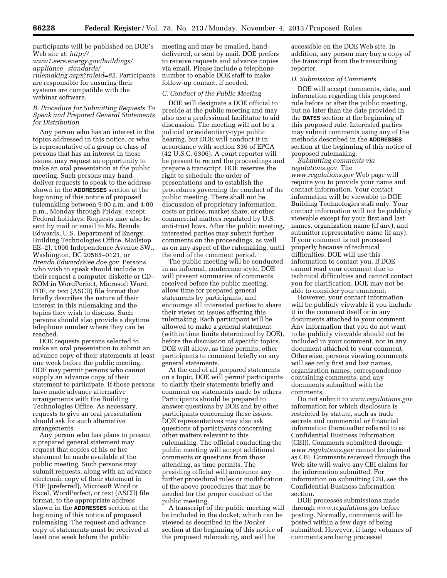#### participants will be published on DOE's Web site at: *[http://](http://www1.eere.energy.gov/buildings/appliance_ standards/rulemaking.aspx?ruleid=82)  [www1.eere.energy.gov/buildings/](http://www1.eere.energy.gov/buildings/appliance_ standards/rulemaking.aspx?ruleid=82)  appliance*\_ *standards/ [rulemaking.aspx?ruleid=82](http://www1.eere.energy.gov/buildings/appliance_ standards/rulemaking.aspx?ruleid=82).* Participants are responsible for ensuring their systems are compatible with the webinar software.

#### *B. Procedure for Submitting Requests To Speak and Prepared General Statements for Distribution*

Any person who has an interest in the topics addressed in this notice, or who is representative of a group or class of persons that has an interest in these issues, may request an opportunity to make an oral presentation at the public meeting. Such persons may handdeliver requests to speak to the address shown in the **ADDRESSES** section at the beginning of this notice of proposed rulemakiing between 9:00 a.m. and 4:00 p.m., Monday through Friday, except Federal holidays. Requests may also be sent by mail or email to Ms. Brenda Edwards, U.S. Department of Energy, Building Technologies Office, Mailstop EE–2J, 1000 Independence Avenue SW., Washington, DC 20585–0121, or *[Brenda.Edwards@ee.doe.gov.](mailto:Brenda.Edwards@ee.doe.gov)* Persons who wish to speak should include in their request a computer diskette or CD– ROM in WordPerfect, Microsoft Word, PDF, or text (ASCII) file format that briefly describes the nature of their interest in this rulemaking and the topics they wish to discuss. Such persons should also provide a daytime telephone number where they can be reached.

DOE requests persons selected to make an oral presentation to submit an advance copy of their statements at least one week before the public meeting. DOE may permit persons who cannot supply an advance copy of their statement to participate, if those persons have made advance alternative arrangements with the Building Technologies Office. As necessary, requests to give an oral presentation should ask for such alternative arrangements.

Any person who has plans to present a prepared general statement may request that copies of his or her statement be made available at the public meeting. Such persons may submit requests, along with an advance electronic copy of their statement in PDF (preferred), Microsoft Word or Excel, WordPerfect, or text (ASCII) file format, to the appropriate address shown in the **ADDRESSES** section at the beginning of this notice of proposed rulemaking. The request and advance copy of statements must be received at least one week before the public

meeting and may be emailed, handdelivered, or sent by mail. DOE prefers to receive requests and advance copies via email. Please include a telephone number to enable DOE staff to make follow-up contact, if needed.

#### *C. Conduct of the Public Meeting*

DOE will designate a DOE official to preside at the public meeting and may also use a professional facilitator to aid discussion. The meeting will not be a judicial or evidentiary-type public hearing, but DOE will conduct it in accordance with section 336 of EPCA (42 U.S.C. 6306). A court reporter will be present to record the proceedings and prepare a transcript. DOE reserves the right to schedule the order of presentations and to establish the procedures governing the conduct of the public meeting. There shall not be discussion of proprietary information, costs or prices, market share, or other commercial matters regulated by U.S. anti-trust laws. After the public meeting, interested parties may submit further comments on the proceedings, as well as on any aspect of the rulemaking, until the end of the comment period.

The public meeting will be conducted in an informal, conference style. DOE will present summaries of comments received before the public meeting, allow time for prepared general statements by participants, and encourage all interested parties to share their views on issues affecting this rulemaking. Each participant will be allowed to make a general statement (within time limits determined by DOE), before the discussion of specific topics. DOE will allow, as time permits, other participants to comment briefly on any general statements.

At the end of all prepared statements on a topic, DOE will permit participants to clarify their statements briefly and comment on statements made by others. Participants should be prepared to answer questions by DOE and by other participants concerning these issues. DOE representatives may also ask questions of participants concerning other matters relevant to this rulemaking. The official conducting the public meeting will accept additional comments or questions from those attending, as time permits. The presiding official will announce any further procedural rules or modification of the above procedures that may be needed for the proper conduct of the public meeting.

A transcript of the public meeting will be included in the docket, which can be viewed as described in the *Docket*  section at the beginning of this notice of the proposed rulemaking, and will be

accessible on the DOE Web site. In addition, any person may buy a copy of the transcript from the transcribing reporter.

#### *D. Submission of Comments*

DOE will accept comments, data, and information regarding this proposed rule before or after the public meeting, but no later than the date provided in the **DATES** section at the beginning of this proposed rule. Interested parties may submit comments using any of the methods described in the **ADDRESSES** section at the beginning of this notice of proposed rulemaking.

*Submitting comments via regulations.gov.* The *[www.regulations.gov](http://www.regulations.gov)* Web page will require you to provide your name and contact information. Your contact information will be viewable to DOE Building Technologies staff only. Your contact information will not be publicly viewable except for your first and last names, organization name (if any), and submitter representative name (if any). If your comment is not processed properly because of technical difficulties, DOE will use this information to contact you. If DOE cannot read your comment due to technical difficulties and cannot contact you for clarification, DOE may not be able to consider your comment.

However, your contact information will be publicly viewable if you include it in the comment itself or in any documents attached to your comment. Any information that you do not want to be publicly viewable should not be included in your comment, nor in any document attached to your comment. Otherwise, persons viewing comments will see only first and last names, organization names, correspondence containing comments, and any documents submitted with the comments.

Do not submit to *[www.regulations.gov](http://www.regulations.gov)*  information for which disclosure is restricted by statute, such as trade secrets and commercial or financial information (hereinafter referred to as Confidential Business Information (CBI)). Comments submitted through *[www.regulations.gov](http://www.regulations.gov)* cannot be claimed as CBI. Comments received through the Web site will waive any CBI claims for the information submitted. For information on submitting CBI, see the Confidential Business Information section.

DOE processes submissions made through *[www.regulations.gov](http://www.regulations.gov)* before posting. Normally, comments will be posted within a few days of being submitted. However, if large volumes of comments are being processed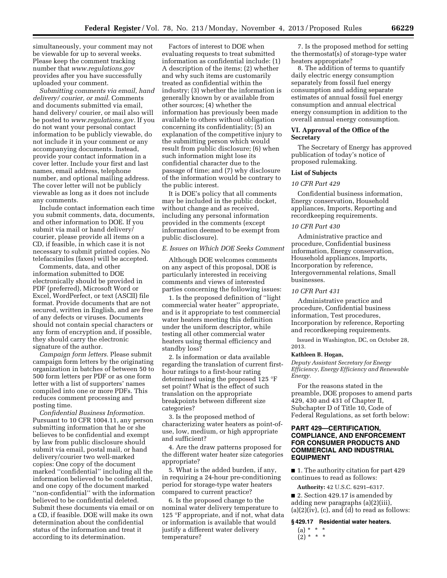simultaneously, your comment may not be viewable for up to several weeks. Please keep the comment tracking number that *[www.regulations.gov](http://www.regulations.gov)*  provides after you have successfully uploaded your comment.

*Submitting comments via email, hand delivery/ courier, or mail.* Comments and documents submitted via email, hand delivery/ courier, or mail also will be posted to *[www.regulations.gov.](http://www.regulations.gov)* If you do not want your personal contact information to be publicly viewable, do not include it in your comment or any accompanying documents. Instead, provide your contact information in a cover letter. Include your first and last names, email address, telephone number, and optional mailing address. The cover letter will not be publicly viewable as long as it does not include any comments.

Include contact information each time you submit comments, data, documents, and other information to DOE. If you submit via mail or hand delivery/ courier, please provide all items on a CD, if feasible, in which case it is not necessary to submit printed copies. No telefacsimiles (faxes) will be accepted.

Comments, data, and other information submitted to DOE electronically should be provided in PDF (preferred), Microsoft Word or Excel, WordPerfect, or text (ASCII) file format. Provide documents that are not secured, written in English, and are free of any defects or viruses. Documents should not contain special characters or any form of encryption and, if possible, they should carry the electronic signature of the author.

*Campaign form letters.* Please submit campaign form letters by the originating organization in batches of between 50 to 500 form letters per PDF or as one form letter with a list of supporters' names compiled into one or more PDFs. This reduces comment processing and posting time.

*Confidential Business Information.*  Pursuant to 10 CFR 1004.11, any person submitting information that he or she believes to be confidential and exempt by law from public disclosure should submit via email, postal mail, or hand delivery/courier two well-marked copies: One copy of the document marked ''confidential'' including all the information believed to be confidential, and one copy of the document marked ''non-confidential'' with the information believed to be confidential deleted. Submit these documents via email or on a CD, if feasible. DOE will make its own determination about the confidential status of the information and treat it according to its determination.

Factors of interest to DOE when evaluating requests to treat submitted information as confidential include: (1) A description of the items; (2) whether and why such items are customarily treated as confidential within the industry; (3) whether the information is generally known by or available from other sources; (4) whether the information has previously been made available to others without obligation concerning its confidentiality; (5) an explanation of the competitive injury to the submitting person which would result from public disclosure; (6) when such information might lose its confidential character due to the passage of time; and (7) why disclosure of the information would be contrary to the public interest.

It is DOE's policy that all comments may be included in the public docket, without change and as received, including any personal information provided in the comments (except information deemed to be exempt from public disclosure).

#### *E. Issues on Which DOE Seeks Comment*

Although DOE welcomes comments on any aspect of this proposal, DOE is particularly interested in receiving comments and views of interested parties concerning the following issues:

1. Is the proposed definition of ''light commercial water heater'' appropriate, and is it appropriate to test commercial water heaters meeting this definition under the uniform descriptor, while testing all other commercial water heaters using thermal efficiency and standby loss?

2. Is information or data available regarding the translation of current firsthour ratings to a first-hour rating determined using the proposed 125 °F set point? What is the effect of such translation on the appropriate breakpoints between different size categories?

3. Is the proposed method of characterizing water heaters as point-ofuse, low, medium, or high appropriate and sufficient?

4. Are the draw patterns proposed for the different water heater size categories appropriate?

5. What is the added burden, if any, in requiring a 24-hour pre-conditioning period for storage-type water heaters compared to current practice?

6. Is the proposed change to the nominal water delivery temperature to 125 °F appropriate, and if not, what data or information is available that would justify a different water delivery temperature?

7. Is the proposed method for setting the thermostat(s) of storage-type water heaters appropriate?

8. The addition of terms to quantify daily electric energy consumption separately from fossil fuel energy consumption and adding separate estimates of annual fossil fuel energy consumption and annual electrical energy consumption in addition to the overall annual energy consumption.

#### **VI. Approval of the Office of the Secretary**

The Secretary of Energy has approved publication of today's notice of proposed rulemaking.

#### **List of Subjects**

#### *10 CFR Part 429*

Confidential business information, Energy conservation, Household appliances, Imports, Reporting and recordkeeping requirements.

#### *10 CFR Part 430*

Administrative practice and procedure, Confidential business information, Energy conservation, Household appliances, Imports, Incorporation by reference, Intergovernmental relations, Small businesses.

#### *10 CFR Part 431*

Administrative practice and procedure, Confidential business information, Test procedures, Incorporation by reference, Reporting and recordkeeping requirements.

Issued in Washington, DC, on October 28, 2013.

#### **Kathleen B. Hogan,**

*Deputy Assistant Secretary for Energy Efficiency, Energy Efficiency and Renewable Energy.* 

For the reasons stated in the preamble, DOE proposes to amend parts 429, 430 and 431 of Chapter II, Subchapter D of Title 10, Code of Federal Regulations, as set forth below:

#### **PART 429—CERTIFICATION, COMPLIANCE, AND ENFORCEMENT FOR CONSUMER PRODUCTS AND COMMERCIAL AND INDUSTRIAL EQUIPMENT**

■ 1. The authority citation for part 429 continues to read as follows:

**Authority:** 42 U.S.C. 6291–6317.

■ 2. Section 429.17 is amended by adding new paragraphs (a)(2)(iii),  $(a)(2)(iv)$ ,  $(c)$ , and  $(d)$  to read as follows:

#### **§ 429.17 Residential water heaters.**

(a) \* \* \* (2) \* \* \*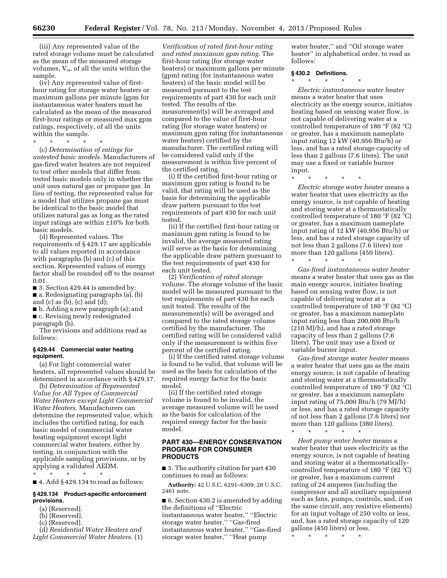(iii) Any represented value of the rated storage volume must be calculated as the mean of the measured storage volumes,  $V_{st}$ , of all the units within the sample.

(iv) Any represented value of firsthour rating for storage water heaters or maximum gallons per minute (gpm for instantaneous water heaters must be calculated as the mean of the measured first-hour ratings or measured max gpm ratings, respectively, of all the units within the sample.

\* \* \* \* \*

(c) *Determination of ratings for untested basic models.* Manufacturers of gas-fired water heaters are not required to test other models that differ from tested basic models only in whether the unit uses natural gas or propane gas. In lieu of testing, the represented value for a model that utilizes propane gas must be identical to the basic model that utilizes natural gas as long as the rated input ratings are within ±10% for both basic models.

(d) Represented values. The requirements of § 429.17 are applicable to all values reported in accordance with paragraphs (b) and (c) of this section. Represented values of energy factor shall be rounded off to the nearest 0.01.

■ 3. Section 429.44 is amended by:

■ a. Redesignating paragraphs (a), (b) and  $(c)$  as  $(b)$ ,  $(c)$  and  $(d)$ ;

■ b. Adding a new paragraph (a); and ■ c. Revising newly redesignated paragraph (b).

The revisions and additions read as follows:

#### **§ 429.44 Commercial water heating equipment.**

(a) For light commercial water heaters, all represented values should be determined in accordance with § 429.17.

(b) *Determination of Represented Value for All Types of Commercial Water Heaters except Light Commercial Water Heaters.* Manufacturers can determine the represented value, which includes the certified rating, for each basic model of commercial water heating equipment except light commercial water heaters, either by testing, in conjunction with the applicable sampling provisions, or by applying a validated AEDM.

\* \* \* \* \* ■ 4. Add § 429.134 to read as follows:

#### **§ 429.134 Product-specific enforcement provisions.**

- (a) [Reserved].
- (b) [Reserved].
- (c) [Reserved].
- (d) *Residential Water Heaters and Light Commercial Water Heaters.* (1)

*Verification of rated first-hour rating and rated maximum gpm rating.* The first-hour rating (for storage water heaters) or maximum gallons per minute (gpm) rating (for instantaneous water heaters) of the basic model will be measured pursuant to the test requirements of part 430 for each unit tested. The results of the measurement(s) will be averaged and compared to the value of first-hour rating (for storage water heaters) or maximum gpm rating (for instantaneous water heaters) certified by the manufacturer. The certified rating will be considered valid only if the measurement is within five percent of the certified rating.

(i) If the certified first-hour rating or maximum gpm rating is found to be valid, that rating will be used as the basis for determining the applicable draw pattern pursuant to the test requirements of part 430 for each unit tested.

(ii) If the certified first-hour rating or maximum gpm rating is found to be invalid, the average measured rating will serve as the basis for determining the applicable draw pattern pursuant to the test requirements of part 430 for each unit tested.

(2) *Verification of rated storage volume.* The storage volume of the basic model will be measured pursuant to the test requirements of part 430 for each unit tested. The results of the measurement(s) will be averaged and compared to the rated storage volume certified by the manufacturer. The certified rating will be considered valid only if the measurement is within five percent of the certified rating.

(i) If the certified rated storage volume is found to be valid, that volume will be used as the basis for calculation of the required energy factor for the basic model.

(ii) If the certified rated storage volume is found to be invalid, the average measured volume will be used as the basis for calculation of the required energy factor for the basic model.

#### **PART 430—ENERGY CONSERVATION PROGRAM FOR CONSUMER PRODUCTS**

■ 5. The authority citation for part 430 continues to read as follows:

**Authority:** 42 U.S.C. 6291–6309; 28 U.S.C. 2461 note.

■ 6. Section 430.2 is amended by adding the definitions of ''Electric instantaneous water heater,'' ''Electric storage water heater,'' ''Gas-fired instantaneous water heater,'' ''Gas-fired storage water heater,'' ''Heat pump

water heater,'' and ''Oil storage water heater'' in alphabetical order, to read as follows:

#### **§ 430.2 Definitions.**

\* \* \* \* \*

*Electric instantaneous water heater*  means a water heater that uses electricity as the energy source, initiates heating based on sensing water flow, is not capable of delivering water at a controlled temperature of 180 °F (82 °C) or greater, has a maximum nameplate input rating 12 kW (40,956 Btu/h) or less, and has a rated storage capacity of less than 2 gallons (7.6 liters). The unit may use a fixed or variable burner input.

\* \* \* \* \*

*Electric storage water heater* means a water heater that uses electricity as the energy source, is not capable of heating and storing water at a thermostatically controlled temperature of 180 °F (82 °C) or greater, has a maximum nameplate input rating of 12 kW (40,956 Btu/h) or less, and has a rated storage capacity of not less than 2 gallons (7.6 liters) nor more than 120 gallons (450 liters).

\* \* \* \* \*

*Gas-fired instantaneous water heater*  means a water heater that uses gas as the main energy source, initiates heating based on sensing water flow, is not capable of delivering water at a controlled temperature of 180 °F (82 °C) or greater, has a maximum nameplate input rating less than 200,000 Btu/h (210 MJ/h), and has a rated storage capacity of less than 2 gallons (7.6 liters). The unit may use a fixed or variable burner input.

*Gas-fired storage water heater* means a water heater that uses gas as the main energy source, is not capable of heating and storing water at a thermostatically controlled temperature of 180 °F (82 °C) or greater, has a maximum nameplate input rating of 75,000 Btu/h (79 MJ/h) or less, and has a rated storage capacity of not less than 2 gallons (7.6 liters) nor more than 120 gallons (380 liters).

*Heat pump water heater* means a water heater that uses electricity as the energy source, is not capable of heating and storing water at a thermostaticallycontrolled temperature of 180 °F (82 °C) or greater, has a maximum current rating of 24 amperes (including the compressor and all auxiliary equipment such as fans, pumps, controls, and, if on the same circuit, any resistive elements) for an input voltage of 250 volts or less, and, has a rated storage capacity of 120 gallons (450 liters) or less.

\* \* \* \* \*

\* \* \* \* \*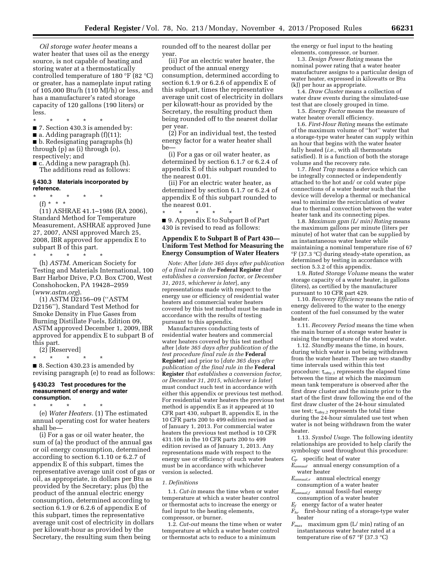*Oil storage water heater* means a water heater that uses oil as the energy source, is not capable of heating and storing water at a thermostatically controlled temperature of 180 °F (82 °C) or greater, has a nameplate input rating of 105,000 Btu/h (110 MJ/h) or less, and has a manufacturer's rated storage capacity of 120 gallons (190 liters) or less.

\* \* \* \* \*

■ 7. Section 430.3 is amended by:

 $\blacksquare$  a. Adding paragraph (f)(11);

- b. Redesignating paragraphs (h) through (p) as (i) through (o),
- respectively; and
- c. Adding a new paragraph (h). The additions read as follows:

#### **§ 430.3 Materials incorporated by reference.**

\* \* \* \* \*

(f) \* \* \* (11) ASHRAE 41.1–1986 (RA 2006), Standard Method for Temperature Measurement, ASHRAE approved June 27, 2007, ANSI approved March 25, 2008, IBR approved for appendix E to subpart B of this part.

\* \* \* \* \* (h) *ASTM.* American Society for Testing and Materials International, 100 Barr Harbor Drive, P.O. Box C700, West Conshohocken, PA 19428–2959 (*[www.astm.org](http://www.astm.org)*).

(1) ASTM D2156–09 (''ASTM D2156''), Standard Test Method for Smoke Density in Flue Gases from Burning Distillate Fuels, Edition 09, ASTM approved December 1, 2009, IBR approved for appendix E to subpart B of this part.

(2) [Reserved] \* \* \* \* \*

■ 8. Section 430.23 is amended by revising paragraph (e) to read as follows:

#### **§ 430.23 Test procedures for the measurement of energy and water consumption.**

\* \* \* \* \* (e) *Water Heaters.* (1) The estimated annual operating cost for water heaters shall be—

(i) For a gas or oil water heater, the sum of (a) the product of the annual gas or oil energy consumption, determined according to section 6.1.10 or 6.2.7 of appendix E of this subpart, times the representative average unit cost of gas or oil, as appropriate, in dollars per Btu as provided by the Secretary; plus (b) the product of the annual electric energy consumption, determined according to section 6.1.9 or 6.2.6 of appendix E of this subpart, times the representative average unit cost of electricity in dollars per kilowatt-hour as provided by the Secretary, the resulting sum then being

rounded off to the nearest dollar per year.

(ii) For an electric water heater, the product of the annual energy consumption, determined according to section 6.1.9 or 6.2.6 of appendix E of this subpart, times the representative average unit cost of electricity in dollars per kilowatt-hour as provided by the Secretary, the resulting product then being rounded off to the nearest dollar per year.

(2) For an individual test, the tested energy factor for a water heater shall be—

(i) For a gas or oil water heater, as determined by section 6.1.7 or 6.2.4 of appendix E of this subpart rounded to the nearest 0.01.

(ii) For an electric water heater, as determined by section 6.1.7 or 6.2.4 of appendix E of this subpart rounded to the nearest 0.01.

\* \* \* \* \* ■ 9. Appendix E to Subpart B of Part 430 is revised to read as follows:

#### **Appendix E to Subpart B of Part 430— Uniform Test Method for Measuring the Energy Consumption of Water Heaters**

*Note:* After [*date 365 days after publication of a final rule in the* **Federal Register** *that establishes a conversion factor, or December 31, 2015, whichever is later*], any representations made with respect to the energy use or efficiency of residential water heaters and commercial water heaters covered by this test method must be made in accordance with the results of testing pursuant to this appendix.

Manufacturers conducting tests of residential water heaters and commercial water heaters covered by this test method after [*date 365 days after publication of the test procedure final rule in the* **Federal Register**] and prior to [*date 365 days after publication of the final rule in the* **Federal Register** *that establishes a conversion factor, or December 31, 2015, whichever is later*] must conduct such test in accordance with either this appendix or previous test method. For residential water heaters the previous test method is appendix E as it appeared at 10 CFR part 430, subpart B, appendix E, in the 10 CFR parts 200 to 499 edition revised as of January 1, 2013. For commercial water heaters the previous test method is 10 CFR 431.106 in the 10 CFR parts 200 to 499 edition revised as of January 1, 2013. Any representations made with respect to the energy use or efficiency of such water heaters must be in accordance with whichever version is selected.

#### *1. Definitions*

1.1. *Cut-in* means the time when or water temperature at which a water heater control or thermostat acts to increase the energy or fuel input to the heating elements, compressor, or burner.

1.2. *Cut-out* means the time when or water temperature at which a water heater control or thermostat acts to reduce to a minimum

the energy or fuel input to the heating elements, compressor, or burner.

1.3. *Design Power Rating* means the nominal power rating that a water heater manufacturer assigns to a particular design of water heater, expressed in kilowatts or Btu (kJ) per hour as appropriate.

1.4. *Draw Cluster* means a collection of water draw events during the simulated-use test that are closely grouped in time.

1.5. *Energy Factor* means the measure of water heater overall efficiency.

1.6. *First-Hour Rating* means the estimate of the maximum volume of ''hot'' water that a storage-type water heater can supply within an hour that begins with the water heater fully heated (*i.e.,* with all thermostats satisfied). It is a function of both the storage volume and the recovery rate.

1.7. *Heat Trap* means a device which can be integrally connected or independently attached to the hot and/ or cold water pipe connections of a water heater such that the device will develop a thermal or mechanical seal to minimize the recirculation of water due to thermal convection between the water heater tank and its connecting pipes.

1.8. *Maximum gpm (L/ min) Rating* means the maximum gallons per minute (liters per minute) of hot water that can be supplied by an instantaneous water heater while maintaining a nominal temperature rise of 67 °F (37.3 °C) during steady-state operation, as determined by testing in accordance with section 5.3.2 of this appendix.

1.9. *Rated Storage Volume* means the water storage capacity of a water heater, in gallons (liters), as certified by the manufacturer pursuant to 10 CFR part 429.

1.10. *Recovery Efficiency* means the ratio of energy delivered to the water to the energy content of the fuel consumed by the water heater.

1.11. *Recovery Period* means the time when the main burner of a storage water heater is raising the temperature of the stored water.

1.12. *Standby* means the time, in hours, during which water is not being withdrawn from the water heater. There are two standby time intervals used within this test procedure:  $\tau_{\text{stbv},1}$  represents the elapsed time between the time at which the maximum mean tank temperature is observed after the first draw cluster and the minute prior to the start of the first draw following the end of the first draw cluster of the 24-hour simulated use test;  $\tau_{\text{stby},2}$  represents the total time during the 24-hour simulated use test when water is not being withdrawn from the water heater.

1.13. *Symbol Usage.* The following identity relationships are provided to help clarify the symbology used throughout this procedure: *Cp* specific heat of water

*Eannual* annual energy consumption of a water heater

*Eannual,e* annual electrical energy

consumption of a water heater *Eannual,f* annual fossil-fuel energy

consumption of a water heater  $E_f$  energy factor of a water heater

*Fhr* first-hour rating of a storage-type water heater

*Fmax* maximum gpm (L/ min) rating of an instantaneous water heater rated at a temperature rise of 67 °F (37.3 °C)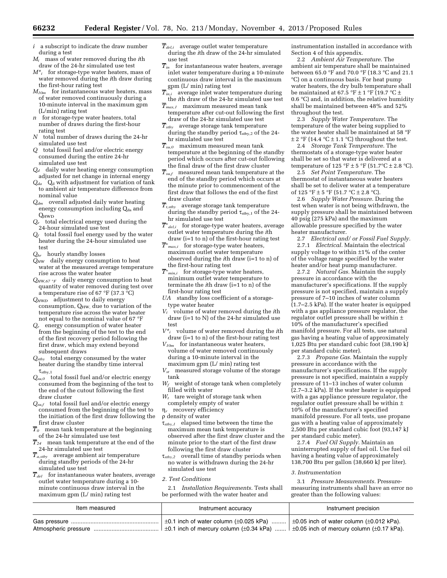- *i* a subscript to indicate the draw number during a test
- *Mi* mass of water removed during the *i*th draw of the 24-hr simulated use test
- $M^*$ <sup>*i*</sup> for storage-type water heaters, mass of water removed during the *i*th draw during the first-hour rating test
- *M10m* for instantaneous water heaters, mass of water removed continuously during a 10-minute interval in the maximum gpm (L/min) rating test
- *n* for storage-type water heaters, total number of draws during the first-hour rating test
- *N* total number of draws during the 24-hr simulated use test
- *Q* total fossil fuel and/or electric energy consumed during the entire 24-hr simulated use test
- *Qd* daily water heating energy consumption adjusted for net change in internal energy
- $Q_{da}$   $Q_{d}$  with adjustment for variation of tank to ambient air temperature difference from nominal value
- *Qdm* overall adjusted daily water heating energy consumption including  $Q_{da}$  and
- $Q_e$  tota total electrical energy used during the 24-hour simulated use test
- *Qf* total fossil fuel energy used by the water heater during the 24-hour simulated use test
- *Qhr* hourly standby losses
- *QHW* daily energy consumption to heat water at the measured average temperature rise across the water heater
- *QHW,67* °*F* daily energy consumption to heat quantity of water removed during test over a temperature rise of 67 °F (37.3 °C)
- *QHWD* adjustment to daily energy consumption,  $Q_{HW}$  due to variation of the temperature rise across the water heater not equal to the nominal value of 67 °F
- *Qr* energy consumption of water heater from the beginning of the test to the end of the first recovery period following the first draw, which may extend beyond subsequent draws
- *Qstby* total energy consumed by the water heater during the standby time interval  $\tau_{\text{stby},1}$
- *Qsu,0* total fossil fuel and/or electric energy consumed from the beginning of the test to the end of the cutout following the first draw cluster
- *Qsu,f* total fossil fuel and/or electric energy consumed from the beginning of the test to the initiation of the first draw following the first draw cluster
- *T0* mean tank temperature at the beginning of the 24-hr simulated use test
- $\overline{T}_{24}$  mean tank temperature at the end of the 24-hr simulated use test
- *Ta,stby* average ambient air temperature during standby periods of the 24-hr simulated use test<br> $\overline{T}_{del}$  for instantaned
- *Tdel* for instantaneous water heaters, average outlet water temperature during a 10 minute continuous draw interval in the maximum gpm (L/ min) rating test
- *Tdel,i* average outlet water temperature during the *i*th draw of the 24-hr simulated use test
- $\overline{T}_{in}$  for instantaneous water heaters, average inlet water temperature during a 10-minute continuous draw interval in the maximum gpm (L/ min) rating test
- *Tin,i* average inlet water temperature during the *i*th draw of the 24-hr simulated use test
- *Tmax,1* maximum measured mean tank temperature after cut-out following the first draw of the 24-hr simulated use test
- *Tstby* average storage tank temperature during the standby period  $\tau_{\text{stby},2}$  of the 24hr simulated use test
- *Tsu,0* maximum measured mean tank temperature at the beginning of the standby period which occurs after cut-out following the final draw of the first draw cluster
- $\overline{T}_{suf}$  measured mean tank temperature at the end of the standby period which occurs at the minute prior to commencement of the first draw that follows the end of the first draw cluster
- *Tt,stby* average storage tank temperature during the standby period  $\tau_{\text{stby},1}$  of the 24hr simulated use test
- $\overline{T}^*_{del,i}$  for storage-type water heaters, average outlet water temperature during the *i*th draw (i=1 to n) of the first-hour rating test
- $\overline{T}^*$ <sub>*max,i* for storage-type water heaters,</sub> maximum outlet water temperature observed during the *i*th draw (i=1 to n) of the first-hour rating test
- *T*\* *min,i* for storage-type water heaters, minimum outlet water temperature to terminate the *i*th draw (i=1 to n) of the first-hour rating test<br>*UA* standby loss coet
- standby loss coefficient of a storage-
- type water heater<br> $V_i$  volume of water *Vi* volume of water removed during the *i*th draw (i=1 to N) of the 24-hr simulated use
- test<br> $V^*$ *V\*i* volume of water removed during the *i*th draw (i=1 to n) of the first-hour rating test
- *V10m* for instantaneous water heaters, volume of water removed continuously during a 10-minute interval in the maximum gpm (L/ min) rating test
- *Vst* measured storage volume of the storage tank
- $W_f$  weight of storage tank when completely filled with water
- *Wt* tare weight of storage tank when completely empty of water
- h*r* recovery efficiency
- $\rho$  density of water
- t*stby,1* elapsed time between the time the maximum mean tank temperature is observed after the first draw cluster and the minute prior to the start of the first draw following the first draw cluster
- t*stby,2* overall time of standby periods when no water is withdrawn during the 24-hr simulated use test

#### *2. Test Conditions*

2.1 *Installation Requirements.* Tests shall be performed with the water heater and

instrumentation installed in accordance with Section 4 of this appendix.

2.2 *Ambient Air Temperature.* The ambient air temperature shall be maintained between 65.0 °F and 70.0 °F (18.3 °C and 21.1 °C) on a continuous basis. For heat pump water heaters, the dry bulb temperature shall be maintained at 67.5 °F  $\pm$  1 °F (19.7 °C  $\pm$ 0.6 °C) and, in addition, the relative humidity shall be maintained between 48% and 52% throughout the test.

2.3 *Supply Water Temperature.* The temperature of the water being supplied to the water heater shall be maintained at 58 °F  $\pm$  2 °F (14.4 °C $\pm$  1.1 °C) throughout the test.

2.4 *Storage Tank Temperature.* The thermostats of a storage-type water heater shall be set so that water is delivered at a temperature of 125 °F  $\pm$  5 °F (51.7°C  $\pm$  2.8 °C).

2.5 *Set Point Temperature.* The thermostat of instantaneous water heaters shall be set to deliver water at a temperature of 125 °F  $\pm$  5 °F (51.7 °C  $\pm$  2.8 °C).

2.6 *Supply Water Pressure.* During the test when water is not being withdrawn, the supply pressure shall be maintained between 40 psig (275 kPa) and the maximum allowable pressure specified by the water heater manufacturer.

2.7 *Electrical and/ or Fossil Fuel Supply.*  2.7.1 *Electrical.* Maintain the electrical supply voltage to within ±1% of the center of the voltage range specified by the water heater and/or heat pump manufacturer.

2.7.2 *Natural Gas.* Maintain the supply pressure in accordance with the manufacturer's specifications. If the supply pressure is not specified, maintain a supply pressure of 7–10 inches of water column  $(1.7–2.5 \text{ kPa})$ . If the water heater is equipped with a gas appliance pressure regulator, the regulator outlet pressure shall be within ± 10% of the manufacturer's specified manifold pressure. For all tests, use natural gas having a heating value of approximately 1,025 Btu per standard cubic foot (38,190 kJ per standard cubic meter).

2.7.3 *Propane Gas.* Maintain the supply pressure in accordance with the manufacturer's specifications. If the supply pressure is not specified, maintain a supply pressure of 11–13 inches of water column (2.7–3.2 kPa). If the water heater is equipped with a gas appliance pressure regulator, the regulator outlet pressure shall be within ± 10% of the manufacturer's specified manifold pressure. For all tests, use propane gas with a heating value of approximately 2,500 Btu per standard cubic foot (93,147 kJ per standard cubic meter).

2.7.4 *Fuel Oil Supply.* Maintain an uninterrupted supply of fuel oil. Use fuel oil having a heating value of approximately 138,700 Btu per gallon (38,660 kJ per liter).

#### *3. Instrumentation*

3.1 *Pressure Measurements.* Pressuremeasuring instruments shall have an error no greater than the following values:

| Item measured        | Instrument accuracy                                                                                     | Instrument precision |  |
|----------------------|---------------------------------------------------------------------------------------------------------|----------------------|--|
|                      | $\pm$ 0.1 inch of water column ( $\pm$ 0.025 kPa) $\pm$ 0.05 inch of water column ( $\pm$ 0.012 kPa).   |                      |  |
| Atmospheric pressure | $\pm 0.1$ inch of mercury column ( $\pm 0.34$ kPa) $\pm 0.05$ inch of mercury column ( $\pm 0.17$ kPa). |                      |  |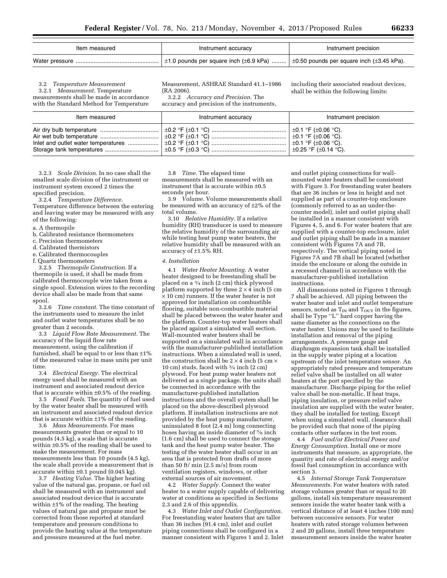| Item measured  | Instrument accuracy                                                                                    | Instrument precision |
|----------------|--------------------------------------------------------------------------------------------------------|----------------------|
| Water pressure | $\pm$ 1.0 pounds per square inch ( $\pm$ 6.9 kPa) $\pm$ 0.50 pounds per square inch ( $\pm$ 3.45 kPa). |                      |

3.2 *Temperature Measurement*  3.2.1 *Measurement.* Temperature

measurements shall be made in accordance with the Standard Method for Temperature Measurement, ASHRAE Standard 41.1–1986 (RA 2006).

3.2.2 *Accuracy and Precision.* The accuracy and precision of the instruments, including their associated readout devices, shall be within the following limits:

| Item measured                                                                                                                                                       | Instrument accuracy | Instrument precision |
|---------------------------------------------------------------------------------------------------------------------------------------------------------------------|---------------------|----------------------|
| lnlet and outlet water temperatures $\ldots$ $\pm 0.2$ °F $\pm 0.1$ °C) $\ldots$ $\ldots$ $\ldots$ $\ldots$ $\ldots$ $\ldots$ $\ldots$ $\pm 0.1$ °F $\pm 0.06$ °C). |                     |                      |

3.2.3 *Scale Division.* In no case shall the smallest scale division of the instrument or instrument system exceed 2 times the specified precision.

3.2.4 *Temperature Difference.* 

Temperature difference between the entering and leaving water may be measured with any of the following:

- a. A thermopile
- b. Calibrated resistance thermometers
- c. Precision thermometers
- d. Calibrated thermistors
- e. Calibrated thermocouples
- f. Quartz thermometers

3.2.5 *Thermopile Construction.* If a thermopile is used, it shall be made from calibrated thermocouple wire taken from a single spool. Extension wires to the recording device shall also be made from that same spool.

3.2.6 *Time constant.* The time constant of the instruments used to measure the inlet and outlet water temperatures shall be no greater than 2 seconds.

3.3 *Liquid Flow Rate Measurement.* The accuracy of the liquid flow rate measurement, using the calibration if furnished, shall be equal to or less than  $\pm 1\%$ of the measured value in mass units per unit time.

3.4 *Electrical Energy.* The electrical energy used shall be measured with an instrument and associated readout device that is accurate within  $\pm 0.5\%$  of the reading.

3.5 *Fossil Fuels.* The quantity of fuel used by the water heater shall be measured with an instrument and associated readout device that is accurate within  $\pm 1\%$  of the reading.

3.6 *Mass Measurements.* For mass measurements greater than or equal to 10 pounds (4.5 kg), a scale that is accurate within ±0.5% of the reading shall be used to make the measurement. For mass measurements less than 10 pounds (4.5 kg), the scale shall provide a measurement that is accurate within ±0.1 pound (0.045 kg).

3.7 *Heating Value.* The higher heating value of the natural gas, propane, or fuel oil shall be measured with an instrument and associated readout device that is accurate within ±1% of the reading. The heating values of natural gas and propane must be corrected from those reported at standard temperature and pressure conditions to provide the heating value at the temperature and pressure measured at the fuel meter.

3.8 *Time.* The elapsed time measurements shall be measured with an instrument that is accurate within ±0.5 seconds per hour.

3.9 *Volume.* Volume measurements shall be measured with an accuracy of ±2% of the total volume.

3.10 *Relative Humidity.* If a relative humidity (RH) transducer is used to measure the relative humidity of the surrounding air while testing heat pump water heaters, the relative humidity shall be measured with an accuracy of ±1.5% RH.

#### *4. Installation*

4.1 *Water Heater Mounting.* A water heater designed to be freestanding shall be placed on a 3⁄4 inch (2 cm) thick plywood platform supported by three  $2 \times 4$  inch (5 cm × 10 cm) runners. If the water heater is not approved for installation on combustible flooring, suitable non-combustible material shall be placed between the water heater and the platform. Counter-top water heaters shall be placed against a simulated wall section. Wall-mounted water heaters shall be supported on a simulated wall in accordance with the manufacturer-published installation instructions. When a simulated wall is used, the construction shall be  $2 \times 4$  inch (5 cm  $\times$ 10 cm) studs, faced with 3⁄4 inch (2 cm) plywood. For heat pump water heaters not delivered as a single package, the units shall be connected in accordance with the manufacturer-published installation instructions and the overall system shall be placed on the above-described plywood platform. If installation instructions are not provided by the heat pump manufacturer, uninsulated 8 foot (2.4 m) long connecting hoses having an inside diameter of 5/8 inch (1.6 cm) shall be used to connect the storage tank and the heat pump water heater. The testing of the water heater shall occur in an area that is protected from drafts of more than 50 ft/ min (2.5 m/s) from room ventilation registers, windows, or other external sources of air movement.

4.2 *Water Supply.* Connect the water heater to a water supply capable of delivering water at conditions as specified in Sections 2.3 and 2.6 of this appendix.

4.3 *Water Inlet and Outlet Configuration.*  For freestanding water heaters that are taller than 36 inches (91.4 cm), inlet and outlet piping connections shall be configured in a manner consistent with Figures 1 and 2. Inlet

and outlet piping connections for wallmounted water heaters shall be consistent with Figure 3. For freestanding water heaters that are 36 inches or less in height and not supplied as part of a counter-top enclosure (commonly referred to as an under-thecounter model), inlet and outlet piping shall be installed in a manner consistent with Figures 4, 5, and 6. For water heaters that are supplied with a counter-top enclosure, inlet and outlet piping shall be made in a manner consistent with Figures 7A and 7B, respectively. The vertical piping noted in Figures 7A and 7B shall be located (whether inside the enclosure or along the outside in a recessed channel) in accordance with the manufacturer-published installation instructions.

All dimensions noted in Figures 1 through 7 shall be achieved. All piping between the water heater and inlet and outlet temperature sensors, noted as  $T_{IN}$  and  $T_{OUT}$  in the figures, shall be Type ''L'' hard copper having the same diameter as the connections on the water heater. Unions may be used to facilitate installation and removal of the piping arrangements. A pressure gauge and diaphragm expansion tank shall be installed in the supply water piping at a location upstream of the inlet temperature sensor. An appropriately rated pressure and temperature relief valve shall be installed on all water heaters at the port specified by the manufacturer. Discharge piping for the relief valve shall be non-metallic. If heat traps, piping insulation, or pressure relief valve insulation are supplied with the water heater, they shall be installed for testing. Except when using a simulated wall, clearance shall be provided such that none of the piping contacts other surfaces in the test room.

4.4 *Fuel and/or Electrical Power and Energy Consumption.* Install one or more instruments that measure, as appropriate, the quantity and rate of electrical energy and/or fossil fuel consumption in accordance with section 3.

4.5 *Internal Storage Tank Temperature Measurements.* For water heaters with rated storage volumes greater than or equal to 20 gallons, install six temperature measurement sensors inside the water heater tank with a vertical distance of at least 4 inches (100 mm) between successive sensors. For water heaters with rated storage volumes between 2 and 20 gallons, install three temperature measurement sensors inside the water heater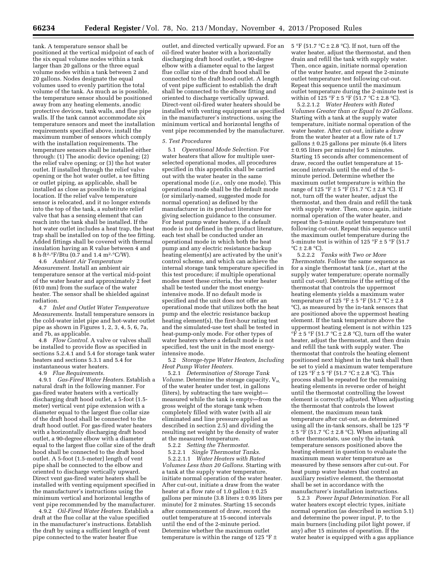tank. A temperature sensor shall be positioned at the vertical midpoint of each of the six equal volume nodes within a tank larger than 20 gallons or the three equal volume nodes within a tank between 2 and 20 gallons. Nodes designate the equal volumes used to evenly partition the total volume of the tank. As much as is possible, the temperature sensor should be positioned away from any heating elements, anodic protective devices, tank walls, and flue pipe walls. If the tank cannot accommodate six temperature sensors and meet the installation requirements specified above, install the maximum number of sensors which comply with the installation requirements. The temperature sensors shall be installed either through: (1) The anodic device opening; (2) the relief valve opening; or (3) the hot water outlet. If installed through the relief valve opening or the hot water outlet, a tee fitting or outlet piping, as applicable, shall be installed as close as possible to its original location. If the relief valve temperature sensor is relocated, and it no longer extends into the top of the tank, a substitute relief valve that has a sensing element that can reach into the tank shall be installed. If the hot water outlet includes a heat trap, the heat trap shall be installed on top of the tee fitting. Added fittings shall be covered with thermal insulation having an R value between 4 and 8 h·ft2·°F/Btu (0.7 and 1.4 m2·°C/W).

4.6 *Ambient Air Temperature Measurement.* Install an ambient air temperature sensor at the vertical mid-point of the water heater and approximately 2 feet (610 mm) from the surface of the water heater. The sensor shall be shielded against radiation.

4.7 *Inlet and Outlet Water Temperature Measurements.* Install temperature sensors in the cold-water inlet pipe and hot-water outlet pipe as shown in Figures 1, 2, 3, 4, 5, 6, 7a, and 7b, as applicable.

4.8 *Flow Control.* A valve or valves shall be installed to provide flow as specified in sections 5.2.4.1 and 5.4 for storage tank water heaters and sections 5.3.1 and 5.4 for instantaneous water heaters.

4.9 *Flue Requirements.* 

4.9.1 *Gas-Fired Water Heaters.* Establish a natural draft in the following manner. For gas-fired water heaters with a vertically discharging draft hood outlet, a 5-foot (1.5 meter) vertical vent pipe extension with a diameter equal to the largest flue collar size of the draft hood shall be connected to the draft hood outlet. For gas-fired water heaters with a horizontally discharging draft hood outlet, a 90-degree elbow with a diameter equal to the largest flue collar size of the draft hood shall be connected to the draft hood outlet. A 5-foot (1.5-meter) length of vent pipe shall be connected to the elbow and oriented to discharge vertically upward. Direct vent gas-fired water heaters shall be installed with venting equipment specified in the manufacturer's instructions using the minimum vertical and horizontal lengths of vent pipe recommended by the manufacturer.

4.9.2 *Oil-Fired Water Heaters.* Establish a draft at the flue collar at the value specified in the manufacturer's instructions. Establish the draft by using a sufficient length of vent pipe connected to the water heater flue

outlet, and directed vertically upward. For an oil-fired water heater with a horizontally discharging draft hood outlet, a 90-degree elbow with a diameter equal to the largest flue collar size of the draft hood shall be connected to the draft hood outlet. A length of vent pipe sufficient to establish the draft shall be connected to the elbow fitting and oriented to discharge vertically upward. Direct-vent oil-fired water heaters should be installed with venting equipment as specified in the manufacturer's instructions, using the minimum vertical and horizontal lengths of vent pipe recommended by the manufacturer.

#### *5. Test Procedures*

5.1 *Operational Mode Selection.* For water heaters that allow for multiple userselected operational modes, all procedures specified in this appendix shall be carried out with the water heater in the same operational mode (*i.e.,* only one mode). This operational mode shall be the default mode (or similarly-named, suggested mode for normal operation) as defined by the manufacturer in its product literature for giving selection guidance to the consumer. For heat pump water heaters, if a default mode is not defined in the product literature, each test shall be conducted under an operational mode in which both the heat pump and any electric resistance backup heating element(s) are activated by the unit's control scheme, and which can achieve the internal storage tank temperature specified in this test procedure; if multiple operational modes meet these criteria, the water heater shall be tested under the most energyintensive mode. If no default mode is specified and the unit does not offer an operational mode that utilizes both the heat pump and the electric resistance backup heating element(s), the first-hour rating test and the simulated-use test shall be tested in heat-pump-only mode. For other types of water heaters where a default mode is not specified, test the unit in the most energyintensive mode.

5.2 *Storage-type Water Heaters, Including Heat Pump Water Heaters.* 

5.2.1 *Determination of Storage Tank Volume.* Determine the storage capacity, V<sub>st,</sub> of the water heater under test, in gallons (liters), by subtracting the tare weight measured while the tank is empty—from the gross weight of the storage tank when completely filled with water (with all air eliminated and line pressure applied as described in section 2.5) and dividing the resulting net weight by the density of water at the measured temperature.

5.2.2 *Setting the Thermostat.* 

5.2.2.1 *Single Thermostat Tanks.* 

5.2.2.1.1 *Water Heaters with Rated Volumes Less than 20 Gallons.* Starting with a tank at the supply water temperature, initiate normal operation of the water heater. After cut-out, initiate a draw from the water heater at a flow rate of 1.0 gallon  $\pm$  0.25 gallons per minute  $(3.8$  liters  $\pm 0.95$  liters per minute) for 2 minutes. Starting 15 seconds after commencement of draw, record the outlet temperature at 15-second intervals until the end of the 2-minute period. Determine whether the maximum outlet temperature is within the range of 125 °F  $\pm$ 

5 °F (51.7 °C  $\pm$  2.8 °C). If not, turn off the water heater, adjust the thermostat, and then drain and refill the tank with supply water. Then, once again, initiate normal operation of the water heater, and repeat the 2-minute outlet temperature test following cut-out. Repeat this sequence until the maximum outlet temperature during the 2-minute test is within of  $125 \text{ }^\circ \text{F} \pm 5 \text{ }^\circ \text{F}$  (51.7  $\text{ }^\circ \text{C} \pm 2.8 \text{ }^\circ \text{C}$ ).

5.2.2.1.2 *Water Heaters with Rated Volumes Greater than or Equal to 20 Gallons.*  Starting with a tank at the supply water temperature, initiate normal operation of the water heater. After cut-out, initiate a draw from the water heater at a flow rate of 1.7  $\text{gallons} \pm 0.25 \text{ gallons per minute}$  (6.4 liters  $± 0.95$  liters per minute) for 5 minutes. Starting 15 seconds after commencement of draw, record the outlet temperature at 15 second intervals until the end of the 5 minute period. Determine whether the maximum outlet temperature is within the range of 125 °F  $\pm$  5 °F (51.7 °C  $\pm$  2.8 °C). If not, turn off the water heater, adjust the thermostat, and then drain and refill the tank with supply water. Then, once again, initiate normal operation of the water heater, and repeat the 5-minute outlet temperature test following cut-out. Repeat this sequence until the maximum outlet temperature during the 5-minute test is within of 125 °F  $\pm$  5 °F (51.7)  $\mathrm{^{\circ}C} \pm 2.8 \mathrm{^{\circ}C}$ ).

5.2.2.2 *Tanks with Two or More Thermostats.* Follow the same sequence as for a single thermostat tank (*i.e.,* start at the supply water temperature; operate normally until cut-out). Determine if the setting of the thermostat that controls the uppermost heating elements yields a maximum water temperature of 125 °F  $\pm$  5 °F (51.7 °C  $\pm$  2.8 °C), as measured by the in-tank sensors that are positioned above the uppermost heating element. If the tank temperature above the uppermost heating element is not within 125  $\hat{\mathbf{F}} \pm 5$  °F (51.7 °C  $\pm$  2.8 °C), turn off the water heater, adjust the thermostat, and then drain and refill the tank with supply water. The thermostat that controls the heating element positioned next highest in the tank shall then be set to yield a maximum water temperature of 125 °F  $\pm$  5 °F (51.7 °C  $\pm$  2.8 °C). This process shall be repeated for the remaining heating elements in reverse order of height until the thermostat controlling the lowest element is correctly adjusted. When adjusting the thermostat that controls the lowest element, the maximum mean tank temperature after cut-out, as determined using all the in-tank sensors, shall be 125 °F  $\pm$  5 °F (51.7 °C  $\pm$  2.8 °C). When adjusting all other thermostats, use only the in-tank temperature sensors positioned above the heating element in question to evaluate the maximum mean water temperature as measured by these sensors after cut-out. For heat pump water heaters that control an auxiliary resistive element, the thermostat shall be set in accordance with the manufacturer's installation instructions.

5.2.3 *Power Input Determination.* For all water heaters except electric types, initiate normal operation (as described in section 5.1) and determine the power input, P, to the main burners (including pilot light power, if any) after 15 minutes of operation. If the water heater is equipped with a gas appliance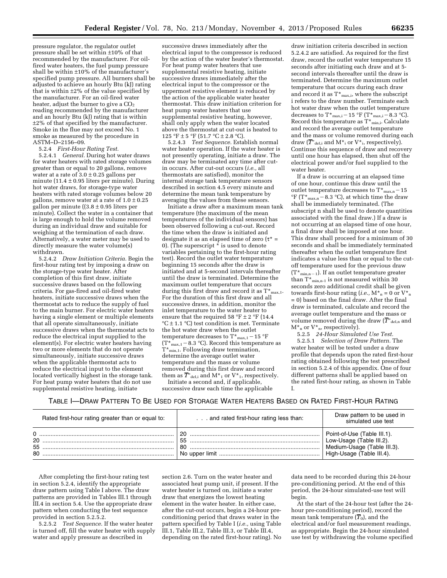pressure regulator, the regulator outlet pressure shall be set within ±10% of that recommended by the manufacturer. For oilfired water heaters, the fuel pump pressure shall be within ±10% of the manufacturer's specified pump pressure. All burners shall be adjusted to achieve an hourly Btu (kJ) rating that is within ±2% of the value specified by the manufacturer. For an oil-fired water heater, adjust the burner to give a  $CO<sub>2</sub>$ reading recommended by the manufacturer and an hourly Btu (kJ) rating that is within ±2% of that specified by the manufacturer. Smoke in the flue may not exceed No. 1 smoke as measured by the procedure in ASTM–D–2156–09.

5.2.4 *First-Hour Rating Test.* 

5.2.4.1 *General.* During hot water draws for water heaters with rated storage volumes greater than or equal to 20 gallons, remove water at a rate of  $3.0 \pm 0.25$  gallons per minute (11.4  $\pm$  0.95 liters per minute). During hot water draws, for storage-type water heaters with rated storage volumes below 20 gallons, remove water at a rate of  $1.0 \pm 0.25$ gallon per minute  $(3.8 \pm 0.95)$  liters per minute). Collect the water in a container that is large enough to hold the volume removed during an individual draw and suitable for weighing at the termination of each draw. Alternatively, a water meter may be used to directly measure the water volume(s) withdrawn.

5.2.4.2 *Draw Initiation Criteria.* Begin the first-hour rating test by imposing a draw on the storage-type water heater. After completion of this first draw, initiate successive draws based on the following criteria. For gas-fired and oil-fired water heaters, initiate successive draws when the thermostat acts to reduce the supply of fuel to the main burner. For electric water heaters having a single element or multiple elements that all operate simultaneously, initiate successive draws when the thermostat acts to reduce the electrical input supplied to the element(s). For electric water heaters having two or more elements that do not operate simultaneously, initiate successive draws when the applicable thermostat acts to reduce the electrical input to the element located vertically highest in the storage tank. For heat pump water heaters that do not use supplemental resistive heating, initiate

successive draws immediately after the electrical input to the compressor is reduced by the action of the water heater's thermostat. For heat pump water heaters that use supplemental resistive heating, initiate successive draws immediately after the electrical input to the compressor or the uppermost resistive element is reduced by the action of the applicable water heater thermostat. This draw initiation criterion for heat pump water heaters that use supplemental resistive heating, however, shall only apply when the water located above the thermostat at cut-out is heated to 125 °F  $\pm$  5 °F (51.7 °C  $\pm$  2.8 °C).

5.2.4.3 *Test Sequence.* Establish normal water heater operation. If the water heater is not presently operating, initiate a draw. The draw may be terminated any time after cutin occurs. After cut-out occurs (*i.e.,* all thermostats are satisfied), monitor the internal storage tank temperature sensors described in section 4.5 every minute and determine the mean tank temperature by averaging the values from these sensors.

Initiate a draw after a maximum mean tank temperature (the maximum of the mean temperatures of the individual sensors) has been observed following a cut-out. Record the time when the draw is initiated and designate it as an elapsed time of zero  $(\tau^* =$ 0). (The superscript  $\tilde{*}$  is used to denote variables pertaining to the first-hour rating test). Record the outlet water temperature beginning 15 seconds after the draw is initiated and at 5-second intervals thereafter until the draw is terminated. Determine the maximum outlet temperature that occurs during this first draw and record it as  $T^*$ <sub>max,1</sub>. For the duration of this first draw and all successive draws, in addition, monitor the inlet temperature to the water heater to ensure that the required 58 °F  $\pm$  2 °F (14.4) °C ± 1.1 °C) test condition is met. Terminate the hot water draw when the outlet temperature decreases to  $\mathrm{T}^\star{}_{\mathrm{max,1}}-$  15  $^{\circ}\mathrm{F}$  $(T^*_{max,1}-8.3 \text{ °C})$ . Record this temperature as  $T^*_{min,1}$ . Following draw termination, determine the average outlet water temperature and the mass or volume removed during this first draw and record them as  $\overline{T^*}_{\text{del,i}}$  and M $^*$ <sub>1</sub> or V $^*$ <sub>1</sub>, respectively.

Initiate a second and, if applicable, successive draw each time the applicable

draw initiation criteria described in section 5.2.4.2 are satisfied. As required for the first draw, record the outlet water temperature 15 seconds after initiating each draw and at 5 second intervals thereafter until the draw is terminated. Determine the maximum outlet temperature that occurs during each draw and record it as  $T^*_{\text{max,i}}$ , where the subscript i refers to the draw number. Terminate each hot water draw when the outlet temperature decreases to  $T^*$ <sub>max,i</sub> - 15 °F ( $T^*$ <sub>max,i</sub> - 8.3 °C). Record this temperature as  $T^*_{min,i}$ . Calculate and record the average outlet temperature and the mass or volume removed during each draw ( $\overline{T}^*$ <sub>del,i</sub> and M<sup>\*</sup><sub>i</sub> or V<sup>\*</sup><sub>i</sub>, respectively). Continue this sequence of draw and recovery until one hour has elapsed, then shut off the electrical power and/or fuel supplied to the water heater.

If a draw is occurring at an elapsed time of one hour, continue this draw until the outlet temperature decreases to  $T^*_{max,n}$  – 15  ${}^{\circ}F$  (T\*<sub>max,n</sub> – 8.3  ${}^{\circ}C$ ), at which time the draw shall be immediately terminated. (The subscript n shall be used to denote quantities associated with the final draw.) If a draw is not occurring at an elapsed time of one hour, a final draw shall be imposed at one hour. This draw shall proceed for a minimum of 30 seconds and shall be immediately terminated thereafter when the outlet temperature first indicates a value less than or equal to the cutoff temperature used for the previous draw  $(T^*_{min,n-1})$ . If an outlet temperature greater than  $T^*_{min,n-1}$  is not measured within 30 seconds zero additional credit shall be given towards first-hour rating (*i.e.*,  $M^*_{n} = 0$  or  $V^*_{n}$ = 0) based on the final draw. After the final draw is terminated, calculate and record the average outlet temperature and the mass or volume removed during the draw ( $\overline{T}^*$ <sub>del,n</sub> and  $M_{n}$  or  $V_{n}$ , respectively).

5.2.5 *24-Hour Simulated Use Test.*  5.2.5.1 *Selection of Draw Pattern.* The water heater will be tested under a draw profile that depends upon the rated first-hour rating obtained following the test prescribed in section 5.2.4 of this appendix. One of four different patterns shall be applied based on the rated first-hour rating, as shown in Table I.

#### TABLE I—DRAW PATTERN TO BE USED FOR STORAGE WATER HEATERS BASED ON RATED FIRST-HOUR RATING

| Rated first-hour rating greater than or equal to: | and rated first-hour rating less than: | Draw pattern to be used in<br>simulated use test                                                                    |
|---------------------------------------------------|----------------------------------------|---------------------------------------------------------------------------------------------------------------------|
| 20<br>55<br>80                                    | 20<br>55<br>-80                        | Point-of-Use (Table III.1).<br>Low-Usage (Table III.2).<br>Medium-Usage (Table III.3).<br>High-Usage (Table III.4). |

After completing the first-hour rating test in section 5.2.4, identify the appropriate draw pattern using Table I above. The draw patterns are provided in Tables III.1 through III.4 in section 5.4. Use the appropriate draw pattern when conducting the test sequence provided in section 5.2.5.2.

5.2.5.2 *Test Sequence.* If the water heater is turned off, fill the water heater with supply water and apply pressure as described in

section 2.6. Turn on the water heater and associated heat pump unit, if present. If the water heater is turned on, initiate a water draw that energizes the lowest heating element in the water heater. In either case, after the cut-out occurs, begin a 24-hour preconditioning period that draws water in the pattern specified by Table I (*i.e.,* using Table III.1, Table III.2, Table III.3, or Table III.4, depending on the rated first-hour rating). No

data need to be recorded during this 24-hour pre-conditioning period. At the end of this period, the 24-hour simulated-use test will begin.

At the start of the 24-hour test (after the 24 hour pre-conditioning period), record the mean tank temperature  $(\overline{T}_0)$ , and the electrical and/or fuel measurement readings, as appropriate. Begin the 24-hour simulated use test by withdrawing the volume specified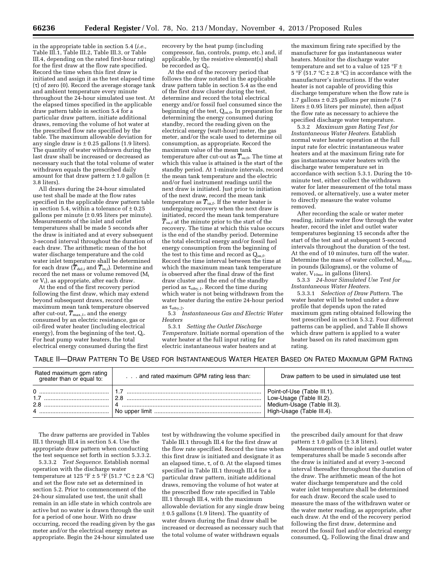in the appropriate table in section 5.4 (*i.e.,*  Table III.1, Table III.2, Table III.3, or Table III.4, depending on the rated first-hour rating) for the first draw at the flow rate specified. Record the time when this first draw is initiated and assign it as the test elapsed time  $(\tau)$  of zero (0). Record the average storage tank and ambient temperature every minute throughout the 24-hour simulated use test. At the elapsed times specified in the applicable draw pattern table in section 5.4 for a particular draw pattern, initiate additional draws, removing the volume of hot water at the prescribed flow rate specified by the table. The maximum allowable deviation for any single draw is  $\pm$  0.25 gallons (1.9 liters). The quantity of water withdrawn during the last draw shall be increased or decreased as necessary such that the total volume of water withdrawn equals the prescribed daily amount for that draw pattern  $\pm$  1.0 gallon ( $\pm$ 3.8 liters).

All draws during the 24-hour simulated use test shall be made at the flow rates specified in the applicable draw pattern table in section 5.4, within a tolerance of  $\pm$  0.25 gallons per minute  $(± 0.95$  liters per minute). Measurements of the inlet and outlet temperatures shall be made 5 seconds after the draw is initiated and at every subsequent 3-second interval throughout the duration of each draw. The arithmetic mean of the hot water discharge temperature and the cold water inlet temperature shall be determined for each draw ( $\overline{T}_{\text{del,i}}$  and  $\overline{T}_{\text{in,i}}$ ). Determine and record the net mass or volume removed (Mi or Vi), as appropriate, after each draw.

At the end of the first recovery period following the first draw, which may extend beyond subsequent draws, record the maximum mean tank temperature observed after cut-out,  $\overline{T}_{\text{max},1}$ , and the energy consumed by an electric resistance, gas or oil-fired water heater (including electrical energy), from the beginning of the test,  $Q_r$ . For heat pump water heaters, the total electrical energy consumed during the first

recovery by the heat pump (including compressor, fan, controls, pump, etc.) and, if applicable, by the resistive element(s) shall be recorded as  $Q_{r}$ .

At the end of the recovery period that follows the draw notated in the applicable draw pattern table in section 5.4 as the end of the first draw cluster during the test, determine and record the total electrical energy and/or fossil fuel consumed since the beginning of the test,  $Q_{su,0}$ . In preparation for determining the energy consumed during standby, record the reading given on the electrical energy (watt-hour) meter, the gas meter, and/or the scale used to determine oil consumption, as appropriate. Record the maximum value of the mean tank temperature after cut-out as  $\overline{T}_{\text{su},0}$ . The time at which this value is attained is the start of the standby period. At 1-minute intervals, record the mean tank temperature and the electric and/or fuel instrument readings until the next draw is initiated. Just prior to initiation of the next draw, record the mean tank temperature as  $\overline{T}_{\text{sn.f.}}$  If the water heater is undergoing recovery when the next draw is initiated, record the mean tank temperature  $\overline{T}_{\text{su,f}}$  at the minute prior to the start of the recovery. The time at which this value occurs is the end of the standby period. Determine the total electrical energy and/or fossil fuel energy consumption from the beginning of the test to this time and record as  $Q_{\text{sn.f.}}$ Record the time interval between the time at which the maximum mean tank temperature is observed after the final draw of the first draw cluster and the end of the standby period as  $\tau_{\text{stby},1}$ . Record the time during which water is not being withdrawn from the water heater during the entire 24-hour period as  $\tau_{\text{stby},2}$ .

5.3 *Instantaneous Gas and Electric Water Heaters* 

5.3.1 *Setting the Outlet Discharge Temperature.* Initiate normal operation of the water heater at the full input rating for electric instantaneous water heaters and at

the maximum firing rate specified by the manufacturer for gas instantaneous water heaters. Monitor the discharge water temperature and set to a value of 125 °F  $\pm$ 5 °F (51.7 °C  $\pm$  2.8 °C) in accordance with the manufacturer's instructions. If the water heater is not capable of providing this discharge temperature when the flow rate is 1.7 gallons  $\pm$  0.25 gallons per minute (7.6) liters ± 0.95 liters per minute), then adjust the flow rate as necessary to achieve the specified discharge water temperature.

5.3.2 *Maximum gpm Rating Test for Instantaneous Water Heaters.* Establish normal water heater operation at the full input rate for electric instantaneous water heaters and at the maximum firing rate for gas instantaneous water heaters with the discharge water temperature set in accordance with section 5.3.1. During the 10 minute test, either collect the withdrawn water for later measurement of the total mass removed, or alternatively, use a water meter to directly measure the water volume removed.

After recording the scale or water meter reading, initiate water flow through the water heater, record the inlet and outlet water temperatures beginning 15 seconds after the start of the test and at subsequent 5-second intervals throughout the duration of the test. At the end of 10 minutes, turn off the water. Determine the mass of water collected,  $M_{10m}$ , in pounds (kilograms), or the volume of water,  $V_{10m}$ , in gallons (liters).

5.3.3 *24-hour Simulated Use Test for Instantaneous Water Heaters.* 

5.3.3.1 *Selection of Draw Pattern.* The water heater will be tested under a draw profile that depends upon the rated maximum gpm rating obtained following the test prescribed in section 5.3.2. Four different patterns can be applied, and Table II shows which draw pattern is applied to a water heater based on its rated maximum gpm rating.

#### TABLE II—DRAW PATTERN TO BE USED FOR INSTANTANEOUS WATER HEATER BASED ON RATED MAXIMUM GPM RATING

| Rated maximum gpm rating<br>greater than or equal to: | and rated maximum GPM rating less than: | Draw pattern to be used in simulated use test                                                                       |
|-------------------------------------------------------|-----------------------------------------|---------------------------------------------------------------------------------------------------------------------|
| 2.8                                                   | າ                                       | Point-of-Use (Table III.1).<br>Low-Usage (Table III.2).<br>Medium-Usage (Table III.3).<br>High-Usage (Table III.4). |

The draw patterns are provided in Tables III.1 through III.4 in section 5.4. Use the appropriate draw pattern when conducting the test sequence set forth in section 5.3.3.2.

5.3.3.2 *Test Sequence.* Establish normal operation with the discharge water temperature at 125 °F  $\pm$  5 °F (51.7 °C  $\pm$  2.8 °C) and set the flow rate set as determined in section 5.2. Prior to commencement of the 24-hour simulated use test, the unit shall remain in an idle state in which controls are active but no water is drawn through the unit for a period of one hour. With no draw occurring, record the reading given by the gas meter and/or the electrical energy meter as appropriate. Begin the 24-hour simulated use

test by withdrawing the volume specified in Table III.1 through III.4 for the first draw at the flow rate specified. Record the time when this first draw is initiated and designate it as an elapsed time,  $\tau$ , of 0. At the elapsed times specified in Table III.1 through III.4 for a particular draw pattern, initiate additional draws, removing the volume of hot water at the prescribed flow rate specified in Table III.1 through III.4, with the maximum allowable deviation for any single draw being  $\pm$  0.5 gallons (1.9 liters). The quantity of water drawn during the final draw shall be increased or decreased as necessary such that the total volume of water withdrawn equals

the prescribed daily amount for that draw pattern  $\pm$  1.0 gallon ( $\pm$  3.8 liters).

Measurements of the inlet and outlet water temperatures shall be made 5 seconds after the draw is initiated and at every 3-second interval thereafter throughout the duration of the draw. The arithmetic mean of the hot water discharge temperature and the cold water inlet temperature shall be determined for each draw. Record the scale used to measure the mass of the withdrawn water or the water meter reading, as appropriate, after each draw. At the end of the recovery period following the first draw, determine and record the fossil fuel and/or electrical energy consumed, Qr. Following the final draw and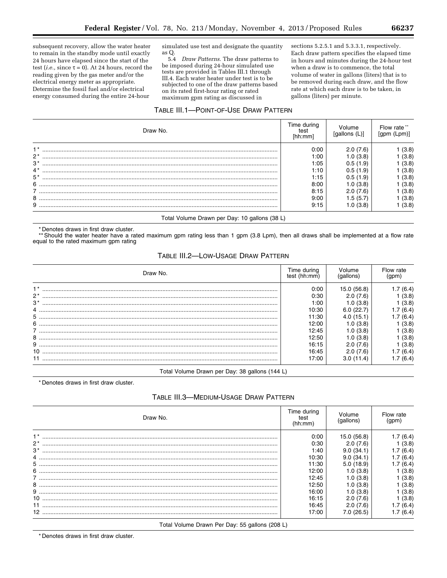subsequent recovery, allow the water heater to remain in the standby mode until exactly 24 hours have elapsed since the start of the test (*i.e.*, since  $\tau = 0$ ). At 24 hours, record the reading given by the gas meter and/or the electrical energy meter as appropriate. Determine the fossil fuel and/or electrical energy consumed during the entire 24-hour

simulated use test and designate the quantity as Q.<br>  $5.4\,$ 

Draw Patterns. The draw patterns to be imposed during 24-hour simulated use tests are provided in Tables III.1 through III.4. Each water heater under test is to be subjected to one of the draw patterns based on its rated first-hour rating or rated maximum gpm rating as discussed in

sections 5.2.5.1 and 5.3.3.1, respectively. Each draw pattern specifies the elapsed time in hours and minutes during the 24-hour test when a draw is to commence, the total volume of water in gallons (liters) that is to be removed during each draw, and the flow rate at which each draw is to be taken, in gallons (liters) per minute.

## TABLE III.1-POINT-OF-USE DRAW PATTERN

| Draw No.                                      | Time during<br>test<br>[hh:mm] | Volume<br>(qallons (L) | Flow rate **<br>(qpm (Lpm) |
|-----------------------------------------------|--------------------------------|------------------------|----------------------------|
| $1*$                                          | 0:00                           | 2.0(7.6)               | (3.8)                      |
| $2*$                                          | 1:00                           | 1.0(3.8)               | (3.8)                      |
| $3^*$                                         | 1:05                           | 0.5(1.9)               | (3.8)                      |
| $4^*$                                         | 1:10                           | 0.5(1.9)               | (3.8)                      |
| $5*$                                          | 1:15                           | 0.5(1.9)               | (3.8)                      |
| 6                                             | 8:00                           | 1.0(3.8)               | (3.8)                      |
|                                               | 8:15                           | 2.0(7.6)               | (3.8)                      |
| 8                                             | 9:00                           | 1.5 (5.7)              | (3.8)                      |
| 9                                             | 9:15                           | 1.0 (3.8)              | (3.8)                      |
| Total Volume Drawn per Day: 10 gallons (38 L) |                                |                        |                            |

\* Denotes draws in first draw cluster.

\*Should the water heater have a rated maximum gpm rating less than 1 gpm (3.8 Lpm), then all draws shall be implemented at a flow rate equal to the rated maximum gpm rating

#### TABLE III.2-LOW-USAGE DRAW PATTERN

| Draw No. | Time durina<br>test (hh:mm) | Volume<br>(gallons) | Flow rate<br>qpm) |
|----------|-----------------------------|---------------------|-------------------|
|          | 0:00                        | 15.0 (56.8)         | (6.4)             |
| $2^*$    | 0:30                        | 2.0(7.6)            | (3.8)             |
| $3*$     | 1:00                        | 1.0(3.8)            | (3.8)             |
|          | 10:30                       | 6.0(22.7)           | (6.4)             |
|          | 11:30                       | 4.0(15.1)           | (6.4)             |
|          | 12:00                       | 1.0(3.8)            | (3.8)             |
|          | 12:45                       | 1.0 (3.8)           | (3.8)             |
|          | 12:50                       | 1.0(3.8)            | (3.8)             |
|          | 16:15                       | 2.0(7.6)            | (3.8)             |
| 10       | 16:45                       | 2.0(7.6)            | (6.4)             |
|          | 17:00                       | 3.0(11.4)           | (6.4)             |

#### Total Volume Drawn per Day: 38 gallons (144 L)

\* Denotes draws in first draw cluster.

## TABLE III.3-MEDIUM-USAGE DRAW PATTERN

| Draw No. | Time during<br>test<br>(hh:mm) | √olume<br>(gallons) | Flow rate |
|----------|--------------------------------|---------------------|-----------|
|          | 0:00                           | 15.0 (56.8)         | (6.4)     |
| $2^*$    | 0:30                           | 2.0(7.6)            | (3.8)     |
| $3*$     | 1:40                           | 9.0(34.1)           | (6.4)     |
|          | 10:30                          | 9.0(34.1)           | (6.4)     |
|          | 11:30                          | 5.0(18.9)           | (6.4)     |
|          | 12:00                          | 1.0(3.8)            | (3.8)     |
|          | 12:45                          | 1.0(3.8)            | (3.8)     |
|          | 12:50                          | 1.0(3.8)            | (3.8)     |
| 9        | 16:00                          | 1.0 (3.8)           | (3.8)     |
| 10       | 16:15                          | 2.0(7.6)            | (3.8)     |
|          | 16:45                          | (7.6)               | (6.4)     |
|          | 17:00                          | 7.0(26.5)           | (6.4)     |

Total Volume Drawn Per Day: 55 gallons (208 L)

\* Denotes draws in first draw cluster.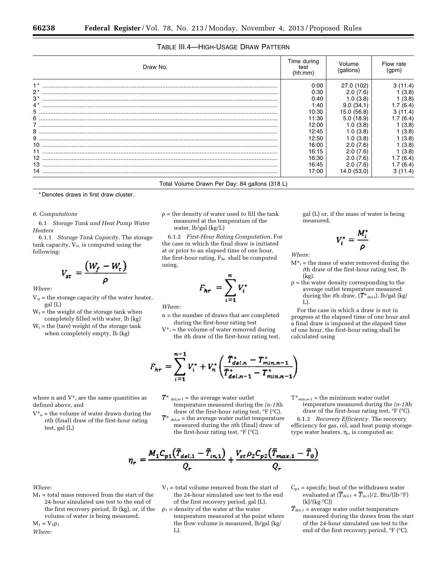## TABLE III.4—HIGH-USAGE DRAW PATTERN

| Draw No.                                       | Time during<br>test<br>(hh:mm) | √olume<br>(gallons) | Flow rate<br>(qpm) |
|------------------------------------------------|--------------------------------|---------------------|--------------------|
|                                                | 0:00                           | 27.0 (102)          | 1.4)               |
| $2^*$                                          | 0:30                           | 2.0(7.6)            | (3.8)              |
| $3*$                                           | 0:40                           | 1.0(3.8)            | (3.8)              |
| $4*$                                           | 1:40                           | 9.0(34.1)           | (6.4)              |
|                                                | 10:30                          | 15.0 (56.8)         | 11.4)              |
| 6                                              | 11:30                          | 5.0(18.9)           | (6.4)              |
|                                                | 12:00                          | 1.0(3.8)            | (3.8)              |
|                                                | 12:45                          | 1.0(3.8)            | (3.8)              |
|                                                | 12:50                          | 1.0(3.8)            | (3.8)              |
|                                                | 16:00                          | 2.0(7.6)            | (3.8)              |
|                                                | 16:15                          | 2.0(7.6)            | (3.8)              |
|                                                | 16:30                          | 2.0(7.6)            | (6.4)              |
|                                                | 16:45                          | 2.0(7.6)            | (6.4)              |
|                                                | 17:00                          | 14.0 (53.0)         | 11.4)              |
| Total Volume Drawn Per Day: 84 gallons (318 L) |                                |                     |                    |

\* Denotes draws in first draw cluster.

#### *6. Computations*

6.1 *Storage Tank and Heat Pump Water Heaters* 

6.1.1 *Storage Tank Capacity.* The storage tank capacity,  $V_{st}$ , is computed using the following:

$$
V_{st} = \frac{(W_f - W_t)}{\rho}
$$

*Where:* 

- $V_{st}$  = the storage capacity of the water heater, gal (L)
- $W_f$  = the weight of the storage tank when completely filled with water, lb (kg)
- $W_t$  = the (tare) weight of the storage tank when completely empty, lb (kg)

 $\rho$  = the density of water used to fill the tank measured at the temperature of the water, lb/gal (kg/L)

6.1.2 *First-Hour Rating Computation.* For the case in which the final draw is initiated at or prior to an elapsed time of one hour, the first-hour rating,  $F<sub>hr</sub>$  shall be computed using,

$$
F_{hr} = \sum_{i=1}^{n} V_i
$$

*Where:* 

- n = the number of draws that are completed during the first-hour rating test
- $V_{i}^*$  = the volume of water removed during the *i*th draw of the first-hour rating test,

$$
F_{hr} = \sum_{i=1}^{n-1} V_i^* + V_n^* \left( \frac{T_{del,n}^* - T_{min,n-1}^*}{T_{del,n-1}^* - T_{min,n-1}^*} \right)
$$

- $\overline{T}^*$  del,n-1 = the average water outlet temperature measured during the *(n-1)*th draw of the first-hour rating test, °F (°C).
- $\overline{T}^*$  del,n = the average water outlet temperature measured during the *n*th (final) draw of the first-hour rating test, °F (°C).

gal (L) or, if the mass of water is being

$$
V_i^* = \frac{M_i}{\rho}
$$

*Where:* 

measured,

- $M^*$ <sub>i</sub> = the mass of water removed during the *i*th draw of the first-hour rating test, lb (kg).
- $\rho$  = the water density corresponding to the average outlet temperature measured during the *i*th draw,  $(\overline{T}^*_{del,i}),$  lb/gal (kg/ L).

For the case in which a draw is not in progress at the elapsed time of one hour and a final draw is imposed at the elapsed time of one hour, the first-hour rating shall be calculated using

- where n and  $V^*$  are the same quantities as defined above, and
- $V_{n}^{*}$  = the volume of water drawn during the *n*th (final) draw of the first-hour rating test, gal (L)
	- $\eta_r = \frac{M_1 C_{p1} (\bar{T}_{del,1} \bar{T}_{in,1})}{O_+} + \frac{V_{st} \rho_2 C_{p2} (\bar{T}_{max,1} \bar{T}_0)}{O_-}$

- *Where:*
- $M_1$  = total mass removed from the start of the 24-hour simulated use test to the end of the first recovery period, lb (kg), or, if the volume of water is being measured,

 $M_1 = V_1 \rho_1$ 

*Where:* 

- $V_1$  = total volume removed from the start of the 24-hour simulated use test to the end of the first recovery period, gal (L).
- $\rho_1$  = density of the water at the water temperature measured at the point where the flow volume is measured, lb/gal (kg/ L).

 $\mathbf{T}^\star{}_{\text{min,n-1}}$  = the minimum water outlet temperature measured during the *(n-1)*th draw of the first-hour rating test,  ${}^{\circ}$ F ( ${}^{\circ}$ C).

6.1.3 *Recovery Efficiency.* The recovery efficiency for gas, oil, and heat pump storagetype water heaters,  $\eta_r$ , is computed as:

- $C_{p1}$  = specific heat of the withdrawn water evaluated at  $(\overline{T}_{\text{del},1} + \overline{T}_{\text{in},1})/2$ , Btu/(lb·°F) (kJ/(kg·°C))
- $\overline{T}_{\text{del},1}$  = average water outlet temperature measured during the draws from the start of the 24-hour simulated use test to the end of the first recovery period, °F (°C).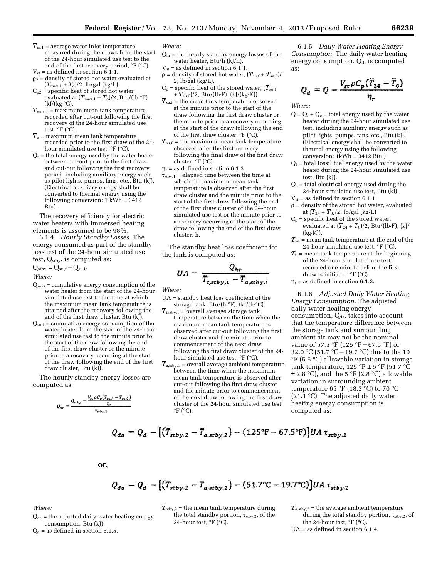- $\overline{T}_{\text{in},1}$  = average water inlet temperature measured during the draws from the start of the 24-hour simulated use test to the end of the first recovery period, °F (°C).
- $V_{st}$  = as defined in section 6.1.1.  $\rho_2$  = density of stored hot water evaluated at
- $(\overline{T}_{\text{max},1} + \overline{T}_{\text{o}})/2$ , lb/gal (kg/L).  $C_{p2}$  = specific heat of stored hot water evaluated at  $(\overline{T}_{\text{max},1} + \overline{T}_{\text{o}})/2$ , Btu/(lb·°F)  $(kJ/(kg \cdot ^{\circ}C)).$
- $\overline{T}_{\text{max},1}$  = maximum mean tank temperature recorded after cut-out following the first recovery of the 24-hour simulated use test,  ${}^{\circ}$ F ( ${}^{\circ}$ C).
- $\overline{T}_{\rm o}$  = maximum mean tank temperature recorded prior to the first draw of the 24 hour simulated use test, °F (°C).
- $Q<sub>r</sub>$  = the total energy used by the water heater between cut-out prior to the first draw and cut-out following the first recovery period, including auxiliary energy such as pilot lights, pumps, fans, etc., Btu (kJ). (Electrical auxiliary energy shall be converted to thermal energy using the following conversion:  $1 \text{ kWh} = 3412$ Btu).

The recovery efficiency for electric water heaters with immersed heating elements is assumed to be 98%.

6.1.4 *Hourly Standby Losses.* The energy consumed as part of the standby loss test of the 24-hour simulated use test,  $Q_{\text{stby}}$ , is computed as:

$$
Q_{\rm stby} = Q_{\rm su,f} - Q_{\rm su,0}
$$

*Where:* 

- $Q_{su,0}$  = cumulative energy consumption of the water heater from the start of the 24-hour simulated use test to the time at which the maximum mean tank temperature is attained after the recovery following the end of the first draw cluster, Btu (kJ).
- $Q_{\text{su,f}}$  = cumulative energy consumption of the water heater from the start of the 24-hour simulated use test to the minute prior to the start of the draw following the end of the first draw cluster or the minute prior to a recovery occurring at the start of the draw following the end of the first draw cluster, Btu (kJ).

The hourly standby energy losses are computed as:

$$
Q_{hr} = \frac{Q_{stby} - \frac{V_{st}\rho C_p\left(\bar{T}_{suf} - \bar{T}_{su,0}\right)}{\eta_r}}{\tau_{stby,1}}
$$

*Where:* 

- $Q<sub>hr</sub>$  = the hourly standby energy losses of the water heater, Btu/h (kJ/h).
- $V_{st}$  = as defined in section 6.1.1.  $\rho =$  density of stored hot water,  $(\overline{T}_{\text{su,f}} + \overline{T}_{\text{su,0}})/\rho$ 2, lb/gal (kg/L).
- $C_p$  = specific heat of the stored water,  $(\overline{T}_{\text{su,f}})$  $+\overline{T}_{\text{su},0}/2$ , Btu/(lb·F), (kJ/(kg·K))
- $\overline{T}_{\text{surf}}$  = the mean tank temperature observed at the minute prior to the start of the draw following the first draw cluster or the minute prior to a recovery occurring at the start of the draw following the end of the first draw cluster,  ${}^{\circ}$ F ( ${}^{\circ}$ C).
- $\overline{T}_{\text{\tiny{su,0}}}$  = the maximum mean tank temperature observed after the first recovery following the final draw of the first draw cluster, °F (°C).
- $\eta_r$  = as defined in section 6.1.3.
- $\tau_{\text{stby},1}$  = elapsed time between the time at which the maximum mean tank temperature is observed after the first draw cluster and the minute prior to the start of the first draw following the end of the first draw cluster of the 24-hour simulated use test or the minute prior to a recovery occurring at the start of the draw following the end of the first draw cluster, h.

The standby heat loss coefficient for the tank is computed as:

$$
UA = \frac{Q_{hr}}{\overline{T}_{\text{c,stby},1} - \overline{T}_{\text{a,stby},1}}
$$

*Where:* 

- UA = standby heat loss coefficient of the storage tank, Btu/(h·°F), (kJ/(h·°C).
- $\overline{T}_{t, \text{stby},1}$  = overall average storage tank temperature between the time when the maximum mean tank temperature is observed after cut-out following the first draw cluster and the minute prior to commencement of the next draw following the first draw cluster of the 24 hour simulated use test, °F (°C).
- $\overline{T}_{a, \text{stby},1}$  = overall average ambient temperature between the time when the maximum mean tank temperature is observed after cut-out following the first draw cluster and the minute prior to commencement of the next draw following the first draw cluster of the 24-hour simulated use test,  $\mathrm{P}F$  ( $\mathrm{C}$ ).

6.1.5 *Daily Water Heating Energy Consumption.* The daily water heating energy consumption,  $Q_d$ , is computed as:

$$
Q_d = Q - \frac{V_{st} \rho C_p (\bar{T}_{24} - \bar{T}_0)}{\eta_r}
$$

*Where:* 

- $Q = Q_f + Q_e$  = total energy used by the water heater during the 24-hour simulated use test, including auxiliary energy such as pilot lights, pumps, fans, etc., Btu (kJ). (Electrical energy shall be converted to thermal energy using the following conversion: 1kWh = 3412 Btu.)
- $Q_f$  = total fossil fuel energy used by the water heater during the 24-hour simulated use test, Btu (kJ).
- $Q_e$  = total electrical energy used during the 24-hour simulated use test, Btu (kJ).
- $V_{st}$  = as defined in section 6.1.1.
- $\rho$  = density of the stored hot water, evaluated at  $(\overline{T}_{24} + \overline{T}_0)/2$ , lb/gal (kg/L)
- $C_p$  = specific heat of the stored water, evaluated at  $(\overline{T}_{24} + \overline{T}_0)/2$ , Btu/(lb·F), (kJ/  $(kg·K)$ ).
- $\overline{T}_{24}$  = mean tank temperature at the end of the 24-hour simulated use test, °F (°C).
- $\overline{T}_0$  = mean tank temperature at the beginning of the 24-hour simulated use test, recorded one minute before the first draw is initiated, °F (°C).
- $\eta_r$  = as defined in section 6.1.3.

6.1.6 *Adjusted Daily Water Heating Energy Consumption.* The adjusted daily water heating energy consumption,  $Q_{da}$ , takes into account that the temperature difference between the storage tank and surrounding ambient air may not be the nominal value of 57.5 °F (125 °F – 67.5 °F) or 32.0 °C (51.7 °C – 19.7 °C) due to the 10 °F (5.6 °C) allowable variation in storage tank temperature, 125 °F  $\pm$  5 °F (51.7 °C)  $\pm$  2.8 °C), and the 5 °F (2.8 °C) allowable variation in surrounding ambient temperature 65 °F (18.3 °C) to 70 °C (21.1  $^{\circ}$ C). The adjusted daily water heating energy consumption is computed as:

$$
Q_{da} = Q_d - [(\bar{T}_{stby,2} - \bar{T}_{a,stby,2}) - (125\text{°F} - 67.5\text{°F})]UA \tau_{stby,2}
$$

or,

$$
Q_{da} = Q_d - [(\bar{T}_{stby,2} - \bar{T}_{a, stby,2}) - (51.7^{\circ}\text{C} - 19.7^{\circ}\text{C})]UA \tau_{stby,2}
$$

#### *Where:*

 $Q_{da}$  = the adjusted daily water heating energy consumption, Btu (kJ).

 $Q_d$  = as defined in section 6.1.5.

 $T_{\text{stby},2}$  = the mean tank temperature during the total standby portion,  $\tau_{\text{stby},2}$  , of the 24-hour test, °F (°C).

 $T_{\text{a,sty},2}$  = the average ambient temperature during the total standby portion,  $\tau_{\text{stby},2}$ , of the 24-hour test,  $\mathrm{P}F$  ( $\mathrm{C}C$ ).

UA = as defined in section 6.1.4.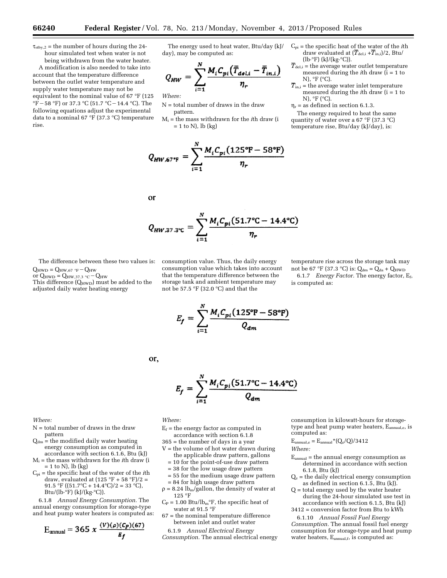$\tau_{\text{stby},2}$  = the number of hours during the 24hour simulated test when water is not being withdrawn from the water heater.

A modification is also needed to take into account that the temperature difference between the outlet water temperature and supply water temperature may not be equivalent to the nominal value of 67 °F (125 °F – 58 °F) or 37.3 °C (51.7 °C – 14.4 °C). The following equations adjust the experimental data to a nominal 67 °F (37.3 °C) temperature rise.

The energy used to heat water, Btu/day (kJ/ day), may be computed as:

$$
Q_{HW} = \sum_{i=1}^{N} \frac{M_i C_{pi} (\bar{T}_{del,i} - \bar{T}_{in,i})}{\eta_r}
$$

*Where:* 

- N = total number of draws in the draw pattern.
- Mi = the mass withdrawn for the *i*th draw (i  $= 1$  to N), lb (kg)

$$
Q_{HW,67^{*}\text{F}} = \sum_{i=1}^{N} \frac{M_i C_{pi} (125^{\circ}\text{F} - 58^{\circ}\text{F})}{\eta_r}
$$

or

$$
Q_{HW,37.3\degree \text{C}} = \sum_{i=1}^{N} \frac{M_i C_{pi} (51.7\degree \text{C} - 14.4\degree \text{C})}{\eta_r}
$$

The difference between these two values is:  $Q_{HWD} = Q_{HW,67}$  °F  $-Q_{HW}$ 

or  $Q_{HWD} = Q_{HW,37.3}$  °C –  $Q_{HW}$ This difference  $(Q<sub>HWD</sub>)$  must be added to the adjusted daily water heating energy

consumption value which takes into account that the temperature difference between the storage tank and ambient temperature may not be 57.5 °F (32.0 °C) and that the

Cpi = the specific heat of the water of the *i*th draw evaluated at  $(\overline{T}_{del,i} + \overline{T}_{in,i})/2$ , Btu/ (lb·°F) (kJ/(kg·°C)).

- $\overline{T}_{\text{del,i}}$  = the average water outlet temperature measured during the *i*th draw (i = 1 to N), °F (°C).
- $T_{\text{in,i}}$  = the average water inlet temperature measured during the *i*th draw (i = 1 to N),  $\mathrm{P}F$  ( $\mathrm{C}$ ).
- $\eta_r$  = as defined in section 6.1.3.

The energy required to heat the same quantity of water over a 67 °F (37.3 °C) temperature rise, Btu/day (kJ/day), is:

consumption value. Thus, the daily energy

temperature rise across the storage tank may not be 67 °F (37.3 °C) is:  $Q_{dm} = Q_{da} + Q_{HWD}$ 

6.1.7 *Energy Factor.* The energy factor, Ef, is computed as:

$$
E_f = \sum_{i=1}^{N} \frac{M_i C_{pi} (125^{\circ} \text{F} - 58^{\circ} \text{F})}{Q_{dm}}
$$

$$
E_f = \sum_{i=1}^{N} \frac{M_i C_{pi} (51.7^{\circ}C - 14.4^{\circ}C)}{Q_{dm}}
$$

*Where:* 

- $N =$  total number of draws in the draw pattern
- $Q_{dm}$  = the modified daily water heating energy consumption as computed in accordance with section 6.1.6, Btu (kJ)
- Mi = the mass withdrawn for the *i*th draw (i  $= 1$  to N), lb (kg)
- Cpi = the specific heat of the water of the *i*th draw, evaluated at  $(125 \degree F + 58 \degree F)/2 =$ 91.5 °F ((51.7°C + 14.4°C)/2 = 33 °C), Btu/(lb·°F) (kJ/(kg·°C)).

6.1.8 *Annual Energy Consumption.* The annual energy consumption for storage-type and heat pump water heaters is computed as:

$$
E_{\text{annual}} = 365 \times \frac{(v)(\rho)(C_P)(67)}{E_f}
$$

*Where:* 

or,

- $E_f$  = the energy factor as computed in accordance with section 6.1.8
- 365 = the number of days in a year
- $V =$  the volume of hot water drawn during the applicable draw pattern, gallons
	- = 10 for the point-of-use draw pattern
	- = 38 for the low usage draw pattern
- = 55 for the medium usage draw pattern = 84 for high usage draw pattern
- $\rho = 8.24$  lb<sub>m</sub>/gallon, the density of water at 125 °F
- $C_P = 1.00$  Btu/lb<sub>m</sub>°F, the specific heat of water at 91.5 °F
- 67 = the nominal temperature difference between inlet and outlet water
- 6.1.9 *Annual Electrical Energy Consumption.* The annual electrical energy

consumption in kilowatt-hours for storagetype and heat pump water heaters, Eannual,e, is computed as:

$$
E_{\text{annual,e}} = E_{\text{annual}} * (Q_e/Q)/3412
$$

*Where:* 

- $\rm E_{annual}$  = the annual energy consumption as determined in accordance with section 6.1.8, Btu (kJ)
- $Q_e$  = the daily electrical energy consumption as defined in section 6.1.5, Btu (kJ).
- Q = total energy used by the water heater during the 24-hour simulated use test in accordance with section 6.1.5, Btu (kJ)
- 3412 = conversion factor from Btu to kWh

6.1.10 *Annual Fossil Fuel Energy Consumption.* The annual fossil fuel energy consumption for storage-type and heat pump water heaters,  $E_{\text{annual},f}$ , is computed as: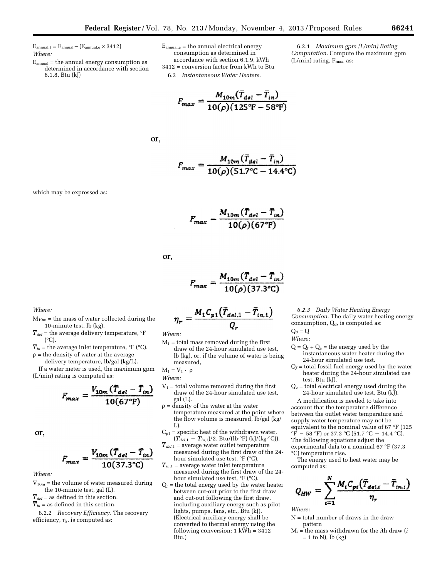$E_{annual,f} = E_{annual} - (E_{annual,e} \times 3412)$ *Where:* 

which may be expressed as:

- $E_{\text{annual}}$  = the annual energy consumption as determined in accordance with section 6.1.8, Btu (kJ)
- $E_{annual,e}$  = the annual electrical energy consumption as determined in accordance with section 6.1.9, kWh 3412 = conversion factor from kWh to Btu 6.2 *Instantaneous Water Heaters.*
- 6.2.1 *Maximum gpm (L/min) Rating Computation.* Compute the maximum gpm (L/min) rating,  $F_{\text{max}}$ , as:

or,

$$
F_{max} = \frac{M_{10m} (T_{del} - T_{in})}{10(\rho)(51.7^{\circ}\text{C} - 14.4^{\circ}\text{C})}
$$

 $F_{max} = \frac{M_{10m}(\overline{T}_{del} - \overline{T}_{in})}{10(\rho)(125^{\circ}F - 58^{\circ}F)}$ 

$$
F_{max} = \frac{M_{10m}(T_{del} - T)}{10(\rho)(67^{\circ}F)}
$$

or,

$$
F_{max} = \frac{M_{10m}(T_{del} - T_{in})}{10(\rho)(37.3^{\circ}\text{C})}
$$

*Where:* 

 $M_{10m}$  = the mass of water collected during the 10-minute test, lb (kg).

 $\overline{T}_{del}$  = the average delivery temperature,  $\mathrm{P}F$ (°C).

 $\overline{T}_{in}$  = the average inlet temperature,  $\mathrm{^{\circ}F}$  ( $\mathrm{^{\circ}C}$ ).  $\rho$  = the density of water at the average

delivery temperature, lb/gal (kg/L).

If a water meter is used, the maximum gpm (L/min) rating is computed as:

$$
F_{max} = \frac{V_{10m} (\bar{T}_{del} - \bar{T}_{in})}{10(67^{\circ} \text{F})}
$$

or,

$$
F_{max} = \frac{V_{10m} (\bar{T}_{del} - \bar{T}_{in})}{10(37.3^{\circ}\text{C})}
$$

*Where:* 

- $V_{10m}$  = the volume of water measured during the 10-minute test, gal (L).
- $\overline{T}_{del}$  = as defined in this section.
- $\overline{T}_{in}$  = as defined in this section.

6.2.2 *Recovery Efficiency.* The recovery efficiency,  $\eta_r$ , is computed as:

$$
\eta_r = \frac{M_1 C_{p1} (\bar{T}_{del,1} - \bar{T}_{in,1})}{Q_r}
$$

*Where:* 

 $M_1$  = total mass removed during the first draw of the 24-hour simulated use test, lb (kg), or, if the volume of water is being measured,

$$
M_1=V_1\cdot~\rho
$$

*Where:* 

- $V_1$  = total volume removed during the first draw of the 24-hour simulated use test, gal (L).
- $\rho$  = density of the water at the water temperature measured at the point where the flow volume is measured, lb/gal (kg/  $L$ ).
- $C_{p1}$  = specific heat of the withdrawn water,  $(\overline{T}_{del,1} - \overline{T}_{in,1})/2$ , Btu/(lb·°F) (kJ/(kg·°C)).
- $\overline{T}_{del,1}$  = average water outlet temperature measured during the first draw of the 24 hour simulated use test, °F (°C).
- $\overline{T}_{in,1}$  = average water inlet temperature measured during the first draw of the 24 hour simulated use test, °F (°C).
- $Q_r$  = the total energy used by the water heater between cut-out prior to the first draw and cut-out following the first draw, including auxiliary energy such as pilot lights, pumps, fans, etc., Btu (kJ). (Electrical auxiliary energy shall be converted to thermal energy using the following conversion: 1 kWh = 3412 Btu.)

*6.2.3 Daily Water Heating Energy Consumption.* The daily water heating energy consumption,  $Q_d$ , is computed as:  $Q_d = Q$ 

*Where:* 

- $Q = Q_f + Q_e$  = the energy used by the instantaneous water heater during the 24-hour simulated use test.
- $Q_f$  = total fossil fuel energy used by the water heater during the 24-hour simulated use test, Btu (kJ).
- $Q_e$  = total electrical energy used during the 24-hour simulated use test, Btu (kJ).

A modification is needed to take into account that the temperature difference between the outlet water temperature and supply water temperature may not be equivalent to the nominal value of 67 °F (125  ${}^{\circ}$ F – 58  ${}^{\circ}$ F) or 37.3  ${}^{\circ}$ C (51.7  ${}^{\circ}$ C – 14.4  ${}^{\circ}$ C). The following equations adjust the experimental data to a nominal 67 °F (37.3

°C) temperature rise.

The energy used to heat water may be computed as:

$$
Q_{HW} = \sum_{i=1}^{N} \frac{M_i C_{pi}(\bar{T}_{del,i} - \bar{T}_{in,i})}{\eta_r}
$$

*Where:* 

N = total number of draws in the draw pattern

Mi = the mass withdrawn for the *i*th draw (*i*   $= 1$  to N), lb (kg)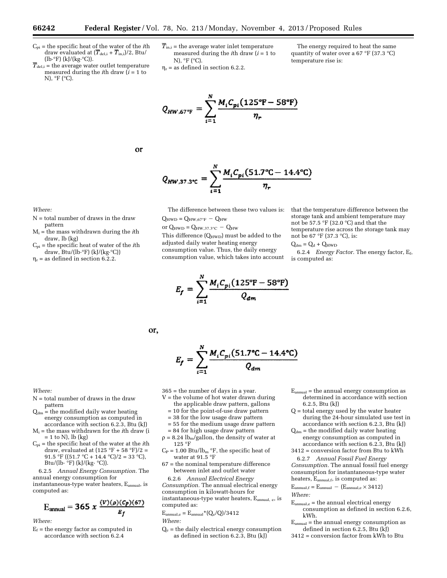Cpi = the specific heat of the water of the *i*th draw evaluated at  $(T_{del,i} + T_{in,i})/2$ , Btu/ (lb·°F) (kJ/(kg·°C)).

 $\overline{T}_{\text{del,i}}$  = the average water outlet temperature measured during the *i*th draw  $(i = 1$  to N), °F (°C).

- $\overline{T}_{\text{in,i}}$  = the average water inlet temperature measured during the *i*th draw (*i* = 1 to N), °F (°C).
- $\eta_r$  = as defined in section 6.2.2.

The energy required to heat the same quantity of water over a 67 °F (37.3 °C) temperature rise is:

$$
Q_{HW,67^{*}\text{F}} = \sum_{i=1}^{N} \frac{M_i C_{pi} (125^{\circ}\text{F} - 58^{\circ}\text{F})}{\eta_r}
$$

or

$$
Q_{HW,37.3\degree \text{C}} = \sum_{i=1}^{N} \frac{M_i C_{pi} (51.7\degree \text{C} - 14.4\degree \text{C})}{\eta_r}
$$

*Where:* 

- N = total number of draws in the draw pattern
- Mi = the mass withdrawn during the *i*th draw, lb (kg)
- Cpi = the specific heat of water of the *i*th draw, Btu/(lb·°F) (kJ/(kg·°C))
- $\eta_r$  = as defined in section 6.2.2.

The difference between these two values is:  $Q_{HWD} = Q_{HW,67°F} - Q_{HW}$ 

or  $Q_{HWD} = Q_{HW,37.3\degree C} - Q_{HW}$ This difference (QHWD) must be added to the adjusted daily water heating energy consumption value. Thus, the daily energy consumption value, which takes into account

$$
E_f = \sum_{i=1}^{N} \frac{M_i C_{pi} (125^{\circ} \text{F} - 58^{\circ} \text{F})}{Q_{dm}}
$$

storage tank and ambient temperature may not be 57.5 °F (32.0 °C) and that the temperature rise across the storage tank may not be 67 °F (37.3 °C), is:

that the temperature difference between the

 $Q_{dm} = Q_d + Q_{HWD}$ 

6.2.4 *Energy Factor.* The energy factor, Ef, is computed as:

or,

$$
E_f = \sum_{i=1}^{N} \frac{M_i C_{pi} (51.7^{\circ}C - 14.4^{\circ}C)}{Q_{dm}}
$$

*Where:* 

- N = total number of draws in the draw pattern
- $Q_{dm}$  = the modified daily water heating energy consumption as computed in accordance with section 6.2.3, Btu (kJ)
- Mi = the mass withdrawn for the *i*th draw (i  $= 1$  to N), lb (kg)
- Cpi = the specific heat of the water at the *i*th draw, evaluated at  $(125 \text{ °F} + 58 \text{ °F})/2 =$ 91.5 °F ((51.7 °C + 14.4 °C)/2 = 33 °C), Btu/(lb·  $\degree$ F) (kJ/(kg·  $\degree$ C)).

6.2.5 *Annual Energy Consumption.* The annual energy consumption for instantaneous-type water heaters, Eannual, is computed as:

$$
E_{\text{annual}} = 365 \times \frac{(V)(\rho)(C_{P})(67)}{E_{f}}
$$

*Where:* 

 $E_f$  = the energy factor as computed in accordance with section 6.2.4

- 365 = the number of days in a year.
- $V =$  the volume of hot water drawn during the applicable draw pattern, gallons
	- = 10 for the point-of-use draw pattern
	- = 38 for the low usage draw pattern
	- = 55 for the medium usage draw pattern
	- = 84 for high usage draw pattern
- $\rho = 8.24$  lb<sub>m</sub>/gallon, the density of water at 125 °F
- $C_P = 1.00$  Btu/lb<sub>m</sub> °F, the specific heat of water at 91.5  $^{\circ}\rm{F}$
- 67 = the nominal temperature difference between inlet and outlet water

6.2.6 *Annual Electrical Energy Consumption.* The annual electrical energy consumption in kilowatt-hours for instantaneous-type water heaters, E<sub>annual, e</sub>, is computed as:

 $E_{\text{annual,e}} = E_{\text{annual}} * (Q_e/Q)/3412$ 

- *Where:*
- $Q_e$  = the daily electrical energy consumption as defined in section 6.2.3, Btu (kJ)
- $E_{annual}$  = the annual energy consumption as determined in accordance with section 6.2.5, Btu (kJ)
- Q = total energy used by the water heater during the 24-hour simulated use test in accordance with section 6.2.3, Btu (kJ)
- $Q_{dm}$  = the modified daily water heating energy consumption as computed in accordance with section 6.2.3, Btu (kJ)
- 3412 = conversion factor from Btu to kWh

6.2.7 *Annual Fossil Fuel Energy Consumption.* The annual fossil fuel energy consumption for instantaneous-type water heaters,  $E_{\text{annual},f}$ , is computed as:

$$
E_{annual,f} = E_{annual} - (E_{annual,e} \times 3412)
$$
  
Where:

 $E_{annual.e}$  = the annual electrical energy consumption as defined in section 6.2.6, kWh.

 $E_{annual}$  = the annual energy consumption as defined in section 6.2.5, Btu (kJ)

3412 = conversion factor from kWh to Btu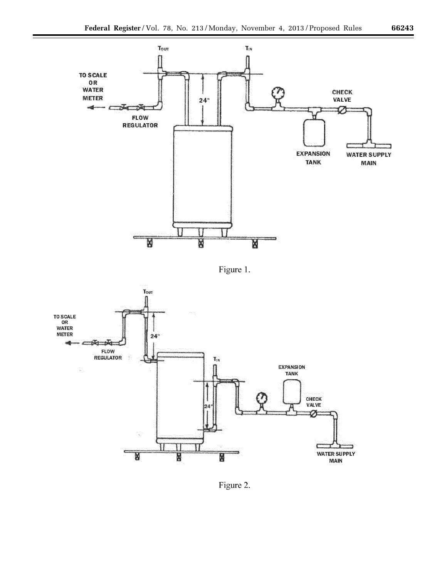

Figure 1.





▀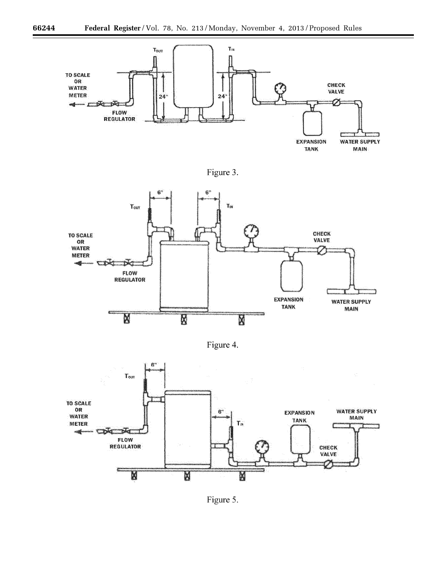





Figure 4.



۳

Figure 5.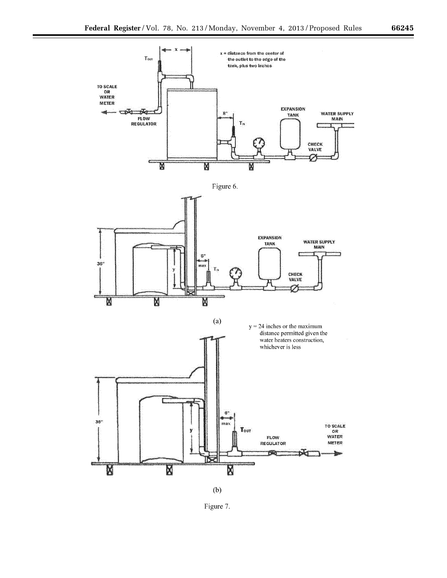

 $(b)$ 

Ñ

Figure 7.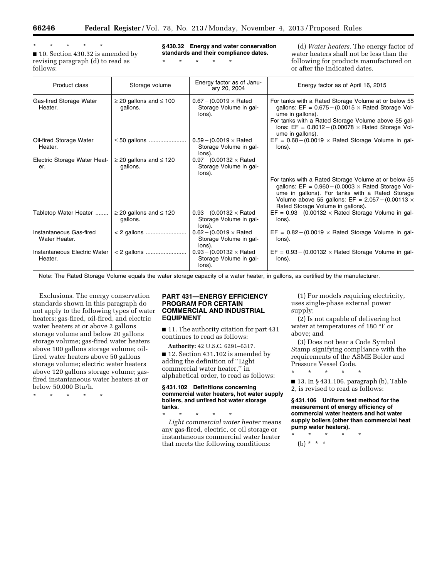\* \* \* \* \* ■ 10. Section 430.32 is amended by

revising paragraph (d) to read as follows:

**§ 430.32 Energy and water conservation standards and their compliance dates.** 

\* \* \* \* \*

(d) *Water heaters.* The energy factor of water heaters shall not be less than the following for products manufactured on or after the indicated dates.

| Product class                            | Storage volume                               | Energy factor as of Janu-<br>ary 20, 2004                                 | Energy factor as of April 16, 2015                                                                                                                                                                                                                                                 |
|------------------------------------------|----------------------------------------------|---------------------------------------------------------------------------|------------------------------------------------------------------------------------------------------------------------------------------------------------------------------------------------------------------------------------------------------------------------------------|
| Gas-fired Storage Water<br>Heater.       | $\geq$ 20 gallons and $\leq$ 100<br>gallons. | $0.67 - (0.0019 \times \text{Rated})$<br>Storage Volume in gal-<br>lons). | For tanks with a Rated Storage Volume at or below 55<br>gallons: $EF = 0.675 - (0.0015 \times \text{Rated Storage Vol}$<br>ume in gallons).<br>For tanks with a Rated Storage Volume above 55 gal-<br>lons: EF = $0.8012 - (0.00078 \times$ Rated Storage Vol-<br>ume in gallons). |
| Oil-fired Storage Water<br>Heater.       | $\leq$ 50 gallons                            | $0.59 - (0.0019 \times \text{Rated})$<br>Storage Volume in gal-<br>lons). | EF = $0.68 - (0.0019 \times \text{Rated Storage Volume in gal-})$<br>lons).                                                                                                                                                                                                        |
| Electric Storage Water Heat-<br>er.      | $\geq$ 20 gallons and $\leq$ 120<br>gallons. | $0.97 - (0.00132 \times \text{Rate})$<br>Storage Volume in gal-<br>lons). |                                                                                                                                                                                                                                                                                    |
|                                          |                                              |                                                                           | For tanks with a Rated Storage Volume at or below 55<br>gallons: $EF = 0.960 - (0.0003 \times \text{Rated Storage Vol}$<br>ume in gallons). For tanks with a Rated Storage<br>Volume above 55 gallons: EF = $2.057 - (0.00113 \times$<br>Rated Storage Volume in gallons).         |
| Tabletop Water Heater                    | $\geq$ 20 gallons and $\leq$ 120<br>gallons. | $0.93 - (0.00132 \times \text{Rate})$<br>Storage Volume in gal-<br>lons). | $EF = 0.93 - (0.00132 \times \text{Rated Storage Volume in gal-})$<br>lons).                                                                                                                                                                                                       |
| Instantaneous Gas-fired<br>Water Heater. |                                              | $0.62 - (0.0019 \times \text{Rated})$<br>Storage Volume in gal-<br>lons). | $EF = 0.82 - (0.0019 \times \text{Rated Storage Volume in gal-})$<br>lons).                                                                                                                                                                                                        |
| Instantaneous Electric Water<br>Heater.  |                                              | $0.93 - (0.00132 \times$ Rated<br>Storage Volume in gal-<br>lons).        | $EF = 0.93 - (0.00132 \times \text{Rated Storage Volume in gal-})$<br>lons).                                                                                                                                                                                                       |

Note: The Rated Storage Volume equals the water storage capacity of a water heater, in gallons, as certified by the manufacturer.

Exclusions. The energy conservation standards shown in this paragraph do not apply to the following types of water heaters: gas-fired, oil-fired, and electric water heaters at or above 2 gallons storage volume and below 20 gallons storage volume; gas-fired water heaters above 100 gallons storage volume; oilfired water heaters above 50 gallons storage volume; electric water heaters above 120 gallons storage volume; gasfired instantaneous water heaters at or below 50,000 Btu/h.

\* \* \* \* \*

#### **PART 431—ENERGY EFFICIENCY PROGRAM FOR CERTAIN COMMERCIAL AND INDUSTRIAL EQUIPMENT**

■ 11. The authority citation for part 431 continues to read as follows:

**Authority:** 42 U.S.C. 6291–6317.

■ 12. Section 431.102 is amended by adding the definition of ''Light commercial water heater,'' in alphabetical order, to read as follows:

#### **§ 431.102 Definitions concerning commercial water heaters, hot water supply boilers, and unfired hot water storage tanks.**

\* \* \* \* \* *Light commercial water heater* means any gas-fired, electric, or oil storage or instantaneous commercial water heater that meets the following conditions:

(1) For models requiring electricity, uses single-phase external power supply;

(2) Is not capable of delivering hot water at temperatures of 180 °F or above; and

(3) Does not bear a Code Symbol Stamp signifying compliance with the requirements of the ASME Boiler and Pressure Vessel Code.

■ 13. In § 431.106, paragraph (b), Table 2, is revised to read as follows:

**§ 431.106 Uniform test method for the measurement of energy efficiency of commercial water heaters and hot water supply boilers (other than commercial heat pump water heaters).** 

\* \* \* \* \*

\* \* \* \* \*

(b)  $* * * *$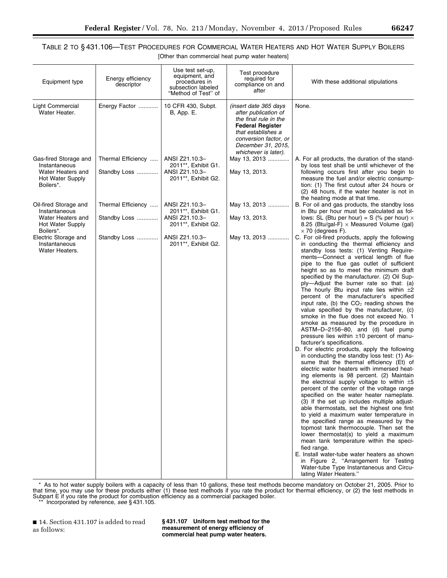e.

# TABLE 2 TO § 431.106—TEST PROCEDURES FOR COMMERCIAL WATER HEATERS AND HOT WATER SUPPLY BOILERS

[Other than commercial heat pump water heaters]

| Equipment type                                                       | Energy efficiency<br>descriptor | Use test set-up,<br>equipment, and<br>procedures in<br>subsection labeled<br>"Method of Test" of | Test procedure<br>required for<br>compliance on and<br>after                                                                                                                                          | With these additional stipulations                                                                                                                                                                                                                                                                                                                                                                                                                                                                                                                                                                                                                                                                                                                                                                                                                                                                                                                                                                                                                                                                                                                                                                                                                                                                                                                                                                                                                                                                                                                                                                                                                                                  |
|----------------------------------------------------------------------|---------------------------------|--------------------------------------------------------------------------------------------------|-------------------------------------------------------------------------------------------------------------------------------------------------------------------------------------------------------|-------------------------------------------------------------------------------------------------------------------------------------------------------------------------------------------------------------------------------------------------------------------------------------------------------------------------------------------------------------------------------------------------------------------------------------------------------------------------------------------------------------------------------------------------------------------------------------------------------------------------------------------------------------------------------------------------------------------------------------------------------------------------------------------------------------------------------------------------------------------------------------------------------------------------------------------------------------------------------------------------------------------------------------------------------------------------------------------------------------------------------------------------------------------------------------------------------------------------------------------------------------------------------------------------------------------------------------------------------------------------------------------------------------------------------------------------------------------------------------------------------------------------------------------------------------------------------------------------------------------------------------------------------------------------------------|
| Light Commercial<br>Water Heater.                                    | Energy Factor                   | 10 CFR 430, Subpt.<br><b>B</b> , App. E.                                                         | <i>(insert date 365 days</i><br>after publication of<br>the final rule in the<br><b>Federal Register</b><br>that establishes a<br>conversion factor, or<br>December 31, 2015,<br>whichever is later). | None.                                                                                                                                                                                                                                                                                                                                                                                                                                                                                                                                                                                                                                                                                                                                                                                                                                                                                                                                                                                                                                                                                                                                                                                                                                                                                                                                                                                                                                                                                                                                                                                                                                                                               |
| Gas-fired Storage and<br>Instantaneous                               | Thermal Efficiency              | ANSI Z21.10.3-<br>2011**, Exhibit G1.                                                            | May 13, 2013                                                                                                                                                                                          | A. For all products, the duration of the stand-<br>by loss test shall be until whichever of the                                                                                                                                                                                                                                                                                                                                                                                                                                                                                                                                                                                                                                                                                                                                                                                                                                                                                                                                                                                                                                                                                                                                                                                                                                                                                                                                                                                                                                                                                                                                                                                     |
| Water Heaters and<br>Hot Water Supply<br>Boilers*.                   | Standby Loss                    | ANSI Z21.10.3-<br>2011**, Exhibit G2.                                                            | May 13, 2013.                                                                                                                                                                                         | following occurs first after you begin to<br>measure the fuel and/or electric consump-<br>tion: (1) The first cutout after 24 hours or<br>(2) 48 hours, if the water heater is not in<br>the heating mode at that time.                                                                                                                                                                                                                                                                                                                                                                                                                                                                                                                                                                                                                                                                                                                                                                                                                                                                                                                                                                                                                                                                                                                                                                                                                                                                                                                                                                                                                                                             |
| Oil-fired Storage and<br>Instantaneous                               | Thermal Efficiency              | ANSI Z21.10.3-<br>2011**, Exhibit G1.                                                            | May 13, 2013                                                                                                                                                                                          | B. For oil and gas products, the standby loss<br>in Btu per hour must be calculated as fol-                                                                                                                                                                                                                                                                                                                                                                                                                                                                                                                                                                                                                                                                                                                                                                                                                                                                                                                                                                                                                                                                                                                                                                                                                                                                                                                                                                                                                                                                                                                                                                                         |
| Water Heaters and<br>Hot Water Supply                                | Standby Loss                    | ANSI Z21.10.3-<br>2011**, Exhibit G2.                                                            | May 13, 2013.                                                                                                                                                                                         | lows: SL (Btu per hour) = S (% per hour) $\times$<br>8.25 (Btu/gal-F) $\times$ Measured Volume (gal)                                                                                                                                                                                                                                                                                                                                                                                                                                                                                                                                                                                                                                                                                                                                                                                                                                                                                                                                                                                                                                                                                                                                                                                                                                                                                                                                                                                                                                                                                                                                                                                |
| Boilers*.<br>Electric Storage and<br>Instantaneous<br>Water Heaters. | Standby Loss                    | ANSI Z21.10.3-<br>2011**, Exhibit G2.                                                            | May 13, 2013                                                                                                                                                                                          | $\times$ 70 (degrees F).<br>C. For oil-fired products, apply the following<br>in conducting the thermal efficiency and<br>standby loss tests: (1) Venting Require-<br>ments-Connect a vertical length of flue<br>pipe to the flue gas outlet of sufficient<br>height so as to meet the minimum draft<br>specified by the manufacturer. (2) Oil Sup-<br>ply—Adjust the burner rate so that: (a)<br>The hourly Btu input rate lies within $\pm 2$<br>percent of the manufacturer's specified<br>input rate, (b) the $CO2$ reading shows the<br>value specified by the manufacturer, (c)<br>smoke in the flue does not exceed No. 1<br>smoke as measured by the procedure in<br>ASTM-D-2156-80, and (d) fuel pump<br>pressure lies within $\pm 10$ percent of manu-<br>facturer's specifications.<br>D. For electric products, apply the following<br>in conducting the standby loss test: (1) As-<br>sume that the thermal efficiency (Et) of<br>electric water heaters with immersed heat-<br>ing elements is 98 percent. (2) Maintain<br>the electrical supply voltage to within $\pm 5$<br>percent of the center of the voltage range<br>specified on the water heater nameplate.<br>(3) If the set up includes multiple adjust-<br>able thermostats, set the highest one first<br>to yield a maximum water temperature in<br>the specified range as measured by the<br>topmost tank thermocouple. Then set the<br>lower thermostat(s) to yield a maximum<br>mean tank temperature within the speci-<br>fied range.<br>E. Install water-tube water heaters as shown<br>in Figure 2, "Arrangement for Testing<br>Water-tube Type Instantaneous and Circu-<br>lating Water Heaters." |

\* As to hot water supply boilers with a capacity of less than 10 gallons, these test methods become mandatory on October 21, 2005. Prior to that time, you may use for these products either (1) these test methods if you rate the product for thermal efficiency, or (2) the test methods in Subpart E if you rate the product for combustion efficiency as a commercial packaged boiler.

\*\* Incorporated by reference, *see* § 431.105.

■ 14. Section 431.107 is added to read as follows:

**§ 431.107 Uniform test method for the measurement of energy efficiency of commercial heat pump water heaters.**